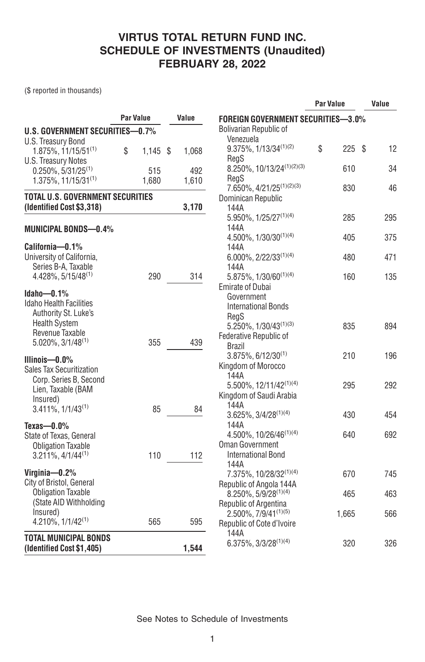(\$ reported in thousands)

|                                              |                  |   |       |                                                        | <b>Par Value</b> |      |     |
|----------------------------------------------|------------------|---|-------|--------------------------------------------------------|------------------|------|-----|
|                                              | <b>Par Value</b> |   | Value | <b>FOREIGN GOVERNMENT SECURITIES-3.0%</b>              |                  |      |     |
| U.S. GOVERNMENT SECURITIES-0.7%              |                  |   |       | <b>Bolivarian Republic of</b>                          |                  |      |     |
| U.S. Treasury Bond                           |                  |   |       | Venezuela                                              |                  |      |     |
| $1.875\%, 11/15/51^{(1)}$                    | \$<br>1,145      | S | 1,068 | 9.375%, 1/13/34(1)(2)                                  | \$<br>225        | - \$ | 12  |
| <b>U.S. Treasury Notes</b>                   |                  |   |       | RegS                                                   |                  |      |     |
| $0.250\%$ , 5/31/25 <sup>(1)</sup>           | 515              |   | 492   | 8.250%, 10/13/24(1)(2)(3)                              | 610              |      | 34  |
| $1.375\%$ , 11/15/31 <sup>(1)</sup>          | 1.680            |   | 1,610 | RegS                                                   |                  |      |     |
|                                              |                  |   |       | 7.650%, 4/21/25 <sup>(1)(2)(3)</sup>                   | 830              |      | 46  |
| <b>TOTAL U.S. GOVERNMENT SECURITIES</b>      |                  |   |       | Dominican Republic                                     |                  |      |     |
| (Identified Cost \$3,318)                    |                  |   | 3,170 | 144A                                                   |                  |      |     |
|                                              |                  |   |       | $5.950\%, 1/25/27^{(1)(4)}$                            | 285              |      | 295 |
| MUNICIPAL BONDS—0.4%                         |                  |   |       | 144A                                                   |                  |      |     |
|                                              |                  |   |       | 4.500%, 1/30/30 <sup>(1)(4)</sup>                      | 405              |      | 375 |
| California-0.1%<br>University of California, |                  |   |       | 144A                                                   |                  |      |     |
| Series B-A, Taxable                          |                  |   |       | $6.000\%$ , 2/22/33 <sup>(1)(4)</sup>                  | 480              |      | 471 |
| 4.428%, 5/15/48 <sup>(1)</sup>               | 290              |   | 314   | 144A                                                   | 160              |      | 135 |
|                                              |                  |   |       | $5.875\%, 1/30/60^{(1)(4)}$<br><b>Emirate of Dubai</b> |                  |      |     |
| Idaho $-0.1%$                                |                  |   |       | Government                                             |                  |      |     |
| <b>Idaho Health Facilities</b>               |                  |   |       | <b>International Bonds</b>                             |                  |      |     |
| Authority St. Luke's                         |                  |   |       | RegS                                                   |                  |      |     |
| <b>Health System</b>                         |                  |   |       | 5.250%, 1/30/43 <sup>(1)(3)</sup>                      | 835              |      | 894 |
| Revenue Taxable                              |                  |   |       | Federative Republic of                                 |                  |      |     |
| $5.020\%$ , $3/1/48^{(1)}$                   | 355              |   | 439   | Brazil                                                 |                  |      |     |
|                                              |                  |   |       | $3.875\%, 6/12/30^{(1)}$                               | 210              |      | 196 |
| Illinois-0.0%                                |                  |   |       | Kingdom of Morocco                                     |                  |      |     |
| Sales Tax Securitization                     |                  |   |       | 144A                                                   |                  |      |     |
| Corp. Series B, Second                       |                  |   |       | 5.500%, 12/11/42 <sup>(1)(4)</sup>                     | 295              |      | 292 |
| Lien, Taxable (BAM                           |                  |   |       | Kingdom of Saudi Arabia                                |                  |      |     |
| Insured)<br>$3.411\%, 1/1/43^{(1)}$          | 85               |   | 84    | 144A                                                   |                  |      |     |
|                                              |                  |   |       | $3.625\%$ , $3/4/28^{(1)(4)}$                          | 430              |      | 454 |
| Texas- $-0.0\%$                              |                  |   |       | 144A                                                   |                  |      |     |
| State of Texas, General                      |                  |   |       | $4.500\%$ , 10/26/46 <sup>(1)(4)</sup>                 | 640              |      | 692 |
| <b>Obligation Taxable</b>                    |                  |   |       | <b>Oman Government</b>                                 |                  |      |     |
| $3.211\%, \frac{4}{1}/\frac{44^{(1)}}{4}$    | 110              |   | 112   | <b>International Bond</b>                              |                  |      |     |
|                                              |                  |   |       | 144A                                                   |                  |      |     |
| Virginia- $0.2\%$                            |                  |   |       | 7.375%, 10/28/32(1)(4)                                 | 670              |      | 745 |
| City of Bristol, General                     |                  |   |       | Republic of Angola 144A                                |                  |      |     |
| <b>Obligation Taxable</b>                    |                  |   |       | $8.250\%$ , 5/9/28 <sup>(1)(4)</sup>                   | 465              |      | 463 |
| (State AID Withholding)                      |                  |   |       | Republic of Argentina                                  |                  |      |     |
| Insured)                                     | 565              |   | 595   | $2.500\%$ , $7/9/41^{(1)(5)}$                          | 1,665            |      | 566 |
| $4.210\%$ , $1/1/42^{(1)}$                   |                  |   |       | Republic of Cote d'Ivoire                              |                  |      |     |
| <b>TOTAL MUNICIPAL BONDS</b>                 |                  |   |       | 144A                                                   |                  |      |     |
| (Identified Cost \$1,405)                    |                  |   | 1,544 | $6.375\%, 3/3/28^{(1)(4)}$                             | 320              |      | 326 |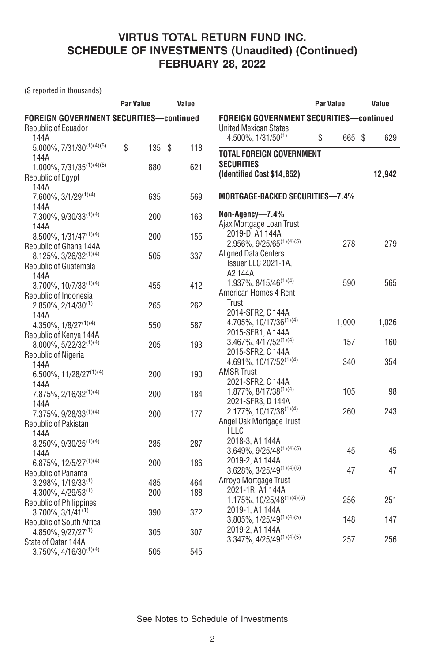(\$ reported in thousands)

| <b>FOREIGN GOVERNMENT SECURITIES-continued</b><br><b>FOREIGN GOVERNMENT SECURITIES-continued</b><br>Republic of Ecuador<br><b>United Mexican States</b><br>\$<br>144A<br>$4.500\%$ , $1/31/50^{(1)}$<br>665 \$<br>629<br>$5.000\%, 7/31/30^{(1)(4)(5)}$<br>\$<br>135S<br>118<br><b>TOTAL FOREIGN GOVERNMENT</b><br>144A<br><b>SECURITIES</b><br>$1.000\%, 7/31/35^{(1)(4)(5)}$<br>880<br>621<br>(Identified Cost \$14,852)<br>12,942<br><b>Republic of Egypt</b><br>144A<br><b>MORTGAGE-BACKED SECURITIES-7.4%</b><br>7.600%, 3/1/29(1)(4)<br>635<br>569<br>144A<br>Non-Agency-7.4%<br>163<br>$7.300\%$ , 9/30/33 <sup>(1)(4)</sup><br>200<br>Ajax Mortgage Loan Trust<br>144A<br>2019-D, A1 144A<br>155<br>$8.500\%$ , $1/31/47^{(1)(4)}$<br>200<br>$2.956\%, 9/25/65^{(1)(4)(5)}$<br>278<br>279<br>Republic of Ghana 144A<br><b>Aligned Data Centers</b><br>337<br>$8.125\%, 3/26/32^{(1)(4)}$<br>505<br>Issuer LLC 2021-1A,<br>Republic of Guatemala<br>A2144A<br>144A<br>1.937%, 8/15/46 <sup>(1)(4)</sup><br>590<br>565<br>$3.700\%$ , $10/7/33^{(1)(4)}$<br>412<br>455<br>American Homes 4 Rent<br>Republic of Indonesia<br>Trust<br>$2.850\%$ , 2/14/30 <sup>(1)</sup><br>265<br>262<br>2014-SFR2, C 144A<br>144A<br>4.705%, 10/17/36 <sup>(1)(4)</sup><br>1,000<br>1,026<br>$4.350\%$ , $1/8/27^{(1)(4)}$<br>587<br>550<br>2015-SFR1, A 144A<br>Republic of Kenya 144A<br>3.467%, 4/17/52(1)(4)<br>157<br>160<br>8.000%, 5/22/32(1)(4)<br>193<br>205<br>2015-SFR2, C 144A<br>Republic of Nigeria<br>4.691%, 10/17/52(1)(4)<br>354<br>340<br>144A<br><b>AMSR Trust</b><br>6.500%, 11/28/27 <sup>(1)(4)</sup><br>200<br>190<br>2021-SFR2, C 144A<br>144A<br>1.877%, 8/17/38(1)(4)<br>98<br>105<br>200<br>184<br>$7.875\%$ , 2/16/32 <sup>(1)(4)</sup><br>2021-SFR3, D 144A<br>144A<br>2.177%, 10/17/38(1)(4)<br>260<br>243<br>7.375%, 9/28/33(1)(4)<br>200<br>177 |
|-------------------------------------------------------------------------------------------------------------------------------------------------------------------------------------------------------------------------------------------------------------------------------------------------------------------------------------------------------------------------------------------------------------------------------------------------------------------------------------------------------------------------------------------------------------------------------------------------------------------------------------------------------------------------------------------------------------------------------------------------------------------------------------------------------------------------------------------------------------------------------------------------------------------------------------------------------------------------------------------------------------------------------------------------------------------------------------------------------------------------------------------------------------------------------------------------------------------------------------------------------------------------------------------------------------------------------------------------------------------------------------------------------------------------------------------------------------------------------------------------------------------------------------------------------------------------------------------------------------------------------------------------------------------------------------------------------------------------------------------------------------------------------------------------------------------------------------------------------------------------|
|                                                                                                                                                                                                                                                                                                                                                                                                                                                                                                                                                                                                                                                                                                                                                                                                                                                                                                                                                                                                                                                                                                                                                                                                                                                                                                                                                                                                                                                                                                                                                                                                                                                                                                                                                                                                                                                                         |
|                                                                                                                                                                                                                                                                                                                                                                                                                                                                                                                                                                                                                                                                                                                                                                                                                                                                                                                                                                                                                                                                                                                                                                                                                                                                                                                                                                                                                                                                                                                                                                                                                                                                                                                                                                                                                                                                         |
|                                                                                                                                                                                                                                                                                                                                                                                                                                                                                                                                                                                                                                                                                                                                                                                                                                                                                                                                                                                                                                                                                                                                                                                                                                                                                                                                                                                                                                                                                                                                                                                                                                                                                                                                                                                                                                                                         |
|                                                                                                                                                                                                                                                                                                                                                                                                                                                                                                                                                                                                                                                                                                                                                                                                                                                                                                                                                                                                                                                                                                                                                                                                                                                                                                                                                                                                                                                                                                                                                                                                                                                                                                                                                                                                                                                                         |
|                                                                                                                                                                                                                                                                                                                                                                                                                                                                                                                                                                                                                                                                                                                                                                                                                                                                                                                                                                                                                                                                                                                                                                                                                                                                                                                                                                                                                                                                                                                                                                                                                                                                                                                                                                                                                                                                         |
|                                                                                                                                                                                                                                                                                                                                                                                                                                                                                                                                                                                                                                                                                                                                                                                                                                                                                                                                                                                                                                                                                                                                                                                                                                                                                                                                                                                                                                                                                                                                                                                                                                                                                                                                                                                                                                                                         |
|                                                                                                                                                                                                                                                                                                                                                                                                                                                                                                                                                                                                                                                                                                                                                                                                                                                                                                                                                                                                                                                                                                                                                                                                                                                                                                                                                                                                                                                                                                                                                                                                                                                                                                                                                                                                                                                                         |
|                                                                                                                                                                                                                                                                                                                                                                                                                                                                                                                                                                                                                                                                                                                                                                                                                                                                                                                                                                                                                                                                                                                                                                                                                                                                                                                                                                                                                                                                                                                                                                                                                                                                                                                                                                                                                                                                         |
|                                                                                                                                                                                                                                                                                                                                                                                                                                                                                                                                                                                                                                                                                                                                                                                                                                                                                                                                                                                                                                                                                                                                                                                                                                                                                                                                                                                                                                                                                                                                                                                                                                                                                                                                                                                                                                                                         |
|                                                                                                                                                                                                                                                                                                                                                                                                                                                                                                                                                                                                                                                                                                                                                                                                                                                                                                                                                                                                                                                                                                                                                                                                                                                                                                                                                                                                                                                                                                                                                                                                                                                                                                                                                                                                                                                                         |
|                                                                                                                                                                                                                                                                                                                                                                                                                                                                                                                                                                                                                                                                                                                                                                                                                                                                                                                                                                                                                                                                                                                                                                                                                                                                                                                                                                                                                                                                                                                                                                                                                                                                                                                                                                                                                                                                         |
|                                                                                                                                                                                                                                                                                                                                                                                                                                                                                                                                                                                                                                                                                                                                                                                                                                                                                                                                                                                                                                                                                                                                                                                                                                                                                                                                                                                                                                                                                                                                                                                                                                                                                                                                                                                                                                                                         |
|                                                                                                                                                                                                                                                                                                                                                                                                                                                                                                                                                                                                                                                                                                                                                                                                                                                                                                                                                                                                                                                                                                                                                                                                                                                                                                                                                                                                                                                                                                                                                                                                                                                                                                                                                                                                                                                                         |
|                                                                                                                                                                                                                                                                                                                                                                                                                                                                                                                                                                                                                                                                                                                                                                                                                                                                                                                                                                                                                                                                                                                                                                                                                                                                                                                                                                                                                                                                                                                                                                                                                                                                                                                                                                                                                                                                         |
|                                                                                                                                                                                                                                                                                                                                                                                                                                                                                                                                                                                                                                                                                                                                                                                                                                                                                                                                                                                                                                                                                                                                                                                                                                                                                                                                                                                                                                                                                                                                                                                                                                                                                                                                                                                                                                                                         |
|                                                                                                                                                                                                                                                                                                                                                                                                                                                                                                                                                                                                                                                                                                                                                                                                                                                                                                                                                                                                                                                                                                                                                                                                                                                                                                                                                                                                                                                                                                                                                                                                                                                                                                                                                                                                                                                                         |
|                                                                                                                                                                                                                                                                                                                                                                                                                                                                                                                                                                                                                                                                                                                                                                                                                                                                                                                                                                                                                                                                                                                                                                                                                                                                                                                                                                                                                                                                                                                                                                                                                                                                                                                                                                                                                                                                         |
|                                                                                                                                                                                                                                                                                                                                                                                                                                                                                                                                                                                                                                                                                                                                                                                                                                                                                                                                                                                                                                                                                                                                                                                                                                                                                                                                                                                                                                                                                                                                                                                                                                                                                                                                                                                                                                                                         |
|                                                                                                                                                                                                                                                                                                                                                                                                                                                                                                                                                                                                                                                                                                                                                                                                                                                                                                                                                                                                                                                                                                                                                                                                                                                                                                                                                                                                                                                                                                                                                                                                                                                                                                                                                                                                                                                                         |
|                                                                                                                                                                                                                                                                                                                                                                                                                                                                                                                                                                                                                                                                                                                                                                                                                                                                                                                                                                                                                                                                                                                                                                                                                                                                                                                                                                                                                                                                                                                                                                                                                                                                                                                                                                                                                                                                         |
|                                                                                                                                                                                                                                                                                                                                                                                                                                                                                                                                                                                                                                                                                                                                                                                                                                                                                                                                                                                                                                                                                                                                                                                                                                                                                                                                                                                                                                                                                                                                                                                                                                                                                                                                                                                                                                                                         |
|                                                                                                                                                                                                                                                                                                                                                                                                                                                                                                                                                                                                                                                                                                                                                                                                                                                                                                                                                                                                                                                                                                                                                                                                                                                                                                                                                                                                                                                                                                                                                                                                                                                                                                                                                                                                                                                                         |
|                                                                                                                                                                                                                                                                                                                                                                                                                                                                                                                                                                                                                                                                                                                                                                                                                                                                                                                                                                                                                                                                                                                                                                                                                                                                                                                                                                                                                                                                                                                                                                                                                                                                                                                                                                                                                                                                         |
|                                                                                                                                                                                                                                                                                                                                                                                                                                                                                                                                                                                                                                                                                                                                                                                                                                                                                                                                                                                                                                                                                                                                                                                                                                                                                                                                                                                                                                                                                                                                                                                                                                                                                                                                                                                                                                                                         |
|                                                                                                                                                                                                                                                                                                                                                                                                                                                                                                                                                                                                                                                                                                                                                                                                                                                                                                                                                                                                                                                                                                                                                                                                                                                                                                                                                                                                                                                                                                                                                                                                                                                                                                                                                                                                                                                                         |
|                                                                                                                                                                                                                                                                                                                                                                                                                                                                                                                                                                                                                                                                                                                                                                                                                                                                                                                                                                                                                                                                                                                                                                                                                                                                                                                                                                                                                                                                                                                                                                                                                                                                                                                                                                                                                                                                         |
|                                                                                                                                                                                                                                                                                                                                                                                                                                                                                                                                                                                                                                                                                                                                                                                                                                                                                                                                                                                                                                                                                                                                                                                                                                                                                                                                                                                                                                                                                                                                                                                                                                                                                                                                                                                                                                                                         |
|                                                                                                                                                                                                                                                                                                                                                                                                                                                                                                                                                                                                                                                                                                                                                                                                                                                                                                                                                                                                                                                                                                                                                                                                                                                                                                                                                                                                                                                                                                                                                                                                                                                                                                                                                                                                                                                                         |
|                                                                                                                                                                                                                                                                                                                                                                                                                                                                                                                                                                                                                                                                                                                                                                                                                                                                                                                                                                                                                                                                                                                                                                                                                                                                                                                                                                                                                                                                                                                                                                                                                                                                                                                                                                                                                                                                         |
|                                                                                                                                                                                                                                                                                                                                                                                                                                                                                                                                                                                                                                                                                                                                                                                                                                                                                                                                                                                                                                                                                                                                                                                                                                                                                                                                                                                                                                                                                                                                                                                                                                                                                                                                                                                                                                                                         |
| Angel Oak Mortgage Trust<br><b>Republic of Pakistan</b><br><b>ILLC</b>                                                                                                                                                                                                                                                                                                                                                                                                                                                                                                                                                                                                                                                                                                                                                                                                                                                                                                                                                                                                                                                                                                                                                                                                                                                                                                                                                                                                                                                                                                                                                                                                                                                                                                                                                                                                  |
| 144A<br>2018-3, A1 144A                                                                                                                                                                                                                                                                                                                                                                                                                                                                                                                                                                                                                                                                                                                                                                                                                                                                                                                                                                                                                                                                                                                                                                                                                                                                                                                                                                                                                                                                                                                                                                                                                                                                                                                                                                                                                                                 |
| 8.250%, 9/30/25 <sup>(1)(4)</sup><br>285<br>287<br>$3.649\%, 9/25/48^{(1)(4)(5)}$<br>45<br>45                                                                                                                                                                                                                                                                                                                                                                                                                                                                                                                                                                                                                                                                                                                                                                                                                                                                                                                                                                                                                                                                                                                                                                                                                                                                                                                                                                                                                                                                                                                                                                                                                                                                                                                                                                           |
| 144A<br>2019-2, A1 144A                                                                                                                                                                                                                                                                                                                                                                                                                                                                                                                                                                                                                                                                                                                                                                                                                                                                                                                                                                                                                                                                                                                                                                                                                                                                                                                                                                                                                                                                                                                                                                                                                                                                                                                                                                                                                                                 |
| $6.875\%$ , 12/5/27 <sup>(1)(4)</sup><br>200<br>186<br>$3.628\%, 3/25/49^{(1)(4)(5)}$<br>47<br>47                                                                                                                                                                                                                                                                                                                                                                                                                                                                                                                                                                                                                                                                                                                                                                                                                                                                                                                                                                                                                                                                                                                                                                                                                                                                                                                                                                                                                                                                                                                                                                                                                                                                                                                                                                       |
| Republic of Panama<br>Arroyo Mortgage Trust                                                                                                                                                                                                                                                                                                                                                                                                                                                                                                                                                                                                                                                                                                                                                                                                                                                                                                                                                                                                                                                                                                                                                                                                                                                                                                                                                                                                                                                                                                                                                                                                                                                                                                                                                                                                                             |
| 464<br>$3.298\%, 1/19/33^{(1)}$<br>485<br>2021-1R, A1 144A                                                                                                                                                                                                                                                                                                                                                                                                                                                                                                                                                                                                                                                                                                                                                                                                                                                                                                                                                                                                                                                                                                                                                                                                                                                                                                                                                                                                                                                                                                                                                                                                                                                                                                                                                                                                              |
| $4.300\%$ , $4/29/53^{(1)}$<br>200<br>188<br>1.175%, 10/25/48(1)(4)(5)<br>256<br>251                                                                                                                                                                                                                                                                                                                                                                                                                                                                                                                                                                                                                                                                                                                                                                                                                                                                                                                                                                                                                                                                                                                                                                                                                                                                                                                                                                                                                                                                                                                                                                                                                                                                                                                                                                                    |
| <b>Republic of Philippines</b><br>2019-1, A1 144A                                                                                                                                                                                                                                                                                                                                                                                                                                                                                                                                                                                                                                                                                                                                                                                                                                                                                                                                                                                                                                                                                                                                                                                                                                                                                                                                                                                                                                                                                                                                                                                                                                                                                                                                                                                                                       |
| $3.700\%$ , $3/1/41^{(1)}$<br>390<br>372<br>$3.805\%, 1/25/49^{(1)(4)(5)}$<br>148<br>147<br>Republic of South Africa                                                                                                                                                                                                                                                                                                                                                                                                                                                                                                                                                                                                                                                                                                                                                                                                                                                                                                                                                                                                                                                                                                                                                                                                                                                                                                                                                                                                                                                                                                                                                                                                                                                                                                                                                    |
| 2019-2, A1 144A<br>$4.850\%, 9/27/27^{(1)}$<br>305<br>307                                                                                                                                                                                                                                                                                                                                                                                                                                                                                                                                                                                                                                                                                                                                                                                                                                                                                                                                                                                                                                                                                                                                                                                                                                                                                                                                                                                                                                                                                                                                                                                                                                                                                                                                                                                                               |
| $3.347\%, 4/25/49^{(1)(4)(5)}$<br>257<br>256<br>State of Qatar 144A                                                                                                                                                                                                                                                                                                                                                                                                                                                                                                                                                                                                                                                                                                                                                                                                                                                                                                                                                                                                                                                                                                                                                                                                                                                                                                                                                                                                                                                                                                                                                                                                                                                                                                                                                                                                     |
| $3.750\%$ , $4/16/30^{(1)(4)}$<br>505<br>545                                                                                                                                                                                                                                                                                                                                                                                                                                                                                                                                                                                                                                                                                                                                                                                                                                                                                                                                                                                                                                                                                                                                                                                                                                                                                                                                                                                                                                                                                                                                                                                                                                                                                                                                                                                                                            |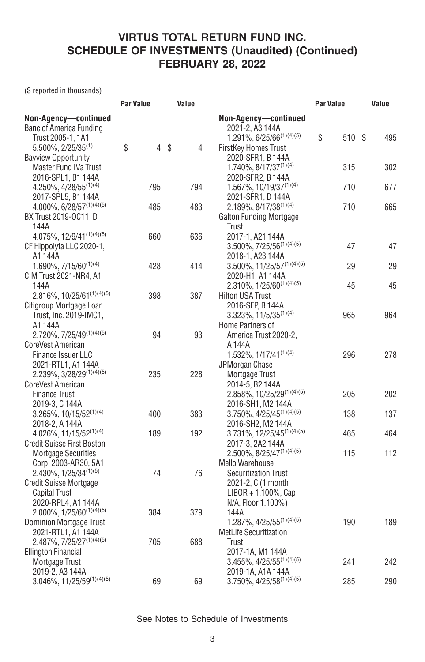(\$ reported in thousands)

|                                                                                    | <b>Par Value</b>     | Value   |                                                                                   | <b>Par Value</b> | Value |  |
|------------------------------------------------------------------------------------|----------------------|---------|-----------------------------------------------------------------------------------|------------------|-------|--|
| Non-Agency-continued<br><b>Banc of America Funding</b><br>Trust 2005-1, 1A1        |                      |         | Non-Agency-continued<br>2021-2, A3 144A<br>1.291%, 6/25/66 <sup>(1)(4)(5)</sup>   | \$<br>510 \$     | 495   |  |
| $5.500\%$ , 2/25/35 <sup>(1)</sup><br><b>Bayview Opportunity</b>                   | \$<br>$\overline{4}$ | \$<br>4 | FirstKey Homes Trust<br>2020-SFR1, B 144A                                         |                  |       |  |
| Master Fund IVa Trust                                                              |                      |         | 1.740%, 8/17/37 <sup>(1)(4)</sup>                                                 | 315              | 302   |  |
| 2016-SPL1, B1 144A<br>$4.250\%, 4/28/55^{(1)(4)}$                                  | 795                  | 794     | 2020-SFR2, B 144A<br>1.567%, 10/19/37(1)(4)                                       | 710              | 677   |  |
| 2017-SPL5, B1 144A<br>4.000%, 6/28/57(1)(4)(5)                                     | 485                  | 483     | 2021-SFR1, D 144A<br>$2.189\%, 8/17/38^{(1)(4)}$                                  | 710              | 665   |  |
| BX Trust 2019-OC11, D<br>144A                                                      |                      |         | <b>Galton Funding Mortgage</b><br>Trust                                           |                  |       |  |
| 4.075%, 12/9/41(1)(4)(5)<br>CF Hippolyta LLC 2020-1,                               | 660                  | 636     | 2017-1, A21 144A<br>$3.500\%$ , $7/25/56^{(1)(4)(5)}$                             | 47               | 47    |  |
| A1 144A<br>1.690%, 7/15/60(1)(4)<br>CIM Trust 2021-NR4, A1                         | 428                  | 414     | 2018-1, A23 144A<br>$3.500\%$ , 11/25/57 <sup>(1)(4)(5)</sup><br>2020-H1, A1 144A | 29               | 29    |  |
| 144A<br>$2.816\%$ , 10/25/61 <sup>(1)(4)(5)</sup>                                  | 398                  | 387     | $2.310\%$ , $1/25/60^{(1)(4)(5)}$<br><b>Hilton USA Trust</b>                      | 45               | 45    |  |
| Citigroup Mortgage Loan<br>Trust, Inc. 2019-IMC1,                                  |                      |         | 2016-SFP, B 144A<br>3.323%, 11/5/35 <sup>(1)(4)</sup>                             | 965              | 964   |  |
| A1 144A<br>2.720%, 7/25/49(1)(4)(5)                                                | 94                   | 93      | Home Partners of<br>America Trust 2020-2,                                         |                  |       |  |
| CoreVest American<br><b>Finance Issuer LLC</b>                                     |                      |         | A 144A<br>$1.532\%, 1/17/41^{(1)(4)}$                                             | 296              | 278   |  |
| 2021-RTL1, A1 144A<br>2.239%, 3/28/29(1)(4)(5)                                     | 235                  | 228     | JPMorgan Chase<br>Mortgage Trust                                                  |                  |       |  |
| CoreVest American<br><b>Finance Trust</b><br>2019-3, C 144A                        |                      |         | 2014-5, B2 144A<br>2.858%, 10/25/29(1)(4)(5)<br>2016-SH1, M2 144A                 | 205              | 202   |  |
| $3.265\%$ , 10/15/52 <sup>(1)(4)</sup><br>2018-2, A 144A                           | 400                  | 383     | 3.750%, 4/25/45(1)(4)(5)<br>2016-SH2, M2 144A                                     | 138              | 137   |  |
| 4.026%, 11/15/52(1)(4)<br><b>Credit Suisse First Boston</b>                        | 189                  | 192     | $3.731\%, 12/25/45^{(1)(4)(5)}$<br>2017-3, 2A2 144A                               | 465              | 464   |  |
| <b>Mortgage Securities</b><br>Corp. 2003-AR30, 5A1                                 |                      |         | 2.500%, 8/25/47(1)(4)(5)<br><b>Mello Warehouse</b>                                | 115              | 112   |  |
| 2.430%, 1/25/34(1)(5)<br><b>Credit Suisse Mortgage</b><br><b>Capital Trust</b>     | 74                   | 76      | <b>Securitization Trust</b><br>2021-2, C (1 month<br>LIBOR + 1.100%, Cap          |                  |       |  |
| 2020-RPL4, A1 144A<br>$2.000\%$ , $1/25/60^{(1)(4)(5)}$<br>Dominion Mortgage Trust | 384                  | 379     | N/A, Floor 1.100%)<br>144A<br>1.287%, 4/25/55 <sup>(1)(4)(5)</sup>                | 190              | 189   |  |
| 2021-RTL1, A1 144A<br>2.487%, 7/25/27(1)(4)(5)                                     | 705                  | 688     | MetLife Securitization<br>Trust                                                   |                  |       |  |
| <b>Ellington Financial</b><br>Mortgage Trust                                       |                      |         | 2017-1A, M1 144A<br>$3.455\%, 4/25/55^{(1)(4)(5)}$                                | 241              | 242   |  |
| 2019-2, A3 144A<br>$3.046\%$ , $11/25/59^{(1)(4)(5)}$                              | 69                   | 69      | 2019-1A, A1A 144A<br>3.750%, 4/25/58(1)(4)(5)                                     | 285              | 290   |  |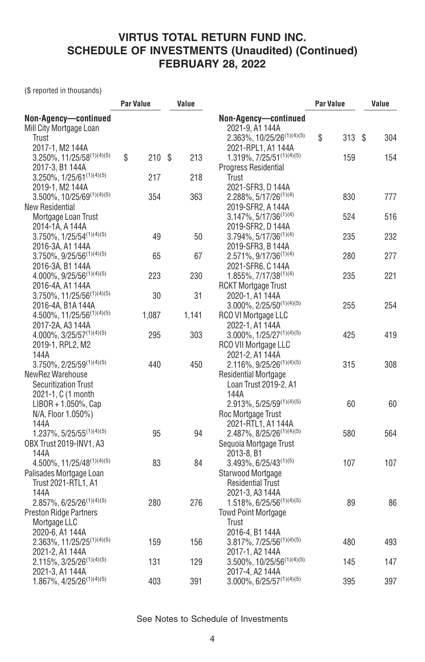(\$ reported in thousands)

|                                                        | <b>Par Value</b> | Value |                                                                     | <b>Par Value</b> | Value     |  |
|--------------------------------------------------------|------------------|-------|---------------------------------------------------------------------|------------------|-----------|--|
| Non-Agency-continued                                   |                  |       | Non-Agency-continued                                                |                  |           |  |
| Mill City Mortgage Loan<br>Trust                       |                  |       | 2021-9, A1 144A<br>2.363%, 10/25/26 <sup>(1)(4)(5)</sup>            | \$<br>313        | \$<br>304 |  |
| 2017-1, M2 144A<br>$3.250\%$ , $11/25/58^{(1)(4)(5)}$  | \$<br>210S       | 213   | 2021-RPL1, A1 144A<br>$1.319\%, 7/25/51^{(1)(4)(5)}$                | 159              | 154       |  |
| 2017-3, B1 144A<br>$3.250\%$ , $1/25/61^{(1)(4)(5)}$   | 217              | 218   | Progress Residential<br>Trust                                       |                  |           |  |
| 2019-1, M2 144A                                        |                  |       | 2021-SFR3, D 144A                                                   |                  |           |  |
| $3.500\%$ , $10/25/69^{(1)(4)(5)}$<br>New Residential  | 354              | 363   | $2.288\%, 5/17/26^{(1)(4)}$<br>2019-SFR2, A 144A                    | 830              | 777       |  |
| Mortgage Loan Trust                                    |                  |       | $3.147\%$ , 5/17/36 <sup>(1)(4)</sup>                               | 524              | 516       |  |
| 2014-1A, A 144A<br>$3.750\%$ , $1/25/54^{(1)(4)(5)}$   | 49               | 50    | 2019-SFR2, D 144A<br>$3.794\%$ , $5/17/36^{(1)(4)}$                 | 235              | 232       |  |
| 2016-3A, A1 144A                                       |                  |       | 2019-SFR3, B 144A                                                   |                  |           |  |
| $3.750\%$ , $9/25/56^{(1)(4)(5)}$<br>2016-3A, B1 144A  | 65               | 67    | 2.571%, 9/17/36 <sup>(1)(4)</sup><br>2021-SFR6, C 144A              | 280              | 277       |  |
| $4.000\%$ , $9/25/56^{(1)(4)(5)}$                      | 223              | 230   | 1.855%, 7/17/38(1)(4)                                               | 235              | 221       |  |
| 2016-4A, A1 144A<br>$3.750\%$ , $11/25/56^{(1)(4)(5)}$ | 30               | 31    | <b>RCKT Mortgage Trust</b><br>2020-1, A1 144A                       |                  |           |  |
| 2016-4A, B1A 144A                                      |                  |       | $3.000\%$ , $2/25/50^{(1)(4)(5)}$                                   | 255              | 254       |  |
| 4.500%, 11/25/56(1)(4)(5)<br>2017-2A, A3 144A          | 1,087            | 1,141 | RCO VI Mortgage LLC<br>2022-1, A1 144A                              |                  |           |  |
| $4.000\%, 3/25/57^{(1)(4)(5)}$                         | 295              | 303   | $3.000\%$ , $1/25/27^{(1)(4)(5)}$                                   | 425              | 419       |  |
| 2019-1, RPL2, M2<br>144A                               |                  |       | RCO VII Mortgage LLC<br>2021-2, A1 144A                             |                  |           |  |
| $3.750\%, 2/25/59^{(1)(4)(5)}$<br>NewRez Warehouse     | 440              | 450   | 2.116%, 9/25/26 <sup>(1)(4)(5)</sup><br><b>Residential Mortgage</b> | 315              | 308       |  |
| <b>Securitization Trust</b>                            |                  |       | Loan Trust 2019-2, A1                                               |                  |           |  |
| 2021-1, C (1 month<br>$LIBOR + 1.050\%$ , Cap          |                  |       | 144A<br>$2.913\%, 5/25/59^{(1)(4)(5)}$                              | 60               | 60        |  |
| N/A, Floor 1.050%)                                     |                  |       | Roc Mortgage Trust                                                  |                  |           |  |
| 144A<br>$1.237\%$ , 5/25/55 <sup>(1)(4)(5)</sup>       | 95               | 94    | 2021-RTL1, A1 144A<br>$2.487\%, 8/25/26^{(1)(4)(5)}$                | 580              | 564       |  |
| OBX Trust 2019-INV1, A3                                |                  |       | Sequoia Mortgage Trust                                              |                  |           |  |
| 144A<br>$4.500\%$ , $11/25/48^{(1)(4)(5)}$             | 83               | 84    | 2013-8, B1<br>$3.493\%, 6/25/43^{(1)(5)}$                           | 107              | 107       |  |
| Palisades Mortgage Loan                                |                  |       | Starwood Mortgage                                                   |                  |           |  |
| Trust 2021-RTL1, A1<br>144A                            |                  |       | <b>Residential Trust</b><br>2021-3, A3 144A                         |                  |           |  |
| $2.857\%$ , 6/25/26 <sup>(1)(4)(5)</sup>               | 280              | 276   | $1.518\%, 6/25/56^{(1)(4)(5)}$                                      | 89               | 86        |  |
| <b>Preston Ridge Partners</b><br>Mortgage LLC          |                  |       | <b>Towd Point Mortgage</b><br>Trust                                 |                  |           |  |
| 2020-6, A1 144A                                        |                  |       | 2016-4, B1 144A                                                     |                  |           |  |
| $2.363\%$ , $11/25/25^{(1)(4)(5)}$<br>2021-2, A1 144A  | 159              | 156   | $3.817\%, 7/25/56^{(1)(4)(5)}$<br>2017-1, A2 144A                   | 480              | 493       |  |
| $2.115\%, 3/25/26^{(1)(4)(5)}$                         | 131              | 129   | $3.500\%$ , $10/25/56^{(1)(4)(5)}$                                  | 145              | 147       |  |
| 2021-3, A1 144A<br>$1.867\%, 4/25/26^{(1)(4)(5)}$      | 403              | 391   | 2017-4, A2 144A<br>$3.000\%$ , 6/25/57 <sup>(1)(4)(5)</sup>         | 395              | 397       |  |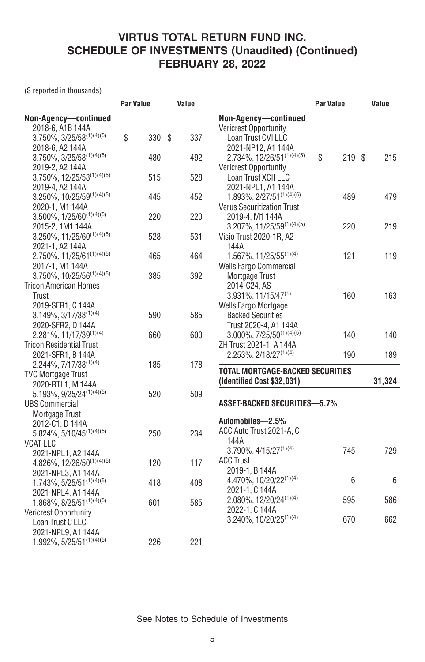(\$ reported in thousands)

| Non-Agency-continued<br>Non-Agency-continued<br>2018-6, A1B 144A<br>Vericrest Opportunity<br>$3.750\%$ , $3/25/58^{(1)(4)(5)}$<br>\$<br>330<br>\$<br>337<br>Loan Trust CVI LLC<br>2021-NP12, A1 144A<br>2018-6, A2 144A |       |
|-------------------------------------------------------------------------------------------------------------------------------------------------------------------------------------------------------------------------|-------|
|                                                                                                                                                                                                                         |       |
|                                                                                                                                                                                                                         |       |
|                                                                                                                                                                                                                         |       |
|                                                                                                                                                                                                                         |       |
| $3.750\%$ , $3/25/58^{(1)(4)(5)}$<br>2.734%, 12/26/51(1)(4)(5)<br>\$<br>480<br>492<br>219S                                                                                                                              | 215   |
| 2019-2, A2 144A<br>Vericrest Opportunity                                                                                                                                                                                |       |
| $3.750\%$ , $12/25/58^{(1)(4)(5)}$<br>528<br>Loan Trust XCII LLC<br>515                                                                                                                                                 |       |
| 2021-NPL1, A1 144A<br>2019-4, A2 144A                                                                                                                                                                                   |       |
| 1.893%, 2/27/51(1)(4)(5)<br>3.250%, 10/25/59(1)(4)(5)<br>445<br>452<br>489                                                                                                                                              | 479   |
| <b>Verus Securitization Trust</b><br>2020-1, M1 144A                                                                                                                                                                    |       |
| $3.500\%$ , $1/25/60^{(1)(4)(5)}$<br>220<br>220<br>2019-4, M1 144A                                                                                                                                                      |       |
| $3.207\%$ , $11/25/59^{(1)(4)(5)}$<br>2015-2, 1M1 144A<br>220                                                                                                                                                           | 219   |
| $3.250\%$ , $11/25/60^{(1)(4)(5)}$<br>528<br>531<br>Visio Trust 2020-1R, A2                                                                                                                                             |       |
| 2021-1, A2 144A<br>144A                                                                                                                                                                                                 |       |
| 2.750%, 11/25/61(1)(4)(5)<br>1.567%, 11/25/55 <sup>(1)(4)</sup><br>465<br>464<br>121                                                                                                                                    | 119   |
| <b>Wells Fargo Commercial</b><br>2017-1, M1 144A                                                                                                                                                                        |       |
| $3.750\%$ , $10/25/56^{(1)(4)(5)}$<br>392<br>385<br>Mortgage Trust                                                                                                                                                      |       |
| <b>Tricon American Homes</b><br>2014-C24, AS                                                                                                                                                                            |       |
| Trust<br>$3.931\%, 11/15/47^{(1)}$<br>160                                                                                                                                                                               | 163   |
| 2019-SFR1, C144A<br><b>Wells Fargo Mortgage</b>                                                                                                                                                                         |       |
| $3.149\%, 3/17/38^{(1)(4)}$<br>590<br>585<br><b>Backed Securities</b>                                                                                                                                                   |       |
| 2020-SFR2, D 144A<br>Trust 2020-4, A1 144A                                                                                                                                                                              |       |
| 2.281%, 11/17/39(1)(4)<br>$3.000\%, 7/25/50^{(1)(4)(5)}$<br>660<br>600<br>140                                                                                                                                           | 140   |
| <b>Tricon Residential Trust</b><br>ZH Trust 2021-1, A 144A                                                                                                                                                              |       |
| $2.253\%, 2/18/27^{(1)(4)}$<br>190<br>2021-SFR1, B 144A                                                                                                                                                                 | 189   |
| 2.244%, 7/17/38(1)(4)<br>185<br>178                                                                                                                                                                                     |       |
| TOTAL MORTGAGE-BACKED SECURITIES<br><b>TVC Mortgage Trust</b>                                                                                                                                                           |       |
| (Identified Cost \$32,031)<br>31,324<br>2020-RTL1, M 144A                                                                                                                                                               |       |
| 5.193%, 9/25/24(1)(4)(5)<br>520<br>509                                                                                                                                                                                  |       |
| <b>ASSET-BACKED SECURITIES-5.7%</b><br><b>UBS Commercial</b>                                                                                                                                                            |       |
| Mortgage Trust                                                                                                                                                                                                          |       |
| Automobiles-2.5%<br>2012-C1, D 144A                                                                                                                                                                                     |       |
| ACC Auto Trust 2021-A, C<br>250<br>$5.824\%, 5/10/45^{(1)(4)(5)}$<br>234                                                                                                                                                |       |
| 144A<br><b>VCAT LLC</b>                                                                                                                                                                                                 |       |
| 745<br>$3.790\%$ , $4/15/27^{(1)(4)}$<br>2021-NPL1, A2 144A                                                                                                                                                             | 729   |
| <b>ACC Trust</b><br>4.826%, 12/26/50(1)(4)(5)<br>120<br>117                                                                                                                                                             |       |
| 2019-1, B 144A<br>2021-NPL3, A1 144A                                                                                                                                                                                    |       |
| 4.470%, 10/20/22(1)(4)<br>6<br>$1.743\%, 5/25/51^{(1)(4)(5)}$<br>418<br>408                                                                                                                                             | $6\,$ |
| 2021-1, C 144A<br>2021-NPL4, A1 144A                                                                                                                                                                                    |       |
| $2.080\%$ , 12/20/24 <sup>(1)(4)</sup><br>595<br>$1.868\%$ , 8/25/51 <sup>(1)(4)(5)</sup><br>601<br>585                                                                                                                 | 586   |
| 2022-1, C 144A<br><b>Vericrest Opportunity</b>                                                                                                                                                                          |       |
| 3.240%, 10/20/25 <sup>(1)(4)</sup><br>670<br>Loan Trust C LLC                                                                                                                                                           | 662   |
| 2021-NPL9, A1 144A                                                                                                                                                                                                      |       |
| $1.992\%, 5/25/51^{(1)(4)(5)}$<br>221<br>226                                                                                                                                                                            |       |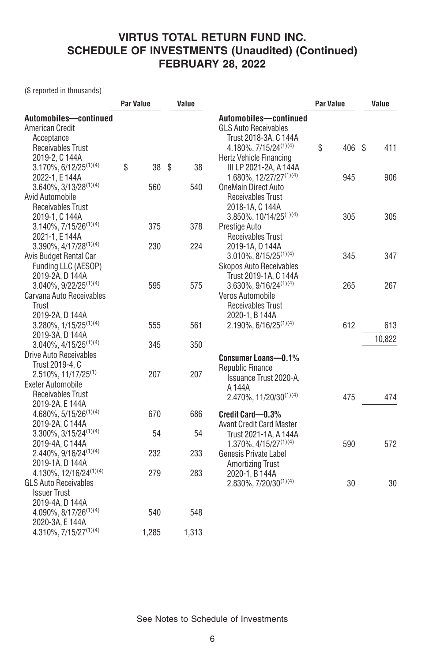(\$ reported in thousands)

| Automobiles-continued<br>Automobiles-continued<br>American Credit<br><b>GLS Auto Receivables</b><br>Acceptance<br>Trust 2018-3A, C 144A<br>\$<br>$4.180\%$ , $7/15/24^{(1)(4)}$<br>406 \$<br>411<br>Receivables Trust<br>2019-2, C 144A<br>Hertz Vehicle Financing<br>\$<br>$3.170\%$ , 6/12/25 <sup>(1)(4)</sup><br>- \$<br>38<br>38<br>III LP 2021-2A, A 144A<br>1.680%, $12/27/27^{(1)(4)}$<br>945<br>906<br>2022-1, E 144A<br>$3.640\%$ , $3/13/28^{(1)(4)}$<br>560<br>540<br>OneMain Direct Auto<br>Avid Automobile<br>Receivables Trust<br>Receivables Trust<br>2018-1A, C 144A<br>3.850%, 10/14/25 <sup>(1)(4)</sup><br>305<br>2019-1, C 144A<br>305<br>378<br>$3.140\%$ , $7/15/26^{(1)(4)}$<br>375<br>Prestige Auto<br>2021-1, E 144A<br><b>Receivables Trust</b><br>$3.390\%$ , $4/17/28^{(1)(4)}$<br>230<br>224<br>2019-1A, D 144A<br>$3.010\%$ , $8/15/25^{(1)(4)}$<br>Avis Budget Rental Car<br>345<br>347<br>Funding LLC (AESOP)<br><b>Skopos Auto Receivables</b><br>Trust 2019-1A, C 144A<br>2019-2A, D 144A<br>3.040%, 9/22/25 <sup>(1)(4)</sup><br>575<br>$3.630\%, 9/16/24^{(1)(4)}$<br>267<br>595<br>265<br>Carvana Auto Receivables<br>Veros Automobile<br>Receivables Trust<br>Trust<br>2019-2A, D 144A<br>2020-1, B 144A<br>$3.280\%, 1/15/25^{(1)(4)}$<br>$2.190\%, 6/16/25^{(1)(4)}$<br>612<br>555<br>561<br>613<br>2019-3A, D 144A<br>10,822<br>$3.040\%, 4/15/25^{(1)(4)}$<br>345<br>350<br>Drive Auto Receivables<br>Consumer Loans-0.1%<br>Trust 2019-4, C<br>Republic Finance<br>$2.510\%$ , 11/17/25 <sup>(1)</sup><br>207<br>207<br>Issuance Trust 2020-A,<br><b>Exeter Automobile</b><br>A 144A<br>Receivables Trust<br>475<br>$2.470\%, 11/20/30^{(1)(4)}$<br>474<br>2019-2A, E 144A<br>670<br>686<br>$4.680\%$ , $5/15/26^{(1)(4)}$<br>Credit Card-0.3%<br>2019-2A, C 144A<br><b>Avant Credit Card Master</b><br>$3.300\%, 3/15/24^{(1)(4)}$<br>54<br>54<br>Trust 2021-1A, A 144A<br>2019-4A, C 144A<br>572<br>$1.370\%$ , $4/15/27^{(1)(4)}$<br>590<br>2.440%, 9/16/24 <sup>(1)(4)</sup><br>232<br>233<br>Genesis Private Label<br>2019-1A, D 144A<br><b>Amortizing Trust</b><br>$4.130\%$ , 12/16/24 <sup>(1)(4)</sup><br>283<br>279<br>2020-1, B 144A<br><b>GLS Auto Receivables</b><br>30<br>$2.830\%$ , $7/20/30^{(1)(4)}$<br>30<br><b>Issuer Trust</b><br>2019-4A, D 144A<br>$4.090\%, 8/17/26^{(1)(4)}$<br>540<br>548<br>2020-3A, E 144A |                                   | <b>Par Value</b> |       | Value |       | <b>Par Value</b> |  | Value |  |
|------------------------------------------------------------------------------------------------------------------------------------------------------------------------------------------------------------------------------------------------------------------------------------------------------------------------------------------------------------------------------------------------------------------------------------------------------------------------------------------------------------------------------------------------------------------------------------------------------------------------------------------------------------------------------------------------------------------------------------------------------------------------------------------------------------------------------------------------------------------------------------------------------------------------------------------------------------------------------------------------------------------------------------------------------------------------------------------------------------------------------------------------------------------------------------------------------------------------------------------------------------------------------------------------------------------------------------------------------------------------------------------------------------------------------------------------------------------------------------------------------------------------------------------------------------------------------------------------------------------------------------------------------------------------------------------------------------------------------------------------------------------------------------------------------------------------------------------------------------------------------------------------------------------------------------------------------------------------------------------------------------------------------------------------------------------------------------------------------------------------------------------------------------------------------------------------------------------------------------------------------------------------------------------------------------------------------------------------------------------------------------|-----------------------------------|------------------|-------|-------|-------|------------------|--|-------|--|
|                                                                                                                                                                                                                                                                                                                                                                                                                                                                                                                                                                                                                                                                                                                                                                                                                                                                                                                                                                                                                                                                                                                                                                                                                                                                                                                                                                                                                                                                                                                                                                                                                                                                                                                                                                                                                                                                                                                                                                                                                                                                                                                                                                                                                                                                                                                                                                                    |                                   |                  |       |       |       |                  |  |       |  |
|                                                                                                                                                                                                                                                                                                                                                                                                                                                                                                                                                                                                                                                                                                                                                                                                                                                                                                                                                                                                                                                                                                                                                                                                                                                                                                                                                                                                                                                                                                                                                                                                                                                                                                                                                                                                                                                                                                                                                                                                                                                                                                                                                                                                                                                                                                                                                                                    |                                   |                  |       |       |       |                  |  |       |  |
|                                                                                                                                                                                                                                                                                                                                                                                                                                                                                                                                                                                                                                                                                                                                                                                                                                                                                                                                                                                                                                                                                                                                                                                                                                                                                                                                                                                                                                                                                                                                                                                                                                                                                                                                                                                                                                                                                                                                                                                                                                                                                                                                                                                                                                                                                                                                                                                    |                                   |                  |       |       |       |                  |  |       |  |
|                                                                                                                                                                                                                                                                                                                                                                                                                                                                                                                                                                                                                                                                                                                                                                                                                                                                                                                                                                                                                                                                                                                                                                                                                                                                                                                                                                                                                                                                                                                                                                                                                                                                                                                                                                                                                                                                                                                                                                                                                                                                                                                                                                                                                                                                                                                                                                                    |                                   |                  |       |       |       |                  |  |       |  |
|                                                                                                                                                                                                                                                                                                                                                                                                                                                                                                                                                                                                                                                                                                                                                                                                                                                                                                                                                                                                                                                                                                                                                                                                                                                                                                                                                                                                                                                                                                                                                                                                                                                                                                                                                                                                                                                                                                                                                                                                                                                                                                                                                                                                                                                                                                                                                                                    |                                   |                  |       |       |       |                  |  |       |  |
|                                                                                                                                                                                                                                                                                                                                                                                                                                                                                                                                                                                                                                                                                                                                                                                                                                                                                                                                                                                                                                                                                                                                                                                                                                                                                                                                                                                                                                                                                                                                                                                                                                                                                                                                                                                                                                                                                                                                                                                                                                                                                                                                                                                                                                                                                                                                                                                    |                                   |                  |       |       |       |                  |  |       |  |
|                                                                                                                                                                                                                                                                                                                                                                                                                                                                                                                                                                                                                                                                                                                                                                                                                                                                                                                                                                                                                                                                                                                                                                                                                                                                                                                                                                                                                                                                                                                                                                                                                                                                                                                                                                                                                                                                                                                                                                                                                                                                                                                                                                                                                                                                                                                                                                                    |                                   |                  |       |       |       |                  |  |       |  |
|                                                                                                                                                                                                                                                                                                                                                                                                                                                                                                                                                                                                                                                                                                                                                                                                                                                                                                                                                                                                                                                                                                                                                                                                                                                                                                                                                                                                                                                                                                                                                                                                                                                                                                                                                                                                                                                                                                                                                                                                                                                                                                                                                                                                                                                                                                                                                                                    |                                   |                  |       |       |       |                  |  |       |  |
|                                                                                                                                                                                                                                                                                                                                                                                                                                                                                                                                                                                                                                                                                                                                                                                                                                                                                                                                                                                                                                                                                                                                                                                                                                                                                                                                                                                                                                                                                                                                                                                                                                                                                                                                                                                                                                                                                                                                                                                                                                                                                                                                                                                                                                                                                                                                                                                    |                                   |                  |       |       |       |                  |  |       |  |
|                                                                                                                                                                                                                                                                                                                                                                                                                                                                                                                                                                                                                                                                                                                                                                                                                                                                                                                                                                                                                                                                                                                                                                                                                                                                                                                                                                                                                                                                                                                                                                                                                                                                                                                                                                                                                                                                                                                                                                                                                                                                                                                                                                                                                                                                                                                                                                                    |                                   |                  |       |       |       |                  |  |       |  |
|                                                                                                                                                                                                                                                                                                                                                                                                                                                                                                                                                                                                                                                                                                                                                                                                                                                                                                                                                                                                                                                                                                                                                                                                                                                                                                                                                                                                                                                                                                                                                                                                                                                                                                                                                                                                                                                                                                                                                                                                                                                                                                                                                                                                                                                                                                                                                                                    |                                   |                  |       |       |       |                  |  |       |  |
|                                                                                                                                                                                                                                                                                                                                                                                                                                                                                                                                                                                                                                                                                                                                                                                                                                                                                                                                                                                                                                                                                                                                                                                                                                                                                                                                                                                                                                                                                                                                                                                                                                                                                                                                                                                                                                                                                                                                                                                                                                                                                                                                                                                                                                                                                                                                                                                    |                                   |                  |       |       |       |                  |  |       |  |
|                                                                                                                                                                                                                                                                                                                                                                                                                                                                                                                                                                                                                                                                                                                                                                                                                                                                                                                                                                                                                                                                                                                                                                                                                                                                                                                                                                                                                                                                                                                                                                                                                                                                                                                                                                                                                                                                                                                                                                                                                                                                                                                                                                                                                                                                                                                                                                                    |                                   |                  |       |       |       |                  |  |       |  |
|                                                                                                                                                                                                                                                                                                                                                                                                                                                                                                                                                                                                                                                                                                                                                                                                                                                                                                                                                                                                                                                                                                                                                                                                                                                                                                                                                                                                                                                                                                                                                                                                                                                                                                                                                                                                                                                                                                                                                                                                                                                                                                                                                                                                                                                                                                                                                                                    |                                   |                  |       |       |       |                  |  |       |  |
|                                                                                                                                                                                                                                                                                                                                                                                                                                                                                                                                                                                                                                                                                                                                                                                                                                                                                                                                                                                                                                                                                                                                                                                                                                                                                                                                                                                                                                                                                                                                                                                                                                                                                                                                                                                                                                                                                                                                                                                                                                                                                                                                                                                                                                                                                                                                                                                    |                                   |                  |       |       |       |                  |  |       |  |
|                                                                                                                                                                                                                                                                                                                                                                                                                                                                                                                                                                                                                                                                                                                                                                                                                                                                                                                                                                                                                                                                                                                                                                                                                                                                                                                                                                                                                                                                                                                                                                                                                                                                                                                                                                                                                                                                                                                                                                                                                                                                                                                                                                                                                                                                                                                                                                                    |                                   |                  |       |       |       |                  |  |       |  |
|                                                                                                                                                                                                                                                                                                                                                                                                                                                                                                                                                                                                                                                                                                                                                                                                                                                                                                                                                                                                                                                                                                                                                                                                                                                                                                                                                                                                                                                                                                                                                                                                                                                                                                                                                                                                                                                                                                                                                                                                                                                                                                                                                                                                                                                                                                                                                                                    |                                   |                  |       |       |       |                  |  |       |  |
|                                                                                                                                                                                                                                                                                                                                                                                                                                                                                                                                                                                                                                                                                                                                                                                                                                                                                                                                                                                                                                                                                                                                                                                                                                                                                                                                                                                                                                                                                                                                                                                                                                                                                                                                                                                                                                                                                                                                                                                                                                                                                                                                                                                                                                                                                                                                                                                    |                                   |                  |       |       |       |                  |  |       |  |
|                                                                                                                                                                                                                                                                                                                                                                                                                                                                                                                                                                                                                                                                                                                                                                                                                                                                                                                                                                                                                                                                                                                                                                                                                                                                                                                                                                                                                                                                                                                                                                                                                                                                                                                                                                                                                                                                                                                                                                                                                                                                                                                                                                                                                                                                                                                                                                                    |                                   |                  |       |       |       |                  |  |       |  |
|                                                                                                                                                                                                                                                                                                                                                                                                                                                                                                                                                                                                                                                                                                                                                                                                                                                                                                                                                                                                                                                                                                                                                                                                                                                                                                                                                                                                                                                                                                                                                                                                                                                                                                                                                                                                                                                                                                                                                                                                                                                                                                                                                                                                                                                                                                                                                                                    |                                   |                  |       |       |       |                  |  |       |  |
|                                                                                                                                                                                                                                                                                                                                                                                                                                                                                                                                                                                                                                                                                                                                                                                                                                                                                                                                                                                                                                                                                                                                                                                                                                                                                                                                                                                                                                                                                                                                                                                                                                                                                                                                                                                                                                                                                                                                                                                                                                                                                                                                                                                                                                                                                                                                                                                    |                                   |                  |       |       |       |                  |  |       |  |
|                                                                                                                                                                                                                                                                                                                                                                                                                                                                                                                                                                                                                                                                                                                                                                                                                                                                                                                                                                                                                                                                                                                                                                                                                                                                                                                                                                                                                                                                                                                                                                                                                                                                                                                                                                                                                                                                                                                                                                                                                                                                                                                                                                                                                                                                                                                                                                                    |                                   |                  |       |       |       |                  |  |       |  |
|                                                                                                                                                                                                                                                                                                                                                                                                                                                                                                                                                                                                                                                                                                                                                                                                                                                                                                                                                                                                                                                                                                                                                                                                                                                                                                                                                                                                                                                                                                                                                                                                                                                                                                                                                                                                                                                                                                                                                                                                                                                                                                                                                                                                                                                                                                                                                                                    |                                   |                  |       |       |       |                  |  |       |  |
|                                                                                                                                                                                                                                                                                                                                                                                                                                                                                                                                                                                                                                                                                                                                                                                                                                                                                                                                                                                                                                                                                                                                                                                                                                                                                                                                                                                                                                                                                                                                                                                                                                                                                                                                                                                                                                                                                                                                                                                                                                                                                                                                                                                                                                                                                                                                                                                    |                                   |                  |       |       |       |                  |  |       |  |
|                                                                                                                                                                                                                                                                                                                                                                                                                                                                                                                                                                                                                                                                                                                                                                                                                                                                                                                                                                                                                                                                                                                                                                                                                                                                                                                                                                                                                                                                                                                                                                                                                                                                                                                                                                                                                                                                                                                                                                                                                                                                                                                                                                                                                                                                                                                                                                                    |                                   |                  |       |       |       |                  |  |       |  |
|                                                                                                                                                                                                                                                                                                                                                                                                                                                                                                                                                                                                                                                                                                                                                                                                                                                                                                                                                                                                                                                                                                                                                                                                                                                                                                                                                                                                                                                                                                                                                                                                                                                                                                                                                                                                                                                                                                                                                                                                                                                                                                                                                                                                                                                                                                                                                                                    |                                   |                  |       |       |       |                  |  |       |  |
|                                                                                                                                                                                                                                                                                                                                                                                                                                                                                                                                                                                                                                                                                                                                                                                                                                                                                                                                                                                                                                                                                                                                                                                                                                                                                                                                                                                                                                                                                                                                                                                                                                                                                                                                                                                                                                                                                                                                                                                                                                                                                                                                                                                                                                                                                                                                                                                    |                                   |                  |       |       |       |                  |  |       |  |
|                                                                                                                                                                                                                                                                                                                                                                                                                                                                                                                                                                                                                                                                                                                                                                                                                                                                                                                                                                                                                                                                                                                                                                                                                                                                                                                                                                                                                                                                                                                                                                                                                                                                                                                                                                                                                                                                                                                                                                                                                                                                                                                                                                                                                                                                                                                                                                                    |                                   |                  |       |       |       |                  |  |       |  |
|                                                                                                                                                                                                                                                                                                                                                                                                                                                                                                                                                                                                                                                                                                                                                                                                                                                                                                                                                                                                                                                                                                                                                                                                                                                                                                                                                                                                                                                                                                                                                                                                                                                                                                                                                                                                                                                                                                                                                                                                                                                                                                                                                                                                                                                                                                                                                                                    |                                   |                  |       |       |       |                  |  |       |  |
|                                                                                                                                                                                                                                                                                                                                                                                                                                                                                                                                                                                                                                                                                                                                                                                                                                                                                                                                                                                                                                                                                                                                                                                                                                                                                                                                                                                                                                                                                                                                                                                                                                                                                                                                                                                                                                                                                                                                                                                                                                                                                                                                                                                                                                                                                                                                                                                    |                                   |                  |       |       |       |                  |  |       |  |
|                                                                                                                                                                                                                                                                                                                                                                                                                                                                                                                                                                                                                                                                                                                                                                                                                                                                                                                                                                                                                                                                                                                                                                                                                                                                                                                                                                                                                                                                                                                                                                                                                                                                                                                                                                                                                                                                                                                                                                                                                                                                                                                                                                                                                                                                                                                                                                                    |                                   |                  |       |       |       |                  |  |       |  |
|                                                                                                                                                                                                                                                                                                                                                                                                                                                                                                                                                                                                                                                                                                                                                                                                                                                                                                                                                                                                                                                                                                                                                                                                                                                                                                                                                                                                                                                                                                                                                                                                                                                                                                                                                                                                                                                                                                                                                                                                                                                                                                                                                                                                                                                                                                                                                                                    |                                   |                  |       |       |       |                  |  |       |  |
|                                                                                                                                                                                                                                                                                                                                                                                                                                                                                                                                                                                                                                                                                                                                                                                                                                                                                                                                                                                                                                                                                                                                                                                                                                                                                                                                                                                                                                                                                                                                                                                                                                                                                                                                                                                                                                                                                                                                                                                                                                                                                                                                                                                                                                                                                                                                                                                    |                                   |                  |       |       |       |                  |  |       |  |
|                                                                                                                                                                                                                                                                                                                                                                                                                                                                                                                                                                                                                                                                                                                                                                                                                                                                                                                                                                                                                                                                                                                                                                                                                                                                                                                                                                                                                                                                                                                                                                                                                                                                                                                                                                                                                                                                                                                                                                                                                                                                                                                                                                                                                                                                                                                                                                                    |                                   |                  |       |       |       |                  |  |       |  |
|                                                                                                                                                                                                                                                                                                                                                                                                                                                                                                                                                                                                                                                                                                                                                                                                                                                                                                                                                                                                                                                                                                                                                                                                                                                                                                                                                                                                                                                                                                                                                                                                                                                                                                                                                                                                                                                                                                                                                                                                                                                                                                                                                                                                                                                                                                                                                                                    |                                   |                  |       |       |       |                  |  |       |  |
|                                                                                                                                                                                                                                                                                                                                                                                                                                                                                                                                                                                                                                                                                                                                                                                                                                                                                                                                                                                                                                                                                                                                                                                                                                                                                                                                                                                                                                                                                                                                                                                                                                                                                                                                                                                                                                                                                                                                                                                                                                                                                                                                                                                                                                                                                                                                                                                    |                                   |                  |       |       |       |                  |  |       |  |
|                                                                                                                                                                                                                                                                                                                                                                                                                                                                                                                                                                                                                                                                                                                                                                                                                                                                                                                                                                                                                                                                                                                                                                                                                                                                                                                                                                                                                                                                                                                                                                                                                                                                                                                                                                                                                                                                                                                                                                                                                                                                                                                                                                                                                                                                                                                                                                                    |                                   |                  |       |       |       |                  |  |       |  |
|                                                                                                                                                                                                                                                                                                                                                                                                                                                                                                                                                                                                                                                                                                                                                                                                                                                                                                                                                                                                                                                                                                                                                                                                                                                                                                                                                                                                                                                                                                                                                                                                                                                                                                                                                                                                                                                                                                                                                                                                                                                                                                                                                                                                                                                                                                                                                                                    |                                   |                  |       |       |       |                  |  |       |  |
|                                                                                                                                                                                                                                                                                                                                                                                                                                                                                                                                                                                                                                                                                                                                                                                                                                                                                                                                                                                                                                                                                                                                                                                                                                                                                                                                                                                                                                                                                                                                                                                                                                                                                                                                                                                                                                                                                                                                                                                                                                                                                                                                                                                                                                                                                                                                                                                    |                                   |                  |       |       |       |                  |  |       |  |
|                                                                                                                                                                                                                                                                                                                                                                                                                                                                                                                                                                                                                                                                                                                                                                                                                                                                                                                                                                                                                                                                                                                                                                                                                                                                                                                                                                                                                                                                                                                                                                                                                                                                                                                                                                                                                                                                                                                                                                                                                                                                                                                                                                                                                                                                                                                                                                                    |                                   |                  |       |       |       |                  |  |       |  |
|                                                                                                                                                                                                                                                                                                                                                                                                                                                                                                                                                                                                                                                                                                                                                                                                                                                                                                                                                                                                                                                                                                                                                                                                                                                                                                                                                                                                                                                                                                                                                                                                                                                                                                                                                                                                                                                                                                                                                                                                                                                                                                                                                                                                                                                                                                                                                                                    |                                   |                  |       |       |       |                  |  |       |  |
|                                                                                                                                                                                                                                                                                                                                                                                                                                                                                                                                                                                                                                                                                                                                                                                                                                                                                                                                                                                                                                                                                                                                                                                                                                                                                                                                                                                                                                                                                                                                                                                                                                                                                                                                                                                                                                                                                                                                                                                                                                                                                                                                                                                                                                                                                                                                                                                    | 4.310%, 7/15/27 <sup>(1)(4)</sup> |                  | 1,285 |       | 1,313 |                  |  |       |  |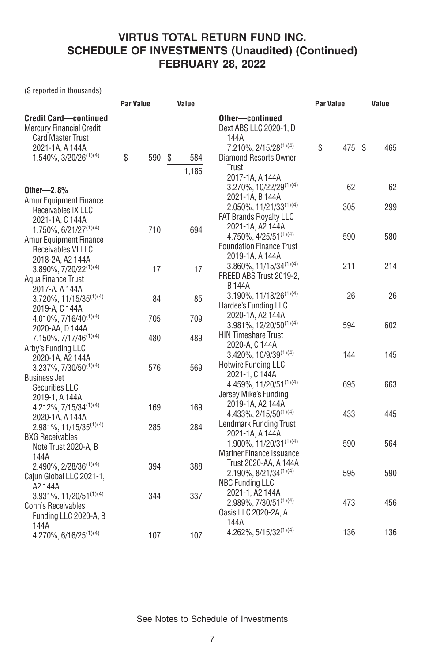(\$ reported in thousands)

|                                                                                              | Par Value |     | Value |              |                                                                                          | Par Value | Value |     |
|----------------------------------------------------------------------------------------------|-----------|-----|-------|--------------|------------------------------------------------------------------------------------------|-----------|-------|-----|
| <b>Credit Card-continued</b><br><b>Mercury Financial Credit</b><br><b>Card Master Trust</b>  |           |     |       |              | Other-continued<br>Dext ABS LLC 2020-1, D<br>144A                                        | \$<br>475 | -\$   | 465 |
| 2021-1A, A 144A<br>1.540%, 3/20/26 <sup>(1)(4)</sup>                                         | \$        | 590 | \$    | 584<br>1,186 | 7.210%, 2/15/28 <sup>(1)(4)</sup><br>Diamond Resorts Owner<br>Trust<br>2017-1A, A 144A   |           |       |     |
| Other $-2.8%$                                                                                |           |     |       |              | 3.270%, 10/22/29 <sup>(1)(4)</sup><br>2021-1A, B 144A                                    | 62        |       | 62  |
| <b>Amur Equipment Finance</b><br>Receivables IX LLC<br>2021-1A, C 144A                       |           |     |       |              | $2.050\%, 11/21/33^{(1)(4)}$<br><b>FAT Brands Royalty LLC</b><br>2021-1A, A2 144A        | 305       |       | 299 |
| $1.750\%$ , 6/21/27 <sup>(1)(4)</sup><br><b>Amur Equipment Finance</b><br>Receivables VI LLC |           | 710 |       | 694          | $4.750\%$ , $4/25/51^{(1)(4)}$<br><b>Foundation Finance Trust</b><br>2019-1A, A 144A     | 590       |       | 580 |
| 2018-2A, A2 144A<br>3.890%, 7/20/22 <sup>(1)(4)</sup><br>Aqua Finance Trust                  |           | 17  |       | 17           | $3.860\%$ , 11/15/34 <sup>(1)(4)</sup><br>FREED ABS Trust 2019-2.<br><b>B144A</b>        | 211       |       | 214 |
| 2017-A, A 144A<br>3.720%, 11/15/35 <sup>(1)(4)</sup><br>2019-A, C 144A                       |           | 84  |       | 85           | 3.190%, 11/18/26 <sup>(1)(4)</sup><br>Hardee's Funding LLC                               | 26        |       | 26  |
| 4.010%, 7/16/40 <sup>(1)(4)</sup><br>2020-AA, D 144A                                         |           | 705 |       | 709          | 2020-1A, A2 144A<br>$3.981\%$ , 12/20/50 <sup>(1)(4)</sup><br><b>HIN Timeshare Trust</b> | 594       |       | 602 |
| 7.150%, 7/17/46 <sup>(1)(4)</sup><br>Arby's Funding LLC<br>2020-1A, A2 144A                  |           | 480 |       | 489          | 2020-A, C 144A<br>3.420%, 10/9/39(1)(4)<br><b>Hotwire Funding LLC</b>                    | 144       |       | 145 |
| 3.237%, 7/30/50(1)(4)<br><b>Business Jet</b><br><b>Securities LLC</b>                        |           | 576 |       | 569          | 2021-1, C 144A<br>$4.459\%, 11/20/51^{(1)(4)}$<br>Jersey Mike's Funding                  | 695       |       | 663 |
| 2019-1, A 144A<br>$4.212\%, 7/15/34^{(1)(4)}$<br>2020-1A, A 144A                             |           | 169 |       | 169          | 2019-1A, A2 144A<br>4.433%, 2/15/50(1)(4)<br><b>Lendmark Funding Trust</b>               | 433       |       | 445 |
| 2.981%, 11/15/35 <sup>(1)(4)</sup><br><b>BXG Receivables</b><br>Note Trust 2020-A, B         |           | 285 |       | 284          | 2021-1A, A 144A<br>1.900%, $11/20/31^{(1)(4)}$<br><b>Mariner Finance Issuance</b>        | 590       |       | 564 |
| 144A<br>2.490%, 2/28/36 <sup>(1)(4)</sup><br>Cajun Global LLC 2021-1,<br>A2144A              |           | 394 |       | 388          | Trust 2020-AA, A 144A<br>$2.190\%, 8/21/34^{(1)(4)}$<br><b>NBC Funding LLC</b>           | 595       |       | 590 |
| 3.931%, 11/20/51(1)(4)<br><b>Conn's Receivables</b><br>Funding LLC 2020-A, B                 |           | 344 |       | 337          | 2021-1, A2 144A<br>$2.989\%, 7/30/51^{(1)(4)}$<br>Oasis LLC 2020-2A, A                   | 473       |       | 456 |
| 144A<br>4.270%, 6/16/25 <sup>(1)(4)</sup>                                                    |           | 107 |       | 107          | 144A<br>4.262%, 5/15/32(1)(4)                                                            | 136       |       | 136 |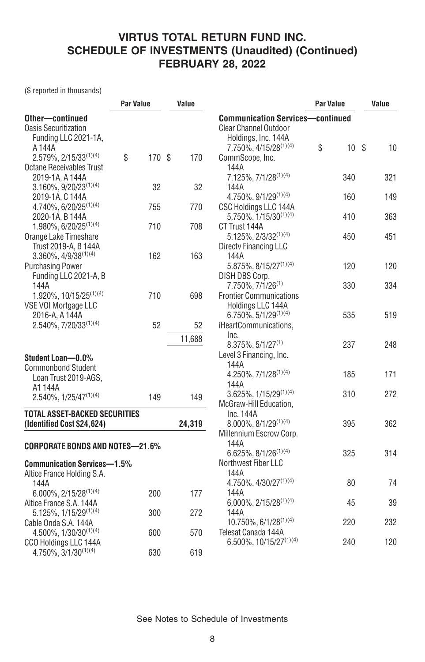(\$ reported in thousands)

|                                        | <b>Par Value</b> |        | Value  |                                         | <b>Par Value</b> | Value |  |
|----------------------------------------|------------------|--------|--------|-----------------------------------------|------------------|-------|--|
| Other-continued                        |                  |        |        | <b>Communication Services-continued</b> |                  |       |  |
| <b>Oasis Securitization</b>            |                  |        |        | <b>Clear Channel Outdoor</b>            |                  |       |  |
| Funding LLC 2021-1A,                   |                  |        |        | Holdings, Inc. 144A                     |                  |       |  |
| A 144A                                 |                  |        |        | 7.750%, 4/15/28 <sup>(1)(4)</sup>       | \$<br>10S        | 10    |  |
| $2.579\%$ , 2/15/33 <sup>(1)(4)</sup>  | \$               | 170 \$ | 170    | CommScope, Inc.                         |                  |       |  |
| <b>Octane Receivables Trust</b>        |                  |        |        | 144A                                    |                  |       |  |
| 2019-1A, A 144A                        |                  |        |        | 7.125%, 7/1/28(1)(4)                    | 340              | 321   |  |
| $3.160\%$ , $9/20/23^{(1)(4)}$         |                  | 32     | 32     | 144A                                    |                  |       |  |
| 2019-1A, C 144A                        |                  |        |        | $4.750\%$ , $9/1/29^{(1)(4)}$           | 160              | 149   |  |
| $4.740\%$ , 6/20/25 <sup>(1)(4)</sup>  |                  | 755    | 770    | CSC Holdings LLC 144A                   |                  |       |  |
| 2020-1A, B 144A                        |                  |        |        | $5.750\%$ , $1/15/30^{(1)(4)}$          | 410              | 363   |  |
| $1.980\%$ , 6/20/25 <sup>(1)(4)</sup>  |                  | 710    | 708    | CT Trust 144A                           |                  |       |  |
| Orange Lake Timeshare                  |                  |        |        | $5.125\%$ , $2/3/32^{(1)(4)}$           | 450              | 451   |  |
| Trust 2019-A, B 144A                   |                  |        |        | Directy Financing LLC                   |                  |       |  |
| $3.360\%, 4/9/38^{(1)(4)}$             |                  | 162    | 163    | 144A                                    |                  |       |  |
| <b>Purchasing Power</b>                |                  |        |        | $5.875\%$ , $8/15/27^{(1)(4)}$          | 120              | 120   |  |
| Funding LLC 2021-A, B                  |                  |        |        | DISH DBS Corp.                          |                  |       |  |
| 144A                                   |                  |        |        | 7.750%, 7/1/26 <sup>(1)</sup>           | 330              | 334   |  |
| 1.920%, 10/15/25 <sup>(1)(4)</sup>     |                  | 710    | 698    | <b>Frontier Communications</b>          |                  |       |  |
| VSE VOI Mortgage LLC                   |                  |        |        | Holdings LLC 144A                       |                  |       |  |
| 2016-A, A 144A                         |                  |        |        | $6.750\%$ , 5/1/29 <sup>(1)(4)</sup>    | 535              | 519   |  |
| 2.540%, 7/20/33(1)(4)                  |                  | 52     | 52     | iHeartCommunications,                   |                  |       |  |
|                                        |                  |        | 11,688 | Inc.                                    |                  |       |  |
|                                        |                  |        |        | 8.375%, 5/1/27(1)                       | 237              | 248   |  |
| Student Loan-0.0%                      |                  |        |        | Level 3 Financing, Inc.                 |                  |       |  |
| <b>Commonbond Student</b>              |                  |        |        | 144A                                    |                  |       |  |
| Loan Trust 2019-AGS,                   |                  |        |        | $4.250\%$ , $7/1/28^{(1)(4)}$           | 185              | 171   |  |
| A1 144A                                |                  |        |        | 144A                                    |                  |       |  |
| $2.540\%, 1/25/47^{(1)(4)}$            |                  | 149    | 149    | $3.625\%$ , $1/15/29^{(1)(4)}$          | 310              | 272   |  |
|                                        |                  |        |        | McGraw-Hill Education,                  |                  |       |  |
| TOTAL ASSET-BACKED SECURITIES          |                  |        |        | Inc. 144A                               |                  |       |  |
| (Identified Cost \$24,624)             |                  |        | 24,319 | $8.000\%$ , $8/1/29^{(1)(4)}$           | 395              | 362   |  |
|                                        |                  |        |        | Millennium Escrow Corp.                 |                  |       |  |
| <b>CORPORATE BONDS AND NOTES-21.6%</b> |                  |        |        | 144A                                    |                  |       |  |
|                                        |                  |        |        | $6.625\%, 8/1/26^{(1)(4)}$              | 325              | 314   |  |
| <b>Communication Services-1.5%</b>     |                  |        |        | Northwest Fiber LLC                     |                  |       |  |
| Altice France Holding S.A.             |                  |        |        | 144A                                    |                  |       |  |
| 144A                                   |                  |        |        | 4.750%, 4/30/27(1)(4)                   | 80               | 74    |  |
| $6.000\%$ , 2/15/28 <sup>(1)(4)</sup>  |                  | 200    | 177    | 144A                                    |                  |       |  |
| Altice France S.A. 144A                |                  |        |        | $6.000\%$ , 2/15/28 <sup>(1)(4)</sup>   | 45               | 39    |  |
| 5.125%, 1/15/29 <sup>(1)(4)</sup>      |                  | 300    | 272    | 144A                                    |                  |       |  |
| Cable Onda S.A. 144A                   |                  |        |        | 10.750%, 6/1/28(1)(4)                   | 220              | 232   |  |
| 4.500%, 1/30/30 <sup>(1)(4)</sup>      |                  | 600    | 570    | Telesat Canada 144A                     |                  |       |  |
| CCO Holdings LLC 144A                  |                  |        |        | 6.500%, 10/15/27(1)(4)                  | 240              | 120   |  |
| $4.750\%, 3/1/30^{(1)(4)}$             |                  | 630    | 619    |                                         |                  |       |  |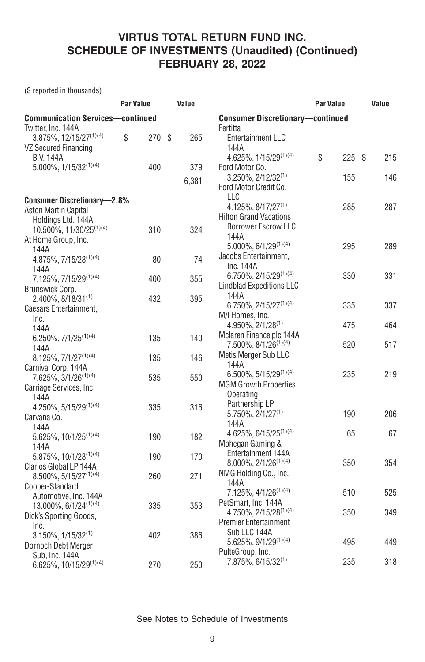(\$ reported in thousands)

| <b>Communication Services-continued</b><br><b>Consumer Discretionary-continued</b><br>Twitter, Inc. 144A<br>Fertitta<br>$3.875\%, 12/15/27^{(1)(4)}$<br>\$<br>270<br>\$<br>265<br>Entertainment LLC<br><b>VZ Secured Financing</b><br>144A<br>\$<br>4.625%, $1/15/29^{(1)(4)}$<br><b>B.V. 144A</b><br>225S<br>215<br>5.000%, 1/15/32(1)(4)<br>400<br>379<br>Ford Motor Co.<br>3.250%, 2/12/32(1)<br>155<br>146<br>6,381<br>Ford Motor Credit Co.<br>LLC<br><b>Consumer Discretionary-2.8%</b><br>$4.125\%, 8/17/27^{(1)}$<br>285<br>287<br><b>Aston Martin Capital</b><br><b>Hilton Grand Vacations</b><br>Holdings Ltd. 144A<br><b>Borrower Escrow LLC</b><br>10.500%, 11/30/25 <sup>(1)(4)</sup><br>310<br>324<br>144A<br>At Home Group, Inc.<br>$5.000\%$ , $6/1/29^{(1)(4)}$<br>289<br>295<br>144A<br>Jacobs Entertainment,<br>4.875%, 7/15/28 <sup>(1)(4)</sup><br>74<br>80<br>Inc. 144A<br>144A<br>6.750%, 2/15/29(1)(4)<br>330<br>331<br>7.125%, 7/15/29(1)(4)<br>400<br>355<br><b>Lindblad Expeditions LLC</b><br>Brunswick Corp.<br>144A<br>2.400%, 8/18/31(1)<br>432<br>395<br>6.750%, 2/15/27 <sup>(1)(4)</sup><br>335<br>337<br>Caesars Entertainment,<br>M/I Homes, Inc.<br>Inc.<br>4.950%, 2/1/28 <sup>(1)</sup><br>475<br>464<br>144A<br>Mclaren Finance plc 144A<br>$6.250\%, 7/1/25^{(1)(4)}$<br>135<br>140<br>7.500%, 8/1/26 <sup>(1)(4)</sup><br>517<br>520<br>144A<br>Metis Merger Sub LLC<br>$8.125\%, 7/1/27^{(1)(4)}$<br>135<br>146<br>144A<br>Carnival Corp. 144A<br>$6.500\%$ , 5/15/29 <sup>(1)(4)</sup><br>219<br>235<br>7.625%, 3/1/26 <sup>(1)(4)</sup><br>535<br>550<br><b>MGM Growth Properties</b><br>Carriage Services, Inc.<br>Operating<br>144A<br>Partnership LP<br>$4.250\%, 5/15/29^{(1)(4)}$<br>335<br>316<br>206<br>$5.750\%$ , $2/1/27^{(1)}$<br>190<br>Carvana Co.<br>144A<br>144A<br>$4.625\%, 6/15/25^{(1)(4)}$<br>65<br>67<br>5.625%, 10/1/25 <sup>(1)(4)</sup><br>190<br>182<br>Mohegan Gaming &<br>144A<br>Entertainment 144A<br>$5.875\%, 10/1/28^{(1)(4)}$<br>190<br>170<br>8.000%, 2/1/26 <sup>(1)(4)</sup><br>350<br>354<br>Clarios Global LP 144A<br>NMG Holding Co., Inc.<br>$8.500\%, 5/15/27^{(1)(4)}$<br>260<br>271<br>144A<br>Cooper-Standard<br>7.125%, 4/1/26 <sup>(1)(4)</sup><br>510<br>525<br>Automotive, Inc. 144A<br>PetSmart, Inc. 144A<br>$13.000\%$ , 6/1/24 <sup>(1)(4)</sup><br>335<br>353<br>4.750%, 2/15/28 <sup>(1)(4)</sup><br>349<br>350<br>Dick's Sporting Goods,<br>Premier Entertainment<br>Inc.<br>Sub LLC 144A<br>$3.150\%, 1/15/32^{(1)}$<br>402<br>386<br>5.625%, 9/1/29(1)(4)<br>495<br>449<br>Dornoch Debt Merger<br>PulteGroup, Inc.<br>Sub, Inc. 144A<br>318<br>7.875%, 6/15/32 <sup>(1)</sup><br>235 |                        | <b>Par Value</b> |     | Value |     | <b>Par Value</b> |  | Value |  |
|--------------------------------------------------------------------------------------------------------------------------------------------------------------------------------------------------------------------------------------------------------------------------------------------------------------------------------------------------------------------------------------------------------------------------------------------------------------------------------------------------------------------------------------------------------------------------------------------------------------------------------------------------------------------------------------------------------------------------------------------------------------------------------------------------------------------------------------------------------------------------------------------------------------------------------------------------------------------------------------------------------------------------------------------------------------------------------------------------------------------------------------------------------------------------------------------------------------------------------------------------------------------------------------------------------------------------------------------------------------------------------------------------------------------------------------------------------------------------------------------------------------------------------------------------------------------------------------------------------------------------------------------------------------------------------------------------------------------------------------------------------------------------------------------------------------------------------------------------------------------------------------------------------------------------------------------------------------------------------------------------------------------------------------------------------------------------------------------------------------------------------------------------------------------------------------------------------------------------------------------------------------------------------------------------------------------------------------------------------------------------------------------------------------------------------------------------------------------------------------------------------------------------------------------------------------------------------------------------------------------------------------------------------------------------------------------|------------------------|------------------|-----|-------|-----|------------------|--|-------|--|
|                                                                                                                                                                                                                                                                                                                                                                                                                                                                                                                                                                                                                                                                                                                                                                                                                                                                                                                                                                                                                                                                                                                                                                                                                                                                                                                                                                                                                                                                                                                                                                                                                                                                                                                                                                                                                                                                                                                                                                                                                                                                                                                                                                                                                                                                                                                                                                                                                                                                                                                                                                                                                                                                                            |                        |                  |     |       |     |                  |  |       |  |
|                                                                                                                                                                                                                                                                                                                                                                                                                                                                                                                                                                                                                                                                                                                                                                                                                                                                                                                                                                                                                                                                                                                                                                                                                                                                                                                                                                                                                                                                                                                                                                                                                                                                                                                                                                                                                                                                                                                                                                                                                                                                                                                                                                                                                                                                                                                                                                                                                                                                                                                                                                                                                                                                                            |                        |                  |     |       |     |                  |  |       |  |
|                                                                                                                                                                                                                                                                                                                                                                                                                                                                                                                                                                                                                                                                                                                                                                                                                                                                                                                                                                                                                                                                                                                                                                                                                                                                                                                                                                                                                                                                                                                                                                                                                                                                                                                                                                                                                                                                                                                                                                                                                                                                                                                                                                                                                                                                                                                                                                                                                                                                                                                                                                                                                                                                                            |                        |                  |     |       |     |                  |  |       |  |
|                                                                                                                                                                                                                                                                                                                                                                                                                                                                                                                                                                                                                                                                                                                                                                                                                                                                                                                                                                                                                                                                                                                                                                                                                                                                                                                                                                                                                                                                                                                                                                                                                                                                                                                                                                                                                                                                                                                                                                                                                                                                                                                                                                                                                                                                                                                                                                                                                                                                                                                                                                                                                                                                                            |                        |                  |     |       |     |                  |  |       |  |
|                                                                                                                                                                                                                                                                                                                                                                                                                                                                                                                                                                                                                                                                                                                                                                                                                                                                                                                                                                                                                                                                                                                                                                                                                                                                                                                                                                                                                                                                                                                                                                                                                                                                                                                                                                                                                                                                                                                                                                                                                                                                                                                                                                                                                                                                                                                                                                                                                                                                                                                                                                                                                                                                                            |                        |                  |     |       |     |                  |  |       |  |
|                                                                                                                                                                                                                                                                                                                                                                                                                                                                                                                                                                                                                                                                                                                                                                                                                                                                                                                                                                                                                                                                                                                                                                                                                                                                                                                                                                                                                                                                                                                                                                                                                                                                                                                                                                                                                                                                                                                                                                                                                                                                                                                                                                                                                                                                                                                                                                                                                                                                                                                                                                                                                                                                                            |                        |                  |     |       |     |                  |  |       |  |
|                                                                                                                                                                                                                                                                                                                                                                                                                                                                                                                                                                                                                                                                                                                                                                                                                                                                                                                                                                                                                                                                                                                                                                                                                                                                                                                                                                                                                                                                                                                                                                                                                                                                                                                                                                                                                                                                                                                                                                                                                                                                                                                                                                                                                                                                                                                                                                                                                                                                                                                                                                                                                                                                                            |                        |                  |     |       |     |                  |  |       |  |
|                                                                                                                                                                                                                                                                                                                                                                                                                                                                                                                                                                                                                                                                                                                                                                                                                                                                                                                                                                                                                                                                                                                                                                                                                                                                                                                                                                                                                                                                                                                                                                                                                                                                                                                                                                                                                                                                                                                                                                                                                                                                                                                                                                                                                                                                                                                                                                                                                                                                                                                                                                                                                                                                                            |                        |                  |     |       |     |                  |  |       |  |
|                                                                                                                                                                                                                                                                                                                                                                                                                                                                                                                                                                                                                                                                                                                                                                                                                                                                                                                                                                                                                                                                                                                                                                                                                                                                                                                                                                                                                                                                                                                                                                                                                                                                                                                                                                                                                                                                                                                                                                                                                                                                                                                                                                                                                                                                                                                                                                                                                                                                                                                                                                                                                                                                                            |                        |                  |     |       |     |                  |  |       |  |
|                                                                                                                                                                                                                                                                                                                                                                                                                                                                                                                                                                                                                                                                                                                                                                                                                                                                                                                                                                                                                                                                                                                                                                                                                                                                                                                                                                                                                                                                                                                                                                                                                                                                                                                                                                                                                                                                                                                                                                                                                                                                                                                                                                                                                                                                                                                                                                                                                                                                                                                                                                                                                                                                                            |                        |                  |     |       |     |                  |  |       |  |
|                                                                                                                                                                                                                                                                                                                                                                                                                                                                                                                                                                                                                                                                                                                                                                                                                                                                                                                                                                                                                                                                                                                                                                                                                                                                                                                                                                                                                                                                                                                                                                                                                                                                                                                                                                                                                                                                                                                                                                                                                                                                                                                                                                                                                                                                                                                                                                                                                                                                                                                                                                                                                                                                                            |                        |                  |     |       |     |                  |  |       |  |
|                                                                                                                                                                                                                                                                                                                                                                                                                                                                                                                                                                                                                                                                                                                                                                                                                                                                                                                                                                                                                                                                                                                                                                                                                                                                                                                                                                                                                                                                                                                                                                                                                                                                                                                                                                                                                                                                                                                                                                                                                                                                                                                                                                                                                                                                                                                                                                                                                                                                                                                                                                                                                                                                                            |                        |                  |     |       |     |                  |  |       |  |
|                                                                                                                                                                                                                                                                                                                                                                                                                                                                                                                                                                                                                                                                                                                                                                                                                                                                                                                                                                                                                                                                                                                                                                                                                                                                                                                                                                                                                                                                                                                                                                                                                                                                                                                                                                                                                                                                                                                                                                                                                                                                                                                                                                                                                                                                                                                                                                                                                                                                                                                                                                                                                                                                                            |                        |                  |     |       |     |                  |  |       |  |
|                                                                                                                                                                                                                                                                                                                                                                                                                                                                                                                                                                                                                                                                                                                                                                                                                                                                                                                                                                                                                                                                                                                                                                                                                                                                                                                                                                                                                                                                                                                                                                                                                                                                                                                                                                                                                                                                                                                                                                                                                                                                                                                                                                                                                                                                                                                                                                                                                                                                                                                                                                                                                                                                                            |                        |                  |     |       |     |                  |  |       |  |
|                                                                                                                                                                                                                                                                                                                                                                                                                                                                                                                                                                                                                                                                                                                                                                                                                                                                                                                                                                                                                                                                                                                                                                                                                                                                                                                                                                                                                                                                                                                                                                                                                                                                                                                                                                                                                                                                                                                                                                                                                                                                                                                                                                                                                                                                                                                                                                                                                                                                                                                                                                                                                                                                                            |                        |                  |     |       |     |                  |  |       |  |
|                                                                                                                                                                                                                                                                                                                                                                                                                                                                                                                                                                                                                                                                                                                                                                                                                                                                                                                                                                                                                                                                                                                                                                                                                                                                                                                                                                                                                                                                                                                                                                                                                                                                                                                                                                                                                                                                                                                                                                                                                                                                                                                                                                                                                                                                                                                                                                                                                                                                                                                                                                                                                                                                                            |                        |                  |     |       |     |                  |  |       |  |
|                                                                                                                                                                                                                                                                                                                                                                                                                                                                                                                                                                                                                                                                                                                                                                                                                                                                                                                                                                                                                                                                                                                                                                                                                                                                                                                                                                                                                                                                                                                                                                                                                                                                                                                                                                                                                                                                                                                                                                                                                                                                                                                                                                                                                                                                                                                                                                                                                                                                                                                                                                                                                                                                                            |                        |                  |     |       |     |                  |  |       |  |
|                                                                                                                                                                                                                                                                                                                                                                                                                                                                                                                                                                                                                                                                                                                                                                                                                                                                                                                                                                                                                                                                                                                                                                                                                                                                                                                                                                                                                                                                                                                                                                                                                                                                                                                                                                                                                                                                                                                                                                                                                                                                                                                                                                                                                                                                                                                                                                                                                                                                                                                                                                                                                                                                                            |                        |                  |     |       |     |                  |  |       |  |
|                                                                                                                                                                                                                                                                                                                                                                                                                                                                                                                                                                                                                                                                                                                                                                                                                                                                                                                                                                                                                                                                                                                                                                                                                                                                                                                                                                                                                                                                                                                                                                                                                                                                                                                                                                                                                                                                                                                                                                                                                                                                                                                                                                                                                                                                                                                                                                                                                                                                                                                                                                                                                                                                                            |                        |                  |     |       |     |                  |  |       |  |
|                                                                                                                                                                                                                                                                                                                                                                                                                                                                                                                                                                                                                                                                                                                                                                                                                                                                                                                                                                                                                                                                                                                                                                                                                                                                                                                                                                                                                                                                                                                                                                                                                                                                                                                                                                                                                                                                                                                                                                                                                                                                                                                                                                                                                                                                                                                                                                                                                                                                                                                                                                                                                                                                                            |                        |                  |     |       |     |                  |  |       |  |
|                                                                                                                                                                                                                                                                                                                                                                                                                                                                                                                                                                                                                                                                                                                                                                                                                                                                                                                                                                                                                                                                                                                                                                                                                                                                                                                                                                                                                                                                                                                                                                                                                                                                                                                                                                                                                                                                                                                                                                                                                                                                                                                                                                                                                                                                                                                                                                                                                                                                                                                                                                                                                                                                                            |                        |                  |     |       |     |                  |  |       |  |
|                                                                                                                                                                                                                                                                                                                                                                                                                                                                                                                                                                                                                                                                                                                                                                                                                                                                                                                                                                                                                                                                                                                                                                                                                                                                                                                                                                                                                                                                                                                                                                                                                                                                                                                                                                                                                                                                                                                                                                                                                                                                                                                                                                                                                                                                                                                                                                                                                                                                                                                                                                                                                                                                                            |                        |                  |     |       |     |                  |  |       |  |
|                                                                                                                                                                                                                                                                                                                                                                                                                                                                                                                                                                                                                                                                                                                                                                                                                                                                                                                                                                                                                                                                                                                                                                                                                                                                                                                                                                                                                                                                                                                                                                                                                                                                                                                                                                                                                                                                                                                                                                                                                                                                                                                                                                                                                                                                                                                                                                                                                                                                                                                                                                                                                                                                                            |                        |                  |     |       |     |                  |  |       |  |
|                                                                                                                                                                                                                                                                                                                                                                                                                                                                                                                                                                                                                                                                                                                                                                                                                                                                                                                                                                                                                                                                                                                                                                                                                                                                                                                                                                                                                                                                                                                                                                                                                                                                                                                                                                                                                                                                                                                                                                                                                                                                                                                                                                                                                                                                                                                                                                                                                                                                                                                                                                                                                                                                                            |                        |                  |     |       |     |                  |  |       |  |
|                                                                                                                                                                                                                                                                                                                                                                                                                                                                                                                                                                                                                                                                                                                                                                                                                                                                                                                                                                                                                                                                                                                                                                                                                                                                                                                                                                                                                                                                                                                                                                                                                                                                                                                                                                                                                                                                                                                                                                                                                                                                                                                                                                                                                                                                                                                                                                                                                                                                                                                                                                                                                                                                                            |                        |                  |     |       |     |                  |  |       |  |
|                                                                                                                                                                                                                                                                                                                                                                                                                                                                                                                                                                                                                                                                                                                                                                                                                                                                                                                                                                                                                                                                                                                                                                                                                                                                                                                                                                                                                                                                                                                                                                                                                                                                                                                                                                                                                                                                                                                                                                                                                                                                                                                                                                                                                                                                                                                                                                                                                                                                                                                                                                                                                                                                                            |                        |                  |     |       |     |                  |  |       |  |
|                                                                                                                                                                                                                                                                                                                                                                                                                                                                                                                                                                                                                                                                                                                                                                                                                                                                                                                                                                                                                                                                                                                                                                                                                                                                                                                                                                                                                                                                                                                                                                                                                                                                                                                                                                                                                                                                                                                                                                                                                                                                                                                                                                                                                                                                                                                                                                                                                                                                                                                                                                                                                                                                                            |                        |                  |     |       |     |                  |  |       |  |
|                                                                                                                                                                                                                                                                                                                                                                                                                                                                                                                                                                                                                                                                                                                                                                                                                                                                                                                                                                                                                                                                                                                                                                                                                                                                                                                                                                                                                                                                                                                                                                                                                                                                                                                                                                                                                                                                                                                                                                                                                                                                                                                                                                                                                                                                                                                                                                                                                                                                                                                                                                                                                                                                                            |                        |                  |     |       |     |                  |  |       |  |
|                                                                                                                                                                                                                                                                                                                                                                                                                                                                                                                                                                                                                                                                                                                                                                                                                                                                                                                                                                                                                                                                                                                                                                                                                                                                                                                                                                                                                                                                                                                                                                                                                                                                                                                                                                                                                                                                                                                                                                                                                                                                                                                                                                                                                                                                                                                                                                                                                                                                                                                                                                                                                                                                                            |                        |                  |     |       |     |                  |  |       |  |
|                                                                                                                                                                                                                                                                                                                                                                                                                                                                                                                                                                                                                                                                                                                                                                                                                                                                                                                                                                                                                                                                                                                                                                                                                                                                                                                                                                                                                                                                                                                                                                                                                                                                                                                                                                                                                                                                                                                                                                                                                                                                                                                                                                                                                                                                                                                                                                                                                                                                                                                                                                                                                                                                                            |                        |                  |     |       |     |                  |  |       |  |
|                                                                                                                                                                                                                                                                                                                                                                                                                                                                                                                                                                                                                                                                                                                                                                                                                                                                                                                                                                                                                                                                                                                                                                                                                                                                                                                                                                                                                                                                                                                                                                                                                                                                                                                                                                                                                                                                                                                                                                                                                                                                                                                                                                                                                                                                                                                                                                                                                                                                                                                                                                                                                                                                                            |                        |                  |     |       |     |                  |  |       |  |
|                                                                                                                                                                                                                                                                                                                                                                                                                                                                                                                                                                                                                                                                                                                                                                                                                                                                                                                                                                                                                                                                                                                                                                                                                                                                                                                                                                                                                                                                                                                                                                                                                                                                                                                                                                                                                                                                                                                                                                                                                                                                                                                                                                                                                                                                                                                                                                                                                                                                                                                                                                                                                                                                                            |                        |                  |     |       |     |                  |  |       |  |
|                                                                                                                                                                                                                                                                                                                                                                                                                                                                                                                                                                                                                                                                                                                                                                                                                                                                                                                                                                                                                                                                                                                                                                                                                                                                                                                                                                                                                                                                                                                                                                                                                                                                                                                                                                                                                                                                                                                                                                                                                                                                                                                                                                                                                                                                                                                                                                                                                                                                                                                                                                                                                                                                                            |                        |                  |     |       |     |                  |  |       |  |
|                                                                                                                                                                                                                                                                                                                                                                                                                                                                                                                                                                                                                                                                                                                                                                                                                                                                                                                                                                                                                                                                                                                                                                                                                                                                                                                                                                                                                                                                                                                                                                                                                                                                                                                                                                                                                                                                                                                                                                                                                                                                                                                                                                                                                                                                                                                                                                                                                                                                                                                                                                                                                                                                                            |                        |                  |     |       |     |                  |  |       |  |
|                                                                                                                                                                                                                                                                                                                                                                                                                                                                                                                                                                                                                                                                                                                                                                                                                                                                                                                                                                                                                                                                                                                                                                                                                                                                                                                                                                                                                                                                                                                                                                                                                                                                                                                                                                                                                                                                                                                                                                                                                                                                                                                                                                                                                                                                                                                                                                                                                                                                                                                                                                                                                                                                                            |                        |                  |     |       |     |                  |  |       |  |
|                                                                                                                                                                                                                                                                                                                                                                                                                                                                                                                                                                                                                                                                                                                                                                                                                                                                                                                                                                                                                                                                                                                                                                                                                                                                                                                                                                                                                                                                                                                                                                                                                                                                                                                                                                                                                                                                                                                                                                                                                                                                                                                                                                                                                                                                                                                                                                                                                                                                                                                                                                                                                                                                                            |                        |                  |     |       |     |                  |  |       |  |
|                                                                                                                                                                                                                                                                                                                                                                                                                                                                                                                                                                                                                                                                                                                                                                                                                                                                                                                                                                                                                                                                                                                                                                                                                                                                                                                                                                                                                                                                                                                                                                                                                                                                                                                                                                                                                                                                                                                                                                                                                                                                                                                                                                                                                                                                                                                                                                                                                                                                                                                                                                                                                                                                                            |                        |                  |     |       |     |                  |  |       |  |
|                                                                                                                                                                                                                                                                                                                                                                                                                                                                                                                                                                                                                                                                                                                                                                                                                                                                                                                                                                                                                                                                                                                                                                                                                                                                                                                                                                                                                                                                                                                                                                                                                                                                                                                                                                                                                                                                                                                                                                                                                                                                                                                                                                                                                                                                                                                                                                                                                                                                                                                                                                                                                                                                                            |                        |                  |     |       |     |                  |  |       |  |
|                                                                                                                                                                                                                                                                                                                                                                                                                                                                                                                                                                                                                                                                                                                                                                                                                                                                                                                                                                                                                                                                                                                                                                                                                                                                                                                                                                                                                                                                                                                                                                                                                                                                                                                                                                                                                                                                                                                                                                                                                                                                                                                                                                                                                                                                                                                                                                                                                                                                                                                                                                                                                                                                                            |                        |                  |     |       |     |                  |  |       |  |
|                                                                                                                                                                                                                                                                                                                                                                                                                                                                                                                                                                                                                                                                                                                                                                                                                                                                                                                                                                                                                                                                                                                                                                                                                                                                                                                                                                                                                                                                                                                                                                                                                                                                                                                                                                                                                                                                                                                                                                                                                                                                                                                                                                                                                                                                                                                                                                                                                                                                                                                                                                                                                                                                                            |                        |                  |     |       |     |                  |  |       |  |
|                                                                                                                                                                                                                                                                                                                                                                                                                                                                                                                                                                                                                                                                                                                                                                                                                                                                                                                                                                                                                                                                                                                                                                                                                                                                                                                                                                                                                                                                                                                                                                                                                                                                                                                                                                                                                                                                                                                                                                                                                                                                                                                                                                                                                                                                                                                                                                                                                                                                                                                                                                                                                                                                                            |                        |                  |     |       |     |                  |  |       |  |
|                                                                                                                                                                                                                                                                                                                                                                                                                                                                                                                                                                                                                                                                                                                                                                                                                                                                                                                                                                                                                                                                                                                                                                                                                                                                                                                                                                                                                                                                                                                                                                                                                                                                                                                                                                                                                                                                                                                                                                                                                                                                                                                                                                                                                                                                                                                                                                                                                                                                                                                                                                                                                                                                                            |                        |                  |     |       |     |                  |  |       |  |
|                                                                                                                                                                                                                                                                                                                                                                                                                                                                                                                                                                                                                                                                                                                                                                                                                                                                                                                                                                                                                                                                                                                                                                                                                                                                                                                                                                                                                                                                                                                                                                                                                                                                                                                                                                                                                                                                                                                                                                                                                                                                                                                                                                                                                                                                                                                                                                                                                                                                                                                                                                                                                                                                                            |                        |                  |     |       |     |                  |  |       |  |
|                                                                                                                                                                                                                                                                                                                                                                                                                                                                                                                                                                                                                                                                                                                                                                                                                                                                                                                                                                                                                                                                                                                                                                                                                                                                                                                                                                                                                                                                                                                                                                                                                                                                                                                                                                                                                                                                                                                                                                                                                                                                                                                                                                                                                                                                                                                                                                                                                                                                                                                                                                                                                                                                                            |                        |                  |     |       |     |                  |  |       |  |
|                                                                                                                                                                                                                                                                                                                                                                                                                                                                                                                                                                                                                                                                                                                                                                                                                                                                                                                                                                                                                                                                                                                                                                                                                                                                                                                                                                                                                                                                                                                                                                                                                                                                                                                                                                                                                                                                                                                                                                                                                                                                                                                                                                                                                                                                                                                                                                                                                                                                                                                                                                                                                                                                                            |                        |                  |     |       |     |                  |  |       |  |
|                                                                                                                                                                                                                                                                                                                                                                                                                                                                                                                                                                                                                                                                                                                                                                                                                                                                                                                                                                                                                                                                                                                                                                                                                                                                                                                                                                                                                                                                                                                                                                                                                                                                                                                                                                                                                                                                                                                                                                                                                                                                                                                                                                                                                                                                                                                                                                                                                                                                                                                                                                                                                                                                                            | 6.625%, 10/15/29(1)(4) |                  | 270 |       | 250 |                  |  |       |  |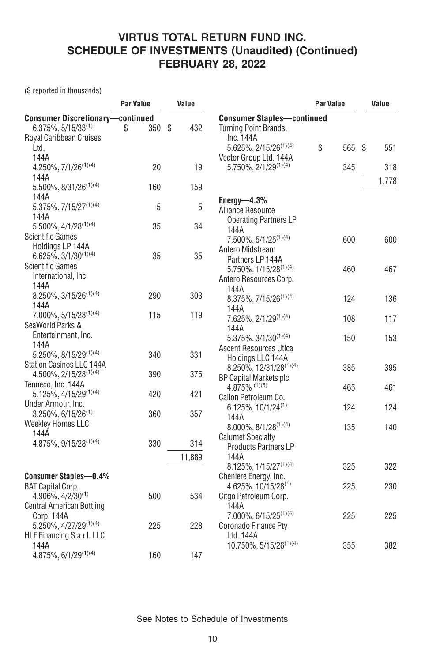(\$ reported in thousands)

|                                         | Par Value | Value      |                                             | Par Value | Value |           |
|-----------------------------------------|-----------|------------|---------------------------------------------|-----------|-------|-----------|
| <b>Consumer Discretionary-continued</b> |           |            | <b>Consumer Staples-continued</b>           |           |       |           |
| $6.375\%, 5/15/33^{(1)}$                | 350<br>\$ | -\$<br>432 | Turning Point Brands,                       |           |       |           |
| Royal Caribbean Cruises                 |           |            | Inc. 144A                                   |           |       |           |
| Ltd.                                    |           |            | 5.625%, 2/15/26 <sup>(1)(4)</sup>           | \$        | 565   | \$<br>551 |
| 144A                                    |           |            | Vector Group Ltd. 144A                      |           |       |           |
| 4.250%, $7/1/26^{(1)(4)}$               | 20        | 19         | 5.750%, 2/1/29 <sup>(1)(4)</sup>            |           | 345   | 318       |
| 144A                                    |           |            |                                             |           |       | 1,778     |
| $5.500\%$ , $8/31/26^{(1)(4)}$          | 160       | 159        |                                             |           |       |           |
| 144A                                    |           |            | Energy- $4.3\%$                             |           |       |           |
| 5.375%, 7/15/27(1)(4)                   | 5         | 5          | Alliance Resource                           |           |       |           |
| 144A                                    |           |            | <b>Operating Partners LP</b>                |           |       |           |
| $5.500\%$ , $4/1/28^{(1)(4)}$           | 35        | 34         | 144A                                        |           |       |           |
| <b>Scientific Games</b>                 |           |            | $7.500\%$ , $5/1/25^{(1)(4)}$               |           | 600   | 600       |
| Holdings LP 144A                        |           |            | Antero Midstream                            |           |       |           |
| $6.625\%, 3/1/30^{(1)(4)}$              | 35        | 35         | Partners LP 144A                            |           |       |           |
| <b>Scientific Games</b>                 |           |            | 5.750%, 1/15/28 <sup>(1)(4)</sup>           |           | 460   | 467       |
| International, Inc.                     |           |            | Antero Resources Corp.                      |           |       |           |
| 144A                                    |           |            | 144A                                        |           |       |           |
| $8.250\%$ , 3/15/26 <sup>(1)(4)</sup>   | 290       | 303        | 8.375%, 7/15/26 <sup>(1)(4)</sup>           |           | 124   | 136       |
| 144A                                    |           |            | 144A                                        |           |       |           |
| 7.000%, 5/15/28 <sup>(1)(4)</sup>       | 115       | 119        | 7.625%, 2/1/29 <sup>(1)(4)</sup>            |           | 108   | 117       |
| SeaWorld Parks &                        |           |            | 144A                                        |           |       |           |
| Entertainment, Inc.                     |           |            | 5.375%, 3/1/30 <sup>(1)(4)</sup>            |           | 150   | 153       |
| 144A                                    |           |            | <b>Ascent Resources Utica</b>               |           |       |           |
| $5.250\%$ , $8/15/29^{(1)(4)}$          | 340       | 331        |                                             |           |       |           |
| Station Casinos LLC 144A                |           |            | Holdings LLC 144A<br>8.250%, 12/31/28(1)(4) |           | 385   | 395       |
| $4.500\%$ , $2/15/28^{(1)(4)}$          | 390       | 375        |                                             |           |       |           |
| Tenneco, Inc. 144A                      |           |            | BP Capital Markets plc<br>4.875% (1)(6)     |           | 465   | 461       |
| $5.125\%$ , 4/15/29 <sup>(1)(4)</sup>   | 420       | 421        | Callon Petroleum Co.                        |           |       |           |
| Under Armour, Inc.                      |           |            |                                             |           |       |           |
| $3.250\%$ , 6/15/26 <sup>(1)</sup>      | 360       | 357        | $6.125\%$ , 10/1/24 <sup>(1)</sup>          |           | 124   | 124       |
| <b>Weekley Homes LLC</b>                |           |            | 144A                                        |           |       | 140       |
| 144A                                    |           |            | $8.000\%$ , $8/1/28^{(1)(4)}$               |           | 135   |           |
| 4.875%, 9/15/28(1)(4)                   | 330       | 314        | <b>Calumet Specialty</b>                    |           |       |           |
|                                         |           |            | <b>Products Partners LP</b>                 |           |       |           |
|                                         |           | 11,889     | 144A                                        |           |       |           |
|                                         |           |            | $8.125\%$ , $1/15/27^{(1)(4)}$              |           | 325   | 322       |
| <b>Consumer Staples-0.4%</b>            |           |            | Cheniere Energy, Inc.                       |           |       |           |
| <b>BAT Capital Corp.</b>                |           |            | $4.625\%$ , 10/15/28 <sup>(1)</sup>         |           | 225   | 230       |
| $4.906\%, 4/2/30^{(1)}$                 | 500       | 534        | Citgo Petroleum Corp.                       |           |       |           |
| <b>Central American Bottling</b>        |           |            | 144A                                        |           |       |           |
| Corp. 144A                              |           |            | $7.000\%$ , 6/15/25 <sup>(1)(4)</sup>       |           | 225   | 225       |
| 5.250%, 4/27/29 <sup>(1)(4)</sup>       | 225       | 228        | Coronado Finance Pty                        |           |       |           |
| HLF Financing S.a.r.I. LLC              |           |            | Ltd. 144A                                   |           |       |           |
| 144A                                    |           |            | 10.750%, 5/15/26 <sup>(1)(4)</sup>          |           | 355   | 382       |
| $4.875\%, 6/1/29^{(1)(4)}$              | 160       | 147        |                                             |           |       |           |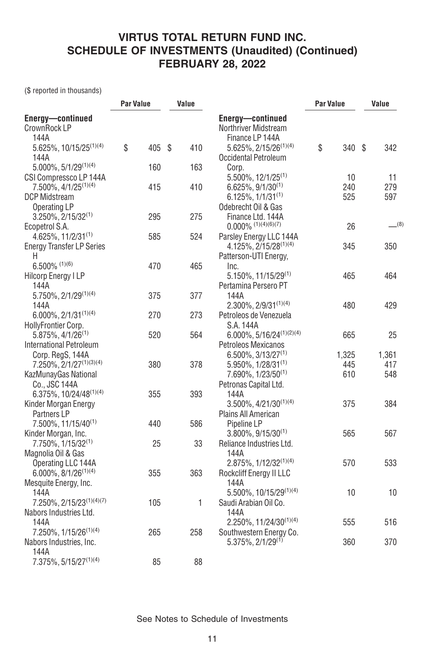(\$ reported in thousands)

|                                                                                             |    | <b>Par Value</b> |  | Value |                                                                                                             | <b>Par Value</b> |                  | Value |                  |
|---------------------------------------------------------------------------------------------|----|------------------|--|-------|-------------------------------------------------------------------------------------------------------------|------------------|------------------|-------|------------------|
| Energy-continued<br>CrownRock LP<br>144A                                                    |    |                  |  |       | Energy-continued<br>Northriver Midstream<br>Finance LP 144A                                                 |                  |                  |       |                  |
| 5.625%, 10/15/25 <sup>(1)(4)</sup><br>144A                                                  | \$ | 405 \$           |  | 410   | $5.625\%, 2/15/26^{(1)(4)}$<br>Occidental Petroleum                                                         | \$               | 340 \$           |       | 342              |
| $5.000\%, 5/1/29^{(1)(4)}$                                                                  |    | 160              |  | 163   | Corp.                                                                                                       |                  |                  |       |                  |
| CSI Compressco LP 144A<br>7.500%, 4/1/25 <sup>(1)(4)</sup><br>DCP Midstream<br>Operating LP |    | 415              |  | 410   | 5.500%, 12/1/25 <sup>(1)</sup><br>$6.625\%, 9/1/30^{(1)}$<br>$6.125\%, 1/1/31^{(1)}$<br>Odebrecht Oil & Gas |                  | 10<br>240<br>525 |       | 11<br>279<br>597 |
| $3.250\%$ , $2/15/32^{(1)}$<br>Ecopetrol S.A.                                               |    | 295              |  | 275   | Finance Ltd. 144A<br>$0.000\%$ (1)(4)(6)(7)                                                                 |                  | 26               |       | $-^{(8)}$        |
| 4.625%, 11/2/31 <sup>(1)</sup><br><b>Energy Transfer LP Series</b>                          |    | 585              |  | 524   | Parsley Energy LLC 144A<br>$4.125\%$ , 2/15/28 <sup>(1)(4)</sup>                                            |                  | 345              |       | 350              |
| Η<br>$6.500\%$ (1)(6)<br><b>Hilcorp Energy I LP</b>                                         |    | 470              |  | 465   | Patterson-UTI Energy,<br>Inc.<br>$5.150\%$ , 11/15/29 <sup>(1)</sup>                                        |                  | 465              |       | 464              |
| 144A<br>5.750%, 2/1/29(1)(4)                                                                |    | 375              |  | 377   | Pertamina Persero PT<br>144A                                                                                |                  |                  |       |                  |
| 144A<br>$6.000\%$ , $2/1/31^{(1)(4)}$                                                       |    | 270              |  | 273   | $2.300\%$ , $2/9/31^{(1)(4)}$<br>Petroleos de Venezuela                                                     |                  | 480              |       | 429              |
| HollyFrontier Corp.<br>$5.875\%$ , 4/1/26 <sup>(1)</sup><br><b>International Petroleum</b>  |    | 520              |  | 564   | S.A. 144A<br>$6.000\%$ , 5/16/24 <sup>(1)(2)(4)</sup>                                                       |                  | 665              |       | 25               |
| Corp. RegS, 144A<br>$7.250\%, 2/1/27^{(1)(3)(4)}$                                           |    | 380              |  | 378   | Petroleos Mexicanos<br>$6.500\%$ , 3/13/27 <sup>(1)</sup><br>$5.950\%$ , 1/28/31 <sup>(1)</sup>             |                  | 1,325<br>445     |       | 1,361<br>417     |
| KazMunayGas National<br>Co., JSC 144A                                                       |    |                  |  |       | 7.690%, 1/23/50 <sup>(1)</sup><br>Petronas Capital Ltd.                                                     |                  | 610              |       | 548              |
| 6.375%, 10/24/48(1)(4)<br>Kinder Morgan Energy<br>Partners LP                               |    | 355              |  | 393   | 144A<br>$3.500\%, 4/21/30^{(1)(4)}$<br>Plains All American                                                  |                  | 375              |       | 384              |
| 7.500%, 11/15/40 <sup>(1)</sup><br>Kinder Morgan, Inc.                                      |    | 440              |  | 586   | Pipeline LP<br>$3.800\%, 9/15/30^{(1)}$                                                                     |                  | 565              |       | 567              |
| $7.750\%$ , 1/15/32 <sup>(1)</sup><br>Magnolia Oil & Gas                                    |    | 25               |  | 33    | Reliance Industries Ltd.<br>144A                                                                            |                  |                  |       |                  |
| Operating LLC 144A<br>$6.000\%$ , $8/1/26^{(1)(4)}$<br>Mesquite Energy, Inc.                |    | 355              |  | 363   | $2.875\%, 1/12/32^{(1)(4)}$<br>Rockcliff Energy II LLC<br>144A                                              |                  | 570              |       | 533              |
| 144A<br>7.250%, 2/15/23(1)(4)(7)                                                            |    | 105              |  | 1     | 5.500%, 10/15/29(1)(4)<br>Saudi Arabian Oil Co.                                                             |                  | 10               |       | 10               |
| Nabors Industries Ltd.<br>144A                                                              |    |                  |  |       | 144A<br>$2.250\%$ , 11/24/30 <sup>(1)(4)</sup>                                                              |                  | 555              |       | 516              |
| $7.250\%$ , $1/15/26^{(1)(4)}$<br>Nabors Industries, Inc.                                   |    | 265              |  | 258   | Southwestern Energy Co.<br>5.375%, 2/1/29 <sup>(1)</sup>                                                    |                  | 360              |       | 370              |
| 144A<br>7.375%, 5/15/27(1)(4)                                                               |    | 85               |  | 88    |                                                                                                             |                  |                  |       |                  |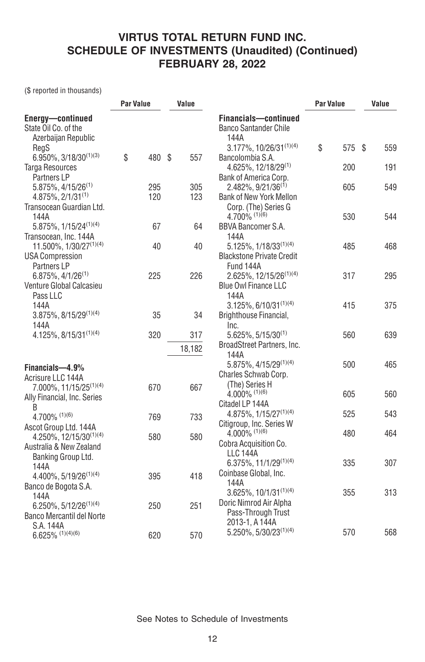(\$ reported in thousands)

|                                                                                       | <b>Par Value</b> |  | Value         |                                                                                 | <b>Par Value</b> |     | Value |     |
|---------------------------------------------------------------------------------------|------------------|--|---------------|---------------------------------------------------------------------------------|------------------|-----|-------|-----|
| Energy-continued<br>State Oil Co. of the<br>Azerbaijan Republic                       |                  |  |               | Financials-continued<br><b>Banco Santander Chile</b><br>144A                    |                  |     |       |     |
| RegS                                                                                  |                  |  |               | 3.177%, 10/26/31(1)(4)                                                          | \$               | 575 | Ŝ.    | 559 |
| $6.950\%$ , 3/18/30 <sup>(1)(3)</sup><br><b>Targa Resources</b><br><b>Partners LP</b> | \$<br>480 \$     |  | 557           | Bancolombia S.A.<br>$4.625\%, 12/18/29^{(1)}$<br>Bank of America Corp.          |                  | 200 |       | 191 |
| $5.875\%$ , 4/15/26 <sup>(1)</sup><br>4.875%, 2/1/31(1)                               | 295<br>120       |  | 305<br>123    | $2.482\%$ , 9/21/36 <sup>(1)</sup><br>Bank of New York Mellon                   |                  | 605 |       | 549 |
| Transocean Guardian Ltd.<br>144A                                                      |                  |  |               | Corp. (The) Series G<br>$4.700\%$ (1)(6)                                        |                  | 530 |       | 544 |
| $5.875\%$ , $1/15/24^{(1)(4)}$<br>Transocean, Inc. 144A                               | 67               |  | 64            | <b>BBVA Bancomer S.A.</b><br>144A                                               |                  |     |       |     |
| 11.500%, 1/30/27(1)(4)<br><b>USA Compression</b><br>Partners LP                       | 40               |  | 40            | $5.125\%$ , $1/18/33^{(1)(4)}$<br><b>Blackstone Private Credit</b><br>Fund 144A |                  | 485 |       | 468 |
| 6.875%, 4/1/26(1)<br>Venture Global Calcasieu                                         | 225              |  | 226           | 2.625%, 12/15/26 <sup>(1)(4)</sup><br><b>Blue Owl Finance LLC</b>               |                  | 317 |       | 295 |
| Pass LLC<br>144A                                                                      |                  |  |               | 144A<br>$3.125\%$ , 6/10/31 <sup>(1)(4)</sup>                                   |                  | 415 |       | 375 |
| $3.875\%$ , $8/15/29^{(1)(4)}$<br>144A                                                | 35               |  | 34            | Brighthouse Financial,<br>Inc.                                                  |                  |     |       |     |
| 4.125%, 8/15/31(1)(4)                                                                 | 320              |  | 317<br>18,182 | $5.625\%, 5/15/30^{(1)}$<br>BroadStreet Partners, Inc.                          |                  | 560 |       | 639 |
| Financials-4.9%                                                                       |                  |  |               | 144A<br>$5.875\%$ , 4/15/29 <sup>(1)(4)</sup>                                   |                  | 500 |       | 465 |
| Acrisure LLC 144A<br>7.000%, 11/15/25 <sup>(1)(4)</sup>                               | 670              |  | 667           | Charles Schwab Corp.<br>(The) Series H                                          |                  |     |       |     |
| Ally Financial, Inc. Series<br>B                                                      |                  |  |               | $4.000\%$ (1)(6)<br>Citadel LP 144A                                             |                  | 605 |       | 560 |
| 4.700% (1)(6)<br>Ascot Group Ltd. 144A                                                | 769              |  | 733           | 4.875%, 1/15/27 <sup>(1)(4)</sup><br>Citigroup, Inc. Series W                   |                  | 525 |       | 543 |
| 4.250%, 12/15/30 <sup>(1)(4)</sup><br>Australia & New Zealand                         | 580              |  | 580           | $4.000\%$ (1)(6)<br>Cobra Acquisition Co.<br><b>LLC 144A</b>                    |                  | 480 |       | 464 |
| Banking Group Ltd.<br>144A<br>$4.400\%, 5/19/26^{(1)(4)}$                             | 395              |  | 418           | 6.375%, 11/1/29(1)(4)<br>Coinbase Global, Inc.                                  |                  | 335 |       | 307 |
| Banco de Bogota S.A.<br>144A                                                          |                  |  |               | 144A<br>$3.625\%$ , 10/1/31 <sup>(1)(4)</sup>                                   |                  | 355 |       | 313 |
| $6.250\%$ , $5/12/26^{(1)(4)}$<br><b>Banco Mercantil del Norte</b>                    | 250              |  | 251           | Doric Nimrod Air Alpha<br>Pass-Through Trust<br>2013-1, A 144A                  |                  |     |       |     |
| S.A. 144A<br>$6.625\%$ (1)(4)(6)                                                      | 620              |  | 570           | $5.250\%$ , $5/30/23^{(1)(4)}$                                                  |                  | 570 |       | 568 |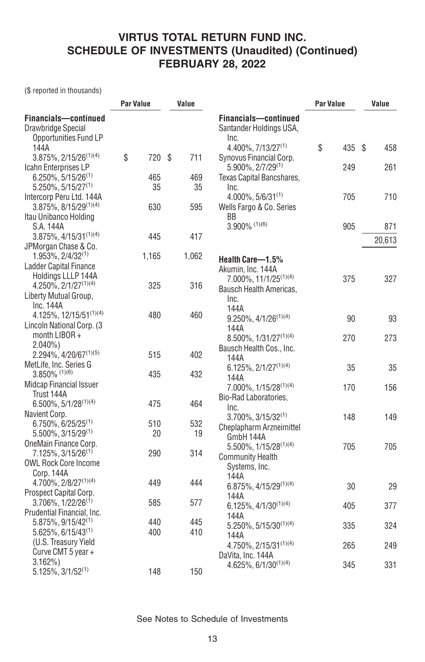(\$ reported in thousands)

|                                                                     | <b>Par Value</b> |        | Value |       |                                                         | Par Value |     | Value |        |
|---------------------------------------------------------------------|------------------|--------|-------|-------|---------------------------------------------------------|-----------|-----|-------|--------|
| Financials-continued<br>Drawbridge Special<br>Opportunities Fund LP |                  |        |       |       | Financials-continued<br>Santander Holdings USA,<br>Inc. |           |     |       |        |
| 144A                                                                |                  |        |       |       | 4.400%, 7/13/27 <sup>(1)</sup>                          | \$        | 435 | \$    | 458    |
| $3.875\%, 2/15/26^{(1)(4)}$<br>Icahn Enterprises LP                 | \$               | 720 \$ |       | 711   | Synovus Financial Corp.<br>$5.900\%$ , $2/7/29^{(1)}$   |           | 249 |       | 261    |
| $6.250\%$ , 5/15/26 <sup>(1)</sup>                                  |                  | 465    |       | 469   | Texas Capital Bancshares,                               |           |     |       |        |
| $5.250\%$ , 5/15/27 <sup>(1)</sup>                                  |                  | 35     |       | 35    | Inc.                                                    |           |     |       |        |
| Intercorp Peru Ltd. 144A                                            |                  |        |       |       | $4.000\%$ , 5/6/31 <sup>(1)</sup>                       |           | 705 |       | 710    |
| $3.875\%$ , $8/15/29^{(1)(4)}$                                      |                  | 630    |       | 595   | Wells Fargo & Co. Series                                |           |     |       |        |
| Itau Unibanco Holding                                               |                  |        |       |       | BB                                                      |           |     |       |        |
| S.A. 144A                                                           |                  |        |       |       | $3.900\%$ (1)(6)                                        |           | 905 |       | 871    |
| $3.875\%$ , $4/15/31^{(1)(4)}$                                      |                  | 445    |       | 417   |                                                         |           |     |       | 20,613 |
| JPMorgan Chase & Co.                                                |                  |        |       |       |                                                         |           |     |       |        |
| $1.953\%, 2/4/32^{(1)}$                                             |                  | 1,165  |       | 1,062 | Health Care-1.5%                                        |           |     |       |        |
| <b>Ladder Capital Finance</b>                                       |                  |        |       |       | Akumin, Inc. 144A                                       |           |     |       |        |
| Holdings LLLP 144A                                                  |                  |        |       |       | 7.000%, 11/1/25 <sup>(1)(4)</sup>                       |           | 375 |       | 327    |
| $4.250\%, 2/1/27^{(1)(4)}$                                          |                  | 325    |       | 316   | Bausch Health Americas,                                 |           |     |       |        |
| Liberty Mutual Group,                                               |                  |        |       |       | Inc.                                                    |           |     |       |        |
| Inc. 144A                                                           |                  |        |       |       | 144A                                                    |           |     |       |        |
| 4.125%, 12/15/51(1)(4)                                              |                  | 480    |       | 460   | $9.250\%, 4/1/26^{(1)(4)}$                              |           | 90  |       | 93     |
| Lincoln National Corp. (3)                                          |                  |        |       |       | 144A                                                    |           |     |       |        |
| month LIBOR +                                                       |                  |        |       |       | $8.500\%$ , $1/31/27^{(1)(4)}$                          |           | 270 |       | 273    |
| $2.040\%$                                                           |                  |        |       |       | Bausch Health Cos., Inc.                                |           |     |       |        |
| 2.294%, 4/20/67 <sup>(1)(5)</sup>                                   |                  | 515    |       | 402   | 144A                                                    |           |     |       |        |
| MetLife, Inc. Series G                                              |                  |        |       |       | $6.125\%, 2/1/27^{(1)(4)}$                              |           | 35  |       | 35     |
| $3.850\%$ (1)(6)                                                    |                  | 435    |       | 432   | 144A                                                    |           |     |       |        |
| <b>Midcap Financial Issuer</b>                                      |                  |        |       |       | 7.000%, 1/15/28 <sup>(1)(4)</sup>                       |           | 170 |       | 156    |
| Trust 144A                                                          |                  |        |       |       | Bio-Rad Laboratories,                                   |           |     |       |        |
| $6.500\%$ , $5/1/28^{(1)(4)}$                                       |                  | 475    |       | 464   | Inc.                                                    |           |     |       |        |
| Navient Corp.                                                       |                  |        |       |       | $3.700\%$ , $3/15/32^{(1)}$                             |           | 148 |       | 149    |
| $6.750\%, 6/25/25^{(1)}$                                            |                  | 510    |       | 532   | Cheplapharm Arzneimittel                                |           |     |       |        |
| 5.500%, 3/15/29 <sup>(1)</sup>                                      |                  | 20     |       | 19    | GmbH 144A                                               |           |     |       |        |
| OneMain Finance Corp.<br>$7.125\%$ , 3/15/26 <sup>(1)</sup>         |                  | 290    |       | 314   | 5.500%, 1/15/28 <sup>(1)(4)</sup>                       |           | 705 |       | 705    |
| <b>OWL Rock Core Income</b>                                         |                  |        |       |       | <b>Community Health</b>                                 |           |     |       |        |
| Corp. 144A                                                          |                  |        |       |       | Systems, Inc.                                           |           |     |       |        |
| 4.700%, 2/8/27 <sup>(1)(4)</sup>                                    |                  | 449    |       | 444   | 144A                                                    |           |     |       |        |
| Prospect Capital Corp.                                              |                  |        |       |       | 6.875%, 4/15/29(1)(4)                                   |           | 30  |       | 29     |
| $3.706\%$ , $1/22/26^{(1)}$                                         |                  | 585    |       | 577   | 144A                                                    |           |     |       |        |
| Prudential Financial, Inc.                                          |                  |        |       |       | $6.125\%, 4/1/30^{(1)(4)}$                              |           | 405 |       | 377    |
| $5.875\%$ , 9/15/42 <sup>(1)</sup>                                  |                  | 440    |       | 445   | 144A                                                    |           |     |       |        |
| $5.625\%, 6/15/43^{(1)}$                                            |                  | 400    |       | 410   | 5.250%, 5/15/30 <sup>(1)(4)</sup>                       |           | 335 |       | 324    |
| (U.S. Treasury Yield                                                |                  |        |       |       | 144A                                                    |           |     |       |        |
| Curve CMT 5 year +                                                  |                  |        |       |       | $4.750\%, 2/15/31^{(1)(4)}$                             |           | 265 |       | 249    |
| $3.162\%$                                                           |                  |        |       |       | DaVita, Inc. 144A                                       |           |     |       |        |
| 5.125%, 3/1/52(1)                                                   |                  | 148    |       | 150   | 4.625%, 6/1/30(1)(4)                                    |           | 345 |       | 331    |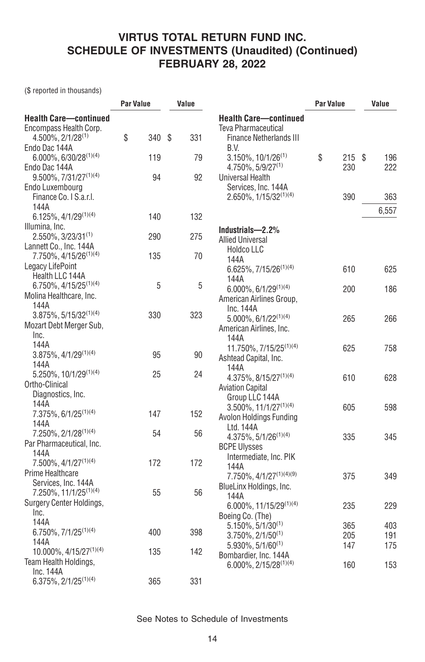(\$ reported in thousands)

|                                                                                      | <b>Par Value</b> |     | Value |     |                                                                                       | <b>Par Value</b> |     | Value |       |
|--------------------------------------------------------------------------------------|------------------|-----|-------|-----|---------------------------------------------------------------------------------------|------------------|-----|-------|-------|
| <b>Health Care-continued</b><br>Encompass Health Corp.<br>$4.500\%$ , $2/1/28^{(1)}$ | \$               | 340 | S     | 331 | <b>Health Care-continued</b><br>Teva Pharmaceutical<br><b>Finance Netherlands III</b> |                  |     |       |       |
| Endo Dac 144A                                                                        |                  |     |       |     | B.V.                                                                                  |                  |     |       |       |
| $6.000\%$ , $6/30/28^{(1)(4)}$                                                       |                  | 119 |       | 79  | $3.150\%$ , 10/1/26 <sup>(1)</sup>                                                    | \$               | 215 | \$    | 196   |
| Endo Dac 144A                                                                        |                  |     |       |     | $4.750\%$ , 5/9/27 <sup>(1)</sup>                                                     | 230              |     |       | 222   |
| 9.500%, 7/31/27 <sup>(1)(4)</sup>                                                    |                  | 94  |       | 92  | Universal Health                                                                      |                  |     |       |       |
| Endo Luxembourg<br>Finance Co. I S.a.r.l.<br>144A                                    |                  |     |       |     | Services, Inc. 144A<br>2.650%, 1/15/32(1)(4)                                          | 390              |     |       | 363   |
| 6.125%, 4/1/29(1)(4)                                                                 |                  | 140 |       | 132 |                                                                                       |                  |     |       | 6,557 |
| Illumina, Inc.                                                                       |                  |     |       |     |                                                                                       |                  |     |       |       |
| $2.550\%$ , 3/23/31 <sup>(1)</sup>                                                   |                  | 290 |       | 275 | Industrials-2.2%                                                                      |                  |     |       |       |
| Lannett Co., Inc. 144A                                                               |                  |     |       |     | <b>Allied Universal</b>                                                               |                  |     |       |       |
| 7.750%, 4/15/26 <sup>(1)(4)</sup>                                                    |                  | 135 |       | 70  | <b>Holdco LLC</b>                                                                     |                  |     |       |       |
| Legacy LifePoint                                                                     |                  |     |       |     | 144A                                                                                  |                  |     |       |       |
| Health LLC 144A                                                                      |                  |     |       |     | $6.625\%, 7/15/26^{(1)(4)}$                                                           | 610              |     |       | 625   |
| 6.750%, 4/15/25 <sup>(1)(4)</sup>                                                    |                  | 5   |       | 5   | 144A                                                                                  |                  |     |       |       |
| Molina Healthcare, Inc.                                                              |                  |     |       |     | $6.000\%$ , $6/1/29^{(1)(4)}$                                                         | 200              |     |       | 186   |
| 144A                                                                                 |                  |     |       |     | American Airlines Group,<br>Inc. 144A                                                 |                  |     |       |       |
| $3.875\%$ , $5/15/32^{(1)(4)}$                                                       |                  | 330 |       | 323 | $5.000\%$ , $6/1/22^{(1)(4)}$                                                         | 265              |     |       | 266   |
| Mozart Debt Merger Sub,                                                              |                  |     |       |     | American Airlines, Inc.                                                               |                  |     |       |       |
| Inc.                                                                                 |                  |     |       |     | 144A                                                                                  |                  |     |       |       |
| 144A                                                                                 |                  |     |       |     | 11.750%, 7/15/25 <sup>(1)(4)</sup>                                                    | 625              |     |       | 758   |
| $3.875\%, 4/1/29^{(1)(4)}$                                                           |                  | 95  |       | 90  | Ashtead Capital, Inc.                                                                 |                  |     |       |       |
| 144A                                                                                 |                  |     |       |     | 144A                                                                                  |                  |     |       |       |
| $5.250\%$ , 10/1/29 <sup>(1)(4)</sup>                                                |                  | 25  |       | 24  | $4.375\%$ , $8/15/27^{(1)(4)}$                                                        | 610              |     |       | 628   |
| Ortho-Clinical                                                                       |                  |     |       |     | <b>Aviation Capital</b>                                                               |                  |     |       |       |
| Diagnostics, Inc.                                                                    |                  |     |       |     | Group LLC 144A                                                                        |                  |     |       |       |
| 144A                                                                                 |                  |     |       |     | $3.500\%$ , $11/1/27^{(1)(4)}$                                                        | 605              |     |       | 598   |
| 7.375%, 6/1/25 <sup>(1)(4)</sup>                                                     |                  | 147 |       | 152 | Avolon Holdings Funding                                                               |                  |     |       |       |
| 144A                                                                                 |                  |     |       |     | Ltd. 144A                                                                             |                  |     |       |       |
| 7.250%, 2/1/28 <sup>(1)(4)</sup>                                                     |                  | 54  |       | 56  | $4.375\%, 5/1/26^{(1)(4)}$                                                            | 335              |     |       | 345   |
| Par Pharmaceutical, Inc.                                                             |                  |     |       |     | <b>BCPE Ulysses</b>                                                                   |                  |     |       |       |
| 144A                                                                                 |                  |     |       |     | Intermediate, Inc. PIK                                                                |                  |     |       |       |
| 7.500%, 4/1/27 <sup>(1)(4)</sup>                                                     |                  | 172 |       | 172 | 144A                                                                                  |                  |     |       |       |
| Prime Healthcare                                                                     |                  |     |       |     | 7.750%, 4/1/27 <sup>(1)(4)(9)</sup>                                                   | 375              |     |       | 349   |
| Services, Inc. 144A<br>7.250%, 11/1/25 <sup>(1)(4)</sup>                             |                  | 55  |       | 56  | BlueLinx Holdings, Inc.                                                               |                  |     |       |       |
| Surgery Center Holdings,                                                             |                  |     |       |     | 144A                                                                                  |                  |     |       |       |
| Inc.                                                                                 |                  |     |       |     | $6.000\%$ , 11/15/29 <sup>(1)(4)</sup>                                                | 235              |     |       | 229   |
| 144A                                                                                 |                  |     |       |     | Boeing Co. (The)                                                                      |                  |     |       |       |
| 6.750%, 7/1/25 <sup>(1)(4)</sup>                                                     |                  | 400 |       | 398 | $5.150\%$ , 5/1/30 <sup>(1)</sup>                                                     | 365              |     |       | 403   |
| 144A                                                                                 |                  |     |       |     | $3.750\%$ , $2/1/50^{(1)}$                                                            | 205              |     |       | 191   |
| 10.000%, 4/15/27 <sup>(1)(4)</sup>                                                   |                  | 135 |       | 142 | $5.930\%$ , 5/1/60 <sup>(1)</sup>                                                     | 147              |     |       | 175   |
| Team Health Holdings,                                                                |                  |     |       |     | Bombardier, Inc. 144A                                                                 |                  |     |       |       |
| Inc. 144A                                                                            |                  |     |       |     | 6.000%, 2/15/28(1)(4)                                                                 | 160              |     |       | 153   |
| $6.375\%, 2/1/25^{(1)(4)}$                                                           |                  | 365 |       | 331 |                                                                                       |                  |     |       |       |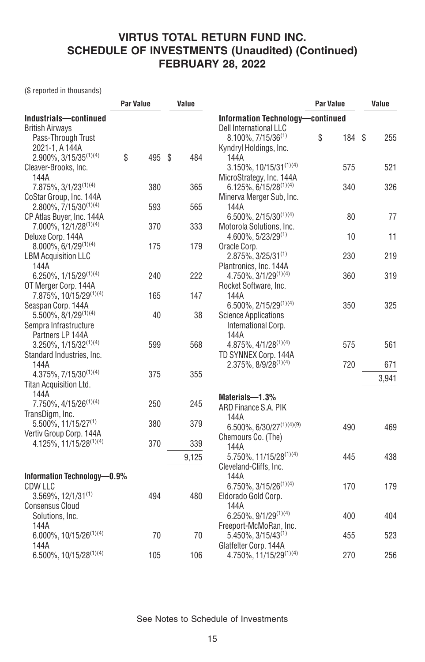(\$ reported in thousands)

|                                     | <b>Par Value</b> |      | Value |                                        | <b>Par Value</b> |        | Value |       |
|-------------------------------------|------------------|------|-------|----------------------------------------|------------------|--------|-------|-------|
| Industrials-continued               |                  |      |       | Information Technology-continued       |                  |        |       |       |
| <b>British Airways</b>              |                  |      |       | Dell International LLC                 |                  |        |       |       |
| Pass-Through Trust                  |                  |      |       | $8.100\%$ , $7/15/36^{(1)}$            | \$               | 184 \$ |       | 255   |
| 2021-1, A 144A                      |                  |      |       | Kyndryl Holdings, Inc.                 |                  |        |       |       |
| 2.900%, 3/15/35 <sup>(1)(4)</sup>   | \$<br>495        | - \$ | 484   | 144A                                   |                  |        |       |       |
| Cleaver-Brooks, Inc.                |                  |      |       | $3.150\%$ , 10/15/31 <sup>(1)(4)</sup> |                  | 575    |       | 521   |
| 144A                                |                  |      |       | MicroStrategy, Inc. 144A               |                  |        |       |       |
| $7.875\%, 3/1/23^{(1)(4)}$          | 380              |      | 365   | $6.125\%$ , 6/15/28 <sup>(1)(4)</sup>  |                  | 340    |       | 326   |
| CoStar Group, Inc. 144A             |                  |      |       | Minerva Merger Sub, Inc.               |                  |        |       |       |
| $2.800\%$ , $7/15/30^{(1)(4)}$      | 593              |      | 565   | 144A                                   |                  |        |       |       |
| CP Atlas Buyer, Inc. 144A           |                  |      |       | 6.500%, 2/15/30(1)(4)                  |                  | 80     |       | 77    |
| 7.000%, 12/1/28 <sup>(1)(4)</sup>   | 370              |      | 333   | Motorola Solutions, Inc.               |                  |        |       |       |
| Deluxe Corp. 144A                   |                  |      |       | $4.600\%$ , 5/23/29 <sup>(1)</sup>     |                  | 10     |       | 11    |
| 8.000%, 6/1/29(1)(4)                | 175              |      | 179   | Oracle Corp.                           |                  |        |       |       |
| <b>LBM Acquisition LLC</b>          |                  |      |       | $2.875\%, 3/25/31^{(1)}$               |                  | 230    |       | 219   |
| 144A                                |                  |      |       | Plantronics, Inc. 144A                 |                  |        |       |       |
| 6.250%, 1/15/29(1)(4)               | 240              |      | 222   | $4.750\%$ , $3/1/29^{(1)(4)}$          |                  | 360    |       | 319   |
| OT Merger Corp. 144A                |                  |      |       | Rocket Software, Inc.                  |                  |        |       |       |
| 7.875%, 10/15/29(1)(4)              | 165              |      | 147   | 144A                                   |                  |        |       |       |
| Seaspan Corp. 144A                  |                  |      |       | 6.500%, 2/15/29(1)(4)                  |                  | 350    |       | 325   |
| 5.500%, 8/1/29(1)(4)                | 40               |      | 38    | <b>Science Applications</b>            |                  |        |       |       |
| Sempra Infrastructure               |                  |      |       | International Corp.                    |                  |        |       |       |
| Partners LP 144A                    |                  |      |       | 144A                                   |                  |        |       |       |
| $3.250\%$ , $1/15/32^{(1)(4)}$      | 599              |      | 568   | 4.875%, 4/1/28 <sup>(1)(4)</sup>       |                  | 575    |       | 561   |
| Standard Industries, Inc.           |                  |      |       | TD SYNNEX Corp. 144A                   |                  |        |       |       |
| 144A                                |                  |      |       | 2.375%, 8/9/28 <sup>(1)(4)</sup>       |                  | 720    |       | 671   |
| $4.375\%$ , $7/15/30^{(1)(4)}$      | 375              |      | 355   |                                        |                  |        |       |       |
| Titan Acquisition Ltd.              |                  |      |       |                                        |                  |        |       | 3,941 |
| 144A                                |                  |      |       |                                        |                  |        |       |       |
| $7.750\%, 4/15/26^{(1)(4)}$         | 250              |      | 245   | Materials-1.3%                         |                  |        |       |       |
| TransDigm, Inc.                     |                  |      |       | ARD Finance S.A. PIK                   |                  |        |       |       |
| $5.500\%$ , 11/15/27 <sup>(1)</sup> | 380              |      | 379   | 144A                                   |                  |        |       |       |
| Vertiv Group Corp. 144A             |                  |      |       | 6.500%, 6/30/27(1)(4)(9)               |                  | 490    |       | 469   |
| $4.125\%, 11/15/28^{(1)(4)}$        | 370              |      | 339   | Chemours Co. (The)                     |                  |        |       |       |
|                                     |                  |      |       | 144A                                   |                  |        |       |       |
|                                     |                  |      | 9,125 | 5.750%, 11/15/28(1)(4)                 |                  | 445    |       | 438   |
|                                     |                  |      |       | Cleveland-Cliffs, Inc.                 |                  |        |       |       |
| Information Technology-0.9%         |                  |      |       | 144A                                   |                  |        |       |       |
| <b>CDW LLC</b>                      |                  |      |       | $6.750\%, 3/15/26^{(1)(4)}$            |                  | 170    |       | 179   |
| $3.569\%$ , 12/1/31 <sup>(1)</sup>  | 494              |      | 480   | Eldorado Gold Corp.                    |                  |        |       |       |
| <b>Consensus Cloud</b>              |                  |      |       | 144A                                   |                  |        |       |       |
| Solutions, Inc.                     |                  |      |       | $6.250\%, 9/1/29^{(1)(4)}$             |                  | 400    |       | 404   |
| 144A                                |                  |      |       | Freeport-McMoRan, Inc.                 |                  |        |       |       |
| 6.000%, 10/15/26 <sup>(1)(4)</sup>  | 70               |      | 70    | $5.450\%$ , 3/15/43 <sup>(1)</sup>     |                  | 455    |       | 523   |
| 144A                                |                  |      |       | Glatfelter Corp. 144A                  |                  |        |       |       |
| 6.500%, 10/15/28(1)(4)              | 105              |      | 106   | 4.750%, 11/15/29(1)(4)                 |                  | 270    |       | 256   |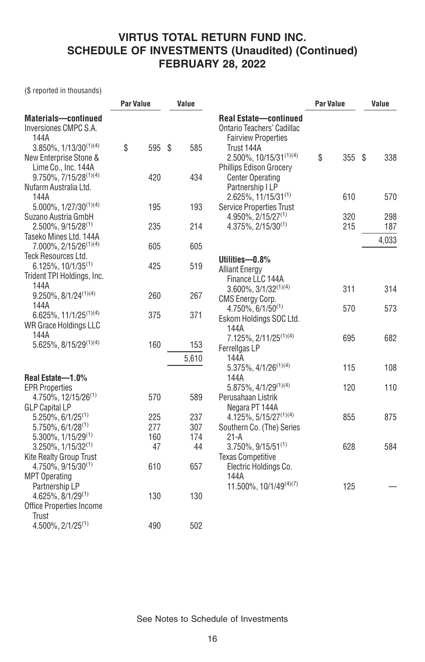(\$ reported in thousands)

|                                                                 | <b>Par Value</b> |           | Value |            |                                                                                          | <b>Par Value</b> |     | Value |       |
|-----------------------------------------------------------------|------------------|-----------|-------|------------|------------------------------------------------------------------------------------------|------------------|-----|-------|-------|
| <b>Materials-continued</b><br>Inversiones CMPC S.A.<br>144A     |                  |           |       |            | <b>Real Estate-continued</b><br>Ontario Teachers' Cadillac<br><b>Fairview Properties</b> |                  |     |       |       |
| $3.850\%$ , $1/13/30^{(1)(4)}$                                  | \$               | 595 \$    |       | 585        | Trust 144A                                                                               |                  |     |       |       |
| New Enterprise Stone &<br>Lime Co., Inc. 144A                   |                  |           |       |            | 2.500%, 10/15/31(1)(4)<br><b>Phillips Edison Grocery</b>                                 | \$               | 355 | Ŝ.    | 338   |
| 9.750%, 7/15/28(1)(4)                                           |                  | 420       |       | 434        | <b>Center Operating</b>                                                                  |                  |     |       |       |
| Nufarm Australia Ltd.                                           |                  |           |       |            | Partnership I LP                                                                         |                  |     |       |       |
| 144A<br>5.000%, 1/27/30(1)(4)                                   |                  | 195       |       | 193        | $2.625\%, 11/15/31^{(1)}$<br><b>Service Properties Trust</b>                             |                  | 610 |       | 570   |
| Suzano Austria GmbH                                             |                  |           |       |            | 4.950%, 2/15/27 <sup>(1)</sup>                                                           |                  | 320 |       | 298   |
| $2.500\%$ , $9/15/28^{(1)}$                                     |                  | 235       |       | 214        | $4.375\%$ , $2/15/30^{(1)}$                                                              |                  | 215 |       | 187   |
| Taseko Mines Ltd. 144A<br>$7.000\%$ , 2/15/26 <sup>(1)(4)</sup> |                  | 605       |       | 605        |                                                                                          |                  |     |       | 4,033 |
| Teck Resources Ltd.                                             |                  |           |       |            | Utilities-0.8%                                                                           |                  |     |       |       |
| $6.125\%, 10/1/35^{(1)}$                                        |                  | 425       |       | 519        | <b>Alliant Energy</b>                                                                    |                  |     |       |       |
| Trident TPI Holdings, Inc.<br>144A                              |                  |           |       |            | Finance LLC 144A<br>$3.600\%, 3/1/32^{(1)(4)}$                                           |                  | 311 |       | 314   |
| $9.250\%, 8/1/24^{(1)(4)}$                                      |                  | 260       |       | 267        | <b>CMS Energy Corp.</b>                                                                  |                  |     |       |       |
| 144A<br>6.625%, 11/1/25 <sup>(1)(4)</sup>                       |                  | 375       |       | 371        | $4.750\%$ , 6/1/50 <sup>(1)</sup>                                                        |                  | 570 |       | 573   |
| WR Grace Holdings LLC                                           |                  |           |       |            | Eskom Holdings SOC Ltd.<br>144A                                                          |                  |     |       |       |
| 144A                                                            |                  |           |       |            | 7.125%, 2/11/25 <sup>(1)(4)</sup>                                                        |                  | 695 |       | 682   |
| 5.625%, 8/15/29 <sup>(1)(4)</sup>                               |                  | 160       |       | 153        | Ferrellgas LP                                                                            |                  |     |       |       |
|                                                                 |                  |           |       | 5,610      | 144A<br>$5.375\%$ , 4/1/26 <sup>(1)(4)</sup>                                             |                  | 115 |       | 108   |
| Real Estate-1.0%                                                |                  |           |       |            | 144A                                                                                     |                  |     |       |       |
| <b>EPR Properties</b>                                           |                  |           |       |            | $5.875\%$ , 4/1/29 <sup>(1)(4)</sup>                                                     |                  | 120 |       | 110   |
| 4.750%, 12/15/26 <sup>(1)</sup><br><b>GLP Capital LP</b>        |                  | 570       |       | 589        | Perusahaan Listrik<br>Negara PT 144A                                                     |                  |     |       |       |
| $5.250\%$ , $6/1/25^{(1)}$                                      |                  | 225       |       | 237        | $4.125\%, 5/15/27^{(1)(4)}$                                                              |                  | 855 |       | 875   |
| $5.750\%$ , 6/1/28 <sup>(1)</sup>                               |                  | 277       |       | 307<br>174 | Southern Co. (The) Series                                                                |                  |     |       |       |
| $5.300\%$ , $1/15/29^{(1)}$<br>$3.250\%$ , $1/15/32^{(1)}$      |                  | 160<br>47 |       | 44         | $21-A$<br>$3.750\%, 9/15/51^{(1)}$                                                       |                  | 628 |       | 584   |
| <b>Kite Realty Group Trust</b>                                  |                  |           |       |            | <b>Texas Competitive</b>                                                                 |                  |     |       |       |
| 4.750%, 9/15/30 <sup>(1)</sup>                                  |                  | 610       |       | 657        | Electric Holdings Co.                                                                    |                  |     |       |       |
| <b>MPT Operating</b><br>Partnership LP                          |                  |           |       |            | 144A<br>11.500%, 10/1/49(4)(7)                                                           |                  | 125 |       |       |
| 4.625%, 8/1/29 <sup>(1)</sup>                                   |                  | 130       |       | 130        |                                                                                          |                  |     |       |       |
| <b>Office Properties Income</b>                                 |                  |           |       |            |                                                                                          |                  |     |       |       |
| Trust<br>$4.500\%$ , $2/1/25^{(1)}$                             |                  | 490       |       | 502        |                                                                                          |                  |     |       |       |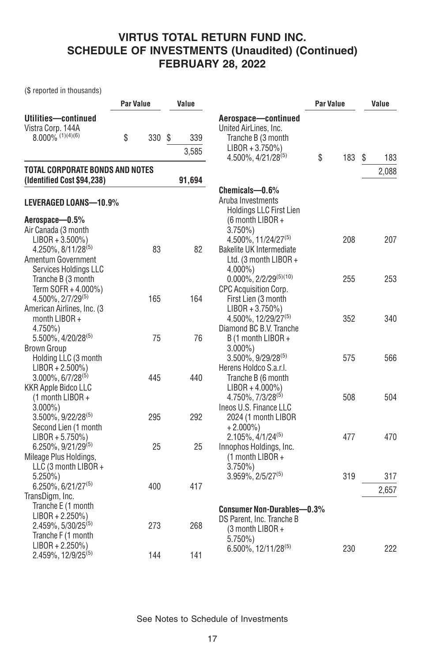(\$ reported in thousands)

|                                                                                                        | Par Value |    | Value        |                                                                                                             | <b>Par Value</b> |  |    | Value        |  |
|--------------------------------------------------------------------------------------------------------|-----------|----|--------------|-------------------------------------------------------------------------------------------------------------|------------------|--|----|--------------|--|
| Utilities-continued<br>Vistra Corp. 144A<br>$8.000\%$ (1)(4)(6)                                        | \$<br>330 | \$ | 339<br>3,585 | Aerospace-continued<br>United AirLines, Inc.<br>Tranche B (3 month<br>$LIBOR + 3.750\%)$                    |                  |  |    |              |  |
|                                                                                                        |           |    |              | 4.500%, 4/21/28 <sup>(5)</sup>                                                                              | \$<br>183        |  | \$ | 183          |  |
| TOTAL CORPORATE BONDS AND NOTES<br>(Identified Cost \$94,238)                                          |           |    | 91,694       |                                                                                                             |                  |  |    | 2,088        |  |
| LEVERAGED LOANS-10.9%                                                                                  |           |    |              | Chemicals-0.6%<br>Aruba Investments<br><b>Holdings LLC First Lien</b>                                       |                  |  |    |              |  |
| Aerospace-0.5%<br>Air Canada (3 month                                                                  |           |    |              | (6 month LIBOR +<br>$3.750\%$                                                                               |                  |  |    |              |  |
| $LIBOR + 3.500\%)$<br>$4.250\%$ , $8/11/28^{(5)}$<br>Amentum Government                                | 83        |    | 82           | 4.500%, 11/24/27 <sup>(5)</sup><br>Bakelite UK Intermediate<br>Ltd. (3 month LIBOR +                        | 208              |  |    | 207          |  |
| Services Holdings LLC<br>Tranche B (3 month<br>Term SOFR + 4.000%)<br>$4.500\%$ , $2/7/29^{(5)}$       | 165       |    | 164          | $4.000\%$ )<br>$0.000\%$ , 2/2/29 <sup>(5)(10)</sup><br><b>CPC Acquisition Corp.</b><br>First Lien (3 month | 255              |  |    | 253          |  |
| American Airlines, Inc. (3)<br>month LIBOR +<br>4.750%)                                                |           |    |              | $LIBOR + 3.750\%)$<br>4.500%, 12/29/27(5)<br>Diamond BC B.V. Tranche                                        | 352              |  |    | 340          |  |
| $5.500\%$ , 4/20/28 <sup>(5)</sup><br><b>Brown Group</b><br>Holding LLC (3 month<br>$LIBOR + 2.500\%)$ | 75        |    | 76           | B (1 month LIBOR +<br>$3.000\%$ )<br>$3.500\%$ , 9/29/28 <sup>(5)</sup><br>Herens Holdco S.a.r.l.           | 575              |  |    | 566          |  |
| $3.000\%$ , 6/7/28 <sup>(5)</sup><br><b>KKR Apple Bidco LLC</b><br>(1 month LIBOR +<br>$3.000\%$ )     | 445       |    | 440          | Tranche B (6 month<br>$LIBOR + 4.000\%)$<br>4.750%, 7/3/28 <sup>(5)</sup><br>Ineos U.S. Finance LLC         | 508              |  |    | 504          |  |
| 3.500%, 9/22/28(5)<br>Second Lien (1 month<br>$LIBOR + 5.750\%)$                                       | 295       |    | 292          | 2024 (1 month LIBOR<br>$+2.000\%$<br>$2.105\%, \frac{4}{124^{(5)}}$                                         | 477              |  |    | 470          |  |
| 6.250%, 9/21/29(5)<br>Mileage Plus Holdings,<br>LLC (3 month LIBOR +                                   | 25        |    | 25           | Innophos Holdings, Inc.<br>(1 month LIBOR +<br>$3.750\%$                                                    |                  |  |    |              |  |
| $5.250\%)$<br>$6.250\%, 6/21/27^{(5)}$<br>TransDigm, Inc.                                              | 400       |    | 417          | $3.959\%$ , $2/5/27^{(5)}$                                                                                  | 319              |  |    | 317<br>2,657 |  |
| Tranche E (1 month<br>$LIBOR + 2.250\%)$<br>$2.459\%, 5/30/25^{(5)}$<br>Tranche F (1 month             | 273       |    | 268          | <b>Consumer Non-Durables-0.3%</b><br>DS Parent, Inc. Tranche B<br>(3 month LIBOR +<br>$5.750\%$             |                  |  |    |              |  |
| $LIBOR + 2.250\%)$<br>2.459%, 12/9/25 <sup>(5)</sup>                                                   | 144       |    | 141          | 6.500%, 12/11/28 <sup>(5)</sup>                                                                             | 230              |  |    | 222          |  |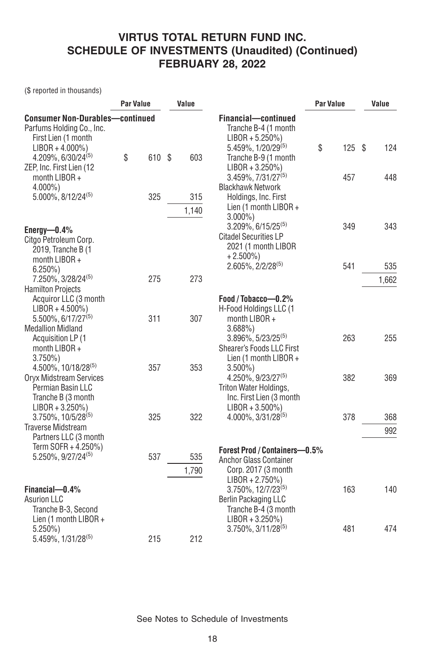(\$ reported in thousands)

|                                                                                                               | <b>Par Value</b> |        | Value |              |                                                                                                                              | <b>Par Value</b> | Value |  |
|---------------------------------------------------------------------------------------------------------------|------------------|--------|-------|--------------|------------------------------------------------------------------------------------------------------------------------------|------------------|-------|--|
| <b>Consumer Non-Durables-continued</b><br>Parfums Holding Co., Inc.<br>First Lien (1 month                    |                  |        |       |              | Financial-continued<br>Tranche B-4 (1 month<br>$LIBOR + 5.250\%)$                                                            |                  |       |  |
| $LIBOR + 4.000\%)$<br>$4.209\%$ , 6/30/24 <sup>(5)</sup>                                                      | \$               | 610 \$ |       | 603          | $5.459\%$ , $1/20/29^{(5)}$<br>Tranche B-9 (1 month                                                                          | \$<br>125S       | 124   |  |
| ZEP, Inc. First Lien (12)<br>month LIBOR +<br>$4.000\%$ )                                                     |                  |        |       |              | $LIBOR + 3.250\%)$<br>$3.459\%$ , $7/31/27^{(5)}$<br><b>Blackhawk Network</b>                                                | 457              | 448   |  |
| 5.000%, 8/12/24 <sup>(5)</sup>                                                                                |                  | 325    |       | 315<br>1,140 | Holdings, Inc. First<br>Lien (1 month LIBOR +                                                                                |                  |       |  |
| Energy- $0.4\%$<br>Citgo Petroleum Corp.<br>2019, Tranche B (1                                                |                  |        |       |              | $3.000\%$ )<br>$3.209\%$ , 6/15/25 <sup>(5)</sup><br><b>Citadel Securities LP</b><br>2021 (1 month LIBOR                     | 349              | 343   |  |
| month LIBOR +<br>$6.250\%$                                                                                    |                  |        |       |              | $+2.500\%$<br>$2.605\%$ , $2/2/28^{(5)}$                                                                                     | 541              | 535   |  |
| 7.250%, 3/28/24(5)                                                                                            |                  | 275    |       | 273          |                                                                                                                              |                  | 1,662 |  |
| <b>Hamilton Projects</b><br>Acquiror LLC (3 month<br>$LIBOR + 4.500\%)$                                       |                  |        |       |              | Food / Tobacco-0.2%<br>H-Food Holdings LLC (1                                                                                |                  |       |  |
| 5.500%, 6/17/27 <sup>(5)</sup><br><b>Medallion Midland</b><br>Acquisition LP (1<br>month LIBOR +<br>$3.750\%$ |                  | 311    |       | 307          | month LIBOR +<br>3.688%<br>$3.896\%$ , 5/23/25 <sup>(5)</sup><br>Shearer's Foods LLC First<br>Lien (1 month LIBOR +          | 263              | 255   |  |
| 4.500%, 10/18/28 <sup>(5)</sup><br>Oryx Midstream Services<br>Permian Basin LLC<br>Tranche B (3 month         |                  | 357    |       | 353          | $3.500\%$<br>$4.250\%$ , $9/23/27^{(5)}$<br>Triton Water Holdings,<br>Inc. First Lien (3 month                               | 382              | 369   |  |
| $LIBOR + 3.250\%)$<br>$3.750\%$ , $10/5/28^{(5)}$                                                             |                  | 325    |       | 322          | $LIBOR + 3.500\%)$<br>$4.000\%$ , $3/31/28^{(5)}$                                                                            | 378              | 368   |  |
| <b>Traverse Midstream</b><br>Partners LLC (3 month                                                            |                  |        |       |              |                                                                                                                              |                  | 992   |  |
| Term SOFR + 4.250%)<br>5.250%, 9/27/24 <sup>(5)</sup>                                                         |                  | 537    |       | 535          | Forest Prod / Containers-0.5%<br><b>Anchor Glass Container</b>                                                               |                  |       |  |
| Financial-0.4%<br><b>Asurion LLC</b><br>Tranche B-3, Second                                                   |                  |        |       | 1.790        | Corp. 2017 (3 month)<br>$LIBOR + 2.750\%)$<br>3.750%, 12/7/23 <sup>(5)</sup><br>Berlin Packaging LLC<br>Tranche B-4 (3 month | 163              | 140   |  |
| Lien (1 month $LIBOR +$<br>$5.250\%$<br>5.459%, 1/31/28(5)                                                    |                  | 215    |       | 212          | $LIBOR + 3.250\%)$<br>$3.750\%$ , $3/11/28^{(5)}$                                                                            | 481              | 474   |  |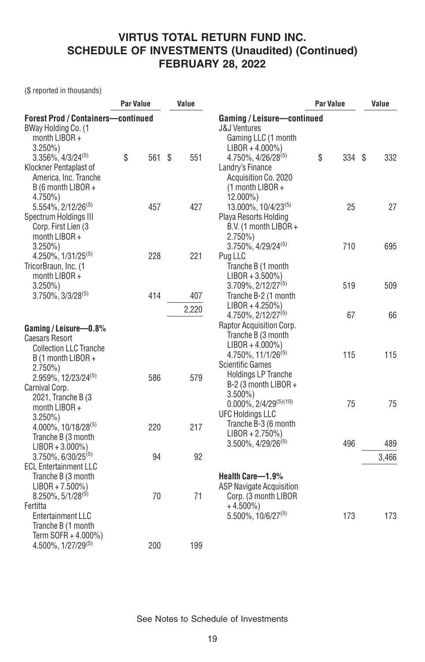(\$ reported in thousands)

|                                                                                                                              | <b>Par Value</b> |  | Value |       |                                                                                                                                     | <b>Par Value</b> |        |  | Value |  |
|------------------------------------------------------------------------------------------------------------------------------|------------------|--|-------|-------|-------------------------------------------------------------------------------------------------------------------------------------|------------------|--------|--|-------|--|
| <b>Forest Prod / Containers-continued</b><br>BWay Holding Co. (1<br>month LIBOR +                                            |                  |  |       |       | Gaming / Leisure-continued<br><b>J&amp;J Ventures</b><br>Gaming LLC (1 month                                                        |                  |        |  |       |  |
| $3.250\%$<br>$3.356\%$ , $4/3/24^{(5)}$<br>Klockner Pentaplast of<br>America, Inc. Tranche<br>B (6 month LIBOR +             | \$<br>561        |  | Ŝ.    | 551   | $LIBOR + 4.000\%)$<br>4.750%, 4/26/28(5)<br>Landry's Finance<br>Acquisition Co. 2020<br>(1 month LIBOR +                            | \$               | 334 \$ |  | 332   |  |
| $4.750\%$<br>5.554%, 2/12/26 <sup>(5)</sup><br>Spectrum Holdings III<br>Corp. First Lien (3<br>month LIBOR +                 | 457              |  |       | 427   | 12.000%)<br>13.000%, 10/4/23(5)<br>Playa Resorts Holding<br>B.V. (1 month LIBOR +<br>$2.750\%)$                                     |                  | 25     |  | 27    |  |
| $3.250\%$<br>$4.250\%$ , $1/31/25^{(5)}$<br>TricorBraun, Inc. (1                                                             | 228              |  |       | 221   | 3.750%, 4/29/24(5)<br>Pug LLC<br>Tranche B (1 month                                                                                 |                  | 710    |  | 695   |  |
| month LIBOR +<br>$3.250\%$<br>$3.750\%$ , $3/3/28^{(5)}$                                                                     | 414              |  |       | 407   | $LIBOR + 3.500\%)$<br>3.709%, 2/12/27 <sup>(5)</sup><br>Tranche B-2 (1 month                                                        |                  | 519    |  | 509   |  |
| Gaming / Leisure-0.8%                                                                                                        |                  |  |       | 2,220 | $LIBOR + 4.250\%)$<br>4.750%, 2/12/27 <sup>(5)</sup><br>Raptor Acquisition Corp.                                                    |                  | 67     |  | 66    |  |
| <b>Caesars Resort</b><br><b>Collection LLC Tranche</b><br>B (1 month LIBOR +<br>$2.750\%$<br>2.959%, 12/23/24 <sup>(5)</sup> | 586              |  |       | 579   | Tranche B (3 month<br>$LIBOR + 4.000\%)$<br>4.750%, 11/1/26 <sup>(5)</sup><br><b>Scientific Games</b><br><b>Holdings LP Tranche</b> |                  | 115    |  | 115   |  |
| Carnival Corp.<br>2021, Tranche B (3<br>month LIBOR +<br>$3.250\%$                                                           |                  |  |       |       | B-2 (3 month LIBOR +<br>$3.500\%$<br>$0.000\%$ , $2/4/29^{(5)(10)}$<br><b>UFC Holdings LLC</b>                                      |                  | 75     |  | 75    |  |
| 4.000%, 10/18/28(5)<br>Tranche B (3 month<br>$LIBOR + 3.000\%)$                                                              | 220              |  |       | 217   | Tranche B-3 (6 month<br>$LIBOR + 2.750\%)$<br>$3.500\%$ , $4/29/26^{(5)}$                                                           |                  | 496    |  | 489   |  |
| 3.750%, 6/30/25(5)<br><b>ECL Entertainment LLC</b><br>Tranche B (3 month                                                     | 94               |  |       | 92    | Health Care-1.9%                                                                                                                    |                  |        |  | 3,466 |  |
| $LIBOR + 7.500\%)$<br>$8.250\%, 5/1/28^{(5)}$<br>Fertitta<br>Entertainment LLC<br>Tranche B (1 month<br>Term SOFR + 4.000%)  | 70               |  |       | 71    | <b>ASP Navigate Acquisition</b><br>Corp. (3 month LIBOR<br>$+4.500\%$<br>$5.500\%$ , 10/6/27 <sup>(5)</sup>                         |                  | 173    |  | 173   |  |
| 4.500%, 1/27/29 <sup>(5)</sup>                                                                                               | 200              |  |       | 199   |                                                                                                                                     |                  |        |  |       |  |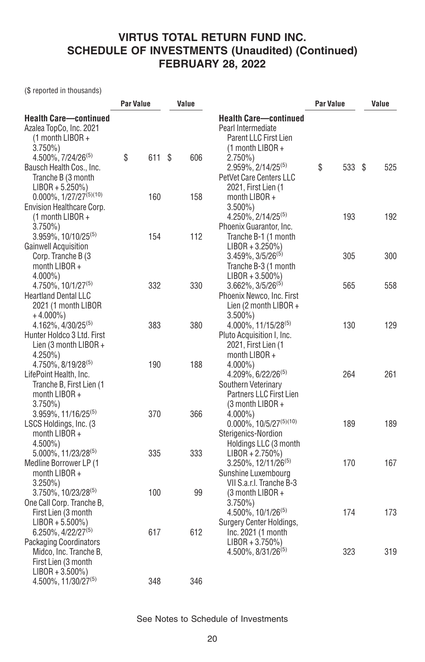(\$ reported in thousands)

|                                                                                                    | <b>Par Value</b> |   | Value |                                                                                                                  | Par Value | Value     |  |
|----------------------------------------------------------------------------------------------------|------------------|---|-------|------------------------------------------------------------------------------------------------------------------|-----------|-----------|--|
| <b>Health Care-continued</b><br>Azalea TopCo, Inc. 2021<br>$(1$ month LIBOR +<br>$3.750\%)$        |                  |   |       | <b>Health Care-continued</b><br>Pearl Intermediate<br><b>Parent LLC First Lien</b><br>(1 month LIBOR +           |           |           |  |
| 4.500%, 7/24/26 <sup>(5)</sup><br>Bausch Health Cos., Inc.<br>Tranche B (3 month                   | \$<br>611        | S | 606   | $2.750\%)$<br>2.959%, 2/14/25 <sup>(5)</sup><br>PetVet Care Centers LLC                                          | \$<br>533 | \$<br>525 |  |
| $LIBOR + 5.250\%)$<br>$0.000\%, 1/27/27^{(5)(10)}$<br>Envision Healthcare Corp.                    | 160              |   | 158   | 2021, First Lien (1<br>month LIBOR +<br>$3.500\%$ )                                                              |           |           |  |
| (1 month LIBOR +<br>$3.750\%$<br>$3.959\%$ , $10/10/25^{(5)}$                                      | 154              |   | 112   | 4.250%, 2/14/25 <sup>(5)</sup><br>Phoenix Guarantor, Inc.                                                        | 193       | 192       |  |
| <b>Gainwell Acquisition</b><br>Corp. Tranche B (3                                                  |                  |   |       | Tranche B-1 (1 month<br>$LIBOR + 3.250\%)$<br>$3.459\%, 3/5/26^{(5)}$                                            | 305       | 300       |  |
| month LIBOR +<br>4.000%)                                                                           |                  |   |       | Tranche B-3 (1 month<br>$LIBOR + 3.500\%)$                                                                       |           |           |  |
| 4.750%, 10/1/27 <sup>(5)</sup><br><b>Heartland Dental LLC</b><br>2021 (1 month LIBOR<br>$+4.000\%$ | 332              |   | 330   | 3.662%, 3/5/26 <sup>(5)</sup><br>Phoenix Newco, Inc. First<br>Lien (2 month LIBOR +<br>$3.500\%$ )               | 565       | 558       |  |
| 4.162%, 4/30/25 <sup>(5)</sup><br>Hunter Holdco 3 Ltd. First<br>Lien (3 month LIBOR +              | 383              |   | 380   | 4.000%, 11/15/28 <sup>(5)</sup><br>Pluto Acquisition I, Inc.<br>2021, First Lien (1                              | 130       | 129       |  |
| 4.250%)<br>$4.750\%$ , $8/19/28^{(5)}$<br>LifePoint Health, Inc.<br>Tranche B, First Lien (1       | 190              |   | 188   | month LIBOR +<br>$4.000\%$ )<br>4.209%, 6/22/26 <sup>(5)</sup><br>Southern Veterinary<br>Partners LLC First Lien | 264       | 261       |  |
| month LIBOR +<br>$3.750\%$<br>$3.959\%$ , 11/16/25 <sup>(5)</sup><br>LSCS Holdings, Inc. (3        | 370              |   | 366   | (3 month LIBOR +<br>$4.000\%$<br>$0.000\%, 10/5/27^{(5)(10)}$                                                    | 189       | 189       |  |
| month LIBOR +<br>$4.500\%$ )<br>5.000%, 11/23/28(5)<br>Medline Borrower LP (1                      | 335              |   | 333   | Sterigenics-Nordion<br>Holdings LLC (3 month<br>$LIBOR + 2.750\%)$<br>3.250%, 12/11/26 <sup>(5)</sup>            | 170       | 167       |  |
| month LIBOR +<br>$3.250\%$<br>$3.750\%$ , 10/23/28 <sup>(5)</sup>                                  | 100              |   | 99    | Sunshine Luxembourg<br>VII S.a.r.I. Tranche B-3<br>$(3$ month LIBOR +                                            |           |           |  |
| One Call Corp. Tranche B,<br>First Lien (3 month<br>$LIBOR + 5.500\%)$                             |                  |   |       | $3.750\%$<br>4.500%, 10/1/26(5)<br>Surgery Center Holdings,                                                      | 174       | 173       |  |
| 6.250%, 4/22/27 <sup>(5)</sup><br><b>Packaging Coordinators</b><br>Midco, Inc. Tranche B,          | 617              |   | 612   | Inc. 2021 (1 month<br>$LIBOR + 3.750\%)$<br>4.500%, 8/31/26 <sup>(5)</sup>                                       | 323       | 319       |  |
| First Lien (3 month<br>$LIBOR + 3.500\%)$<br>4.500%, 11/30/27(5)                                   | 348              |   | 346   |                                                                                                                  |           |           |  |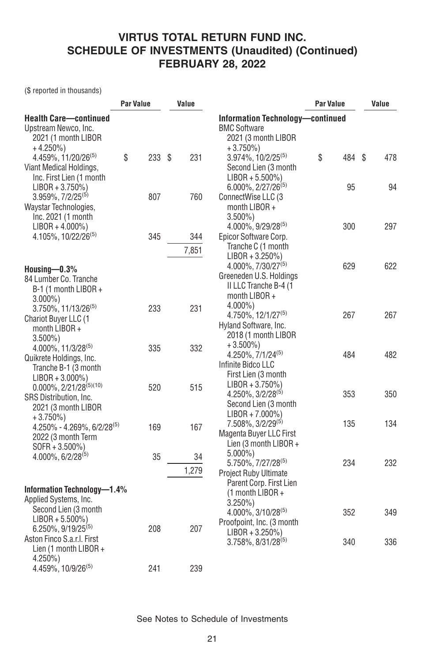(\$ reported in thousands)

|                                                                                                      | <b>Par Value</b> |      | Value |       |                                                                                               | Par Value |        | Value |     |
|------------------------------------------------------------------------------------------------------|------------------|------|-------|-------|-----------------------------------------------------------------------------------------------|-----------|--------|-------|-----|
| <b>Health Care-continued</b><br>Upstream Newco, Inc.<br>2021 (1 month LIBOR<br>$+4.250\%$            |                  |      |       |       | Information Technology-continued<br><b>BMC Software</b><br>2021 (3 month LIBOR<br>$+3.750\%)$ |           |        |       |     |
| 4.459%, 11/20/26 <sup>(5)</sup><br>Viant Medical Holdings,<br>Inc. First Lien (1 month               | \$               | 233S |       | 231   | 3.974%, 10/2/25 <sup>(5)</sup><br>Second Lien (3 month<br>$LIBOR + 5.500\%)$                  | \$        | 484 \$ |       | 478 |
| $LIBOR + 3.750\%)$<br>$3.959\%, 7/2/25^{(5)}$<br>Waystar Technologies,                               |                  | 807  |       | 760   | $6.000\%$ , 2/27/26 <sup>(5)</sup><br>ConnectWise LLC (3<br>month LIBOR +                     |           | 95     |       | 94  |
| Inc. 2021 (1 month<br>$LIBOR + 4.000\%)$<br>4.105%, 10/22/26(5)                                      |                  | 345  |       | 344   | $3.500\%$ )<br>4.000%, 9/29/28(5)<br>Epicor Software Corp.                                    | 300       |        |       | 297 |
|                                                                                                      |                  |      |       | 7,851 | Tranche C (1 month                                                                            |           |        |       |     |
| Housing $-0.3%$                                                                                      |                  |      |       |       | $LIBOR + 3.250\%)$<br>4.000%, 7/30/27 <sup>(5)</sup>                                          | 629       |        |       | 622 |
| 84 Lumber Co. Tranche<br>B-1 (1 month LIBOR +<br>$3.000\%$ )                                         |                  |      |       |       | Greeneden U.S. Holdings<br>II LLC Tranche B-4 (1<br>month LIBOR +                             |           |        |       |     |
| $3.750\%$ , 11/13/26 <sup>(5)</sup><br>Chariot Buyer LLC (1<br>month LIBOR +                         |                  | 233  |       | 231   | $4.000\%$ )<br>4.750%, 12/1/27 <sup>(5)</sup><br>Hyland Software, Inc.<br>2018 (1 month LIBOR | 267       |        |       | 267 |
| $3.500\%$ )<br>4.000%, 11/3/28(5)<br>Quikrete Holdings, Inc.                                         |                  | 335  |       | 332   | $+3.500\%$<br>4.250%, 7/1/24 <sup>(5)</sup>                                                   | 484       |        |       | 482 |
| Tranche B-1 (3 month<br>$LIBOR + 3.000\%)$                                                           |                  |      |       |       | Infinite Bidco LLC<br>First Lien (3 month                                                     |           |        |       |     |
| $0.000\%$ , 2/21/28 <sup>(5)(10)</sup><br>SRS Distribution, Inc.<br>2021 (3 month LIBOR              |                  | 520  |       | 515   | $LIBOR + 3.750\%)$<br>4.250%, 3/2/28 <sup>(5)</sup><br>Second Lien (3 month                   | 353       |        |       | 350 |
| $+3.750\%)$<br>4.250% - 4.269%, 6/2/28(5)                                                            |                  | 169  |       | 167   | $LIBOR + 7.000\%)$<br>7.508%, 3/2/29 <sup>(5)</sup><br>Magenta Buyer LLC First                | 135       |        |       | 134 |
| 2022 (3 month Term<br>$SOFR + 3.500\%)$<br>$4.000\%$ , 6/2/28 <sup>(5)</sup>                         |                  | 35   |       | 34    | Lien (3 month LIBOR +<br>$5.000\%$                                                            |           |        |       |     |
|                                                                                                      |                  |      |       | 1,279 | 5.750%, 7/27/28 <sup>(5)</sup><br>Project Ruby Ultimate                                       | 234       |        |       | 232 |
| Information Technology-1.4%<br>Applied Systems, Inc.                                                 |                  |      |       |       | Parent Corp. First Lien<br>(1 month LIBOR +                                                   |           |        |       |     |
| Second Lien (3 month<br>$LIBOR + 5.500\%)$                                                           |                  |      |       |       | $3.250\%$ )<br>4.000%, 3/10/28(5)<br>Proofpoint, Inc. (3 month                                | 352       |        |       | 349 |
| 6.250%, 9/19/25 <sup>(5)</sup><br>Aston Finco S.a.r.l. First<br>Lien (1 month LIBOR +<br>$4.250\%$ ) |                  | 208  |       | 207   | $LIBOR + 3.250\%)$<br>3.758%, 8/31/28 <sup>(5)</sup>                                          | 340       |        |       | 336 |
| 4.459%, 10/9/26 <sup>(5)</sup>                                                                       |                  | 241  |       | 239   |                                                                                               |           |        |       |     |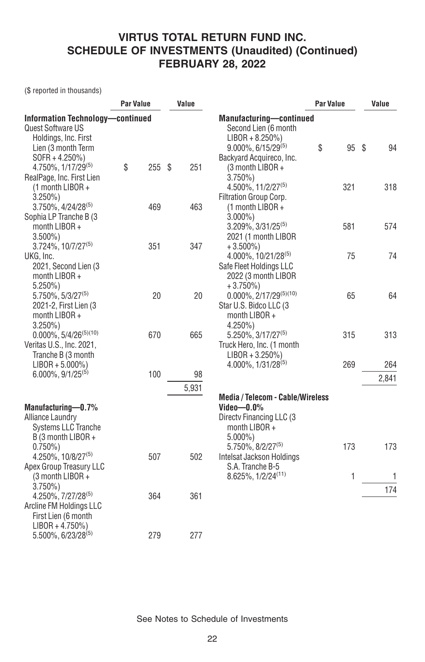(\$ reported in thousands)

|                                                                                            | Par Value |      | Value |       |                                                                                                  | <b>Par Value</b> | Value |  |
|--------------------------------------------------------------------------------------------|-----------|------|-------|-------|--------------------------------------------------------------------------------------------------|------------------|-------|--|
| Information Technology-continued<br>Quest Software US<br>Holdings, Inc. First              |           |      |       |       | <b>Manufacturing-continued</b><br>Second Lien (6 month<br>$LIBOR + 8.250\%)$                     |                  |       |  |
| Lien (3 month Term<br>$SOFR + 4.250\%)$                                                    |           |      |       |       | $9.000\%$ , 6/15/29 <sup>(5)</sup><br>Backyard Acquireco, Inc.                                   | \$<br>95 \$      | 94    |  |
| 4.750%, 1/17/29(5)<br>RealPage, Inc. First Lien                                            | \$        | 255S |       | 251   | (3 month LIBOR +<br>$3.750\%$                                                                    |                  |       |  |
| $(1$ month LIBOR +<br>$3.250\%$                                                            |           |      |       |       | $4.500\%$ , 11/2/27 <sup>(5)</sup><br>Filtration Group Corp.                                     | 321              | 318   |  |
| $3.750\%$ , $4/24/28^{(5)}$<br>Sophia LP Tranche B (3                                      |           | 469  |       | 463   | (1 month LIBOR +<br>$3.000\%$ )                                                                  |                  |       |  |
| month LIBOR +<br>$3.500\%$                                                                 |           |      |       |       | 3.209%, 3/31/25(5)<br>2021 (1 month LIBOR                                                        | 581              | 574   |  |
| $3.724\%$ , $10/7/27^{(5)}$<br>UKG, Inc.<br>2021, Second Lien (3<br>month LIBOR +          |           | 351  |       | 347   | $+3.500\%)$<br>4.000%, 10/21/28 <sup>(5)</sup><br>Safe Fleet Holdings LLC<br>2022 (3 month LIBOR | 75               | 74    |  |
| $5.250\%)$<br>5.750%, 5/3/27(5)<br>2021-2, First Lien (3<br>month LIBOR +                  |           | 20   |       | 20    | $+3.750\%)$<br>$0.000\%, 2/17/29^{(5)(10)}$<br>Star U.S. Bidco LLC (3<br>month LIBOR +           | 65               | 64    |  |
| $3.250\%$<br>$0.000\%$ , 5/4/26 <sup>(5)(10)</sup><br>Veritas U.S., Inc. 2021,             |           | 670  |       | 665   | $4.250\%$<br>5.250%, 3/17/27 <sup>(5)</sup><br>Truck Hero, Inc. (1 month                         | 315              | 313   |  |
| Tranche B (3 month<br>$LIBOR + 5.000\%)$                                                   |           |      |       |       | $LIBOR + 3.250\%)$<br>4.000%, 1/31/28 <sup>(5)</sup>                                             | 269              | 264   |  |
| $6.000\%$ , 9/1/25 <sup>(5)</sup>                                                          |           | 100  |       | 98    |                                                                                                  |                  | 2,841 |  |
|                                                                                            |           |      |       | 5,931 | <b>Media / Telecom - Cable/Wireless</b><br>Video $-0.0\%$                                        |                  |       |  |
| Manufacturing-0.7%<br>Alliance Laundry<br><b>Systems LLC Tranche</b><br>B (3 month LIBOR + |           |      |       |       | Directy Financing LLC (3)<br>month LIBOR +<br>$5.000\%$ )                                        |                  |       |  |
| $0.750\%)$<br>4.250%, 10/8/27(5)                                                           |           | 507  |       | 502   | $5.750\%$ , $8/2/27^{(5)}$<br>Intelsat Jackson Holdings                                          | 173              | 173   |  |
| Apex Group Treasury LLC<br>(3 month LIBOR +                                                |           |      |       |       | S.A. Tranche B-5<br>8.625%, 1/2/24 <sup>(11)</sup>                                               | 1                | 1     |  |
| $3.750\%$<br>$4.250\%$ , $7/27/28^{(5)}$                                                   |           | 364  |       | 361   |                                                                                                  |                  | 174   |  |
| Arcline FM Holdings LLC<br>First Lien (6 month<br>$LIBOR + 4.750\%)$                       |           |      |       |       |                                                                                                  |                  |       |  |
| 5.500%, 6/23/28 <sup>(5)</sup>                                                             |           | 279  |       | 277   |                                                                                                  |                  |       |  |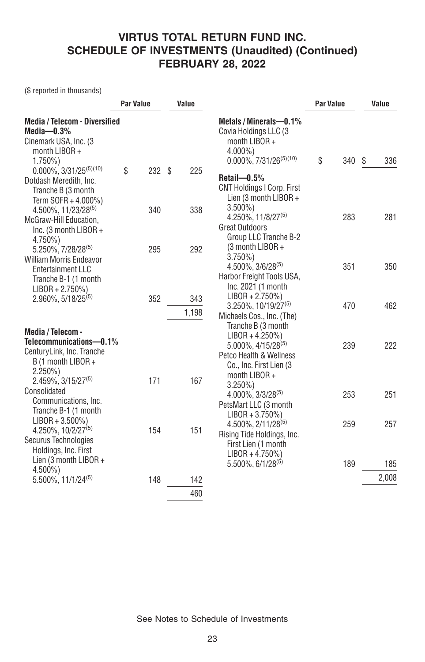(\$ reported in thousands)

|                                                                                                                         |    | Par Value |  | Value        |                                                                                                                                  | <b>Par Value</b> |     | Value |       |
|-------------------------------------------------------------------------------------------------------------------------|----|-----------|--|--------------|----------------------------------------------------------------------------------------------------------------------------------|------------------|-----|-------|-------|
| <b>Media / Telecom - Diversified</b><br>Media $-0.3\%$<br>Cinemark USA, Inc. (3)<br>month $LIBOR +$<br>$1.750\%$        |    |           |  |              | Metals / Minerals-0.1%<br>Covia Holdings LLC (3<br>month LIBOR +<br>$4.000\%$ )<br>$0.000\%, 7/31/26^{(5)(10)}$                  | \$               | 340 | -S    | 336   |
| $0.000\%$ , 3/31/25 <sup>(5)(10)</sup><br>Dotdash Meredith, Inc.<br>Tranche B (3 month<br>Term SOFR + 4.000%)           | \$ | 232S      |  | 225          | $Retail - 0.5%$<br><b>CNT Holdings I Corp. First</b><br>Lien (3 month $LIBOR +$                                                  |                  |     |       |       |
| 4.500%, 11/23/28 <sup>(5)</sup><br>McGraw-Hill Education,<br>Inc. (3 month $LIBOR +$<br>4.750%)                         |    | 340       |  | 338          | $3.500\%$<br>4.250%, 11/8/27 <sup>(5)</sup><br><b>Great Outdoors</b><br>Group LLC Tranche B-2<br>(3 month LIBOR +                |                  | 283 |       | 281   |
| 5.250%, 7/28/28(5)<br><b>William Morris Endeavor</b><br>Entertainment LLC<br>Tranche B-1 (1 month<br>$LIBOR + 2.750\%)$ |    | 295       |  | 292          | $3.750\%$<br>$4.500\%$ , $3/6/28^{(5)}$<br>Harbor Freight Tools USA,<br>Inc. 2021 (1 month                                       |                  | 351 |       | 350   |
| $2.960\%$ , 5/18/25 <sup>(5)</sup>                                                                                      |    | 352       |  | 343<br>1,198 | $LIBOR + 2.750\%)$<br>$3.250\%, 10/19/27^{(5)}$<br>Michaels Cos., Inc. (The)<br>Tranche B (3 month                               |                  | 470 |       | 462   |
| Media / Telecom -<br>Telecommunications-0.1%<br>CenturyLink, Inc. Tranche<br>B (1 month LIBOR +<br>$2.250\%)$           |    |           |  |              | $LIBOR + 4.250\%)$<br>$5.000\%$ , 4/15/28 <sup>(5)</sup><br>Petco Health & Wellness<br>Co., Inc. First Lien (3)<br>month LIBOR + |                  | 239 |       | 222   |
| 2.459%, 3/15/27(5)<br>Consolidated<br>Communications, Inc.<br>Tranche B-1 (1 month                                      |    | 171       |  | 167          | $3.250\%$<br>$4.000\%$ , $3/3/28^{(5)}$<br>PetsMart LLC (3 month<br>$LIBOR + 3.750\%)$                                           |                  | 253 |       | 251   |
| $LIBOR + 3.500\%)$<br>$4.250\%$ , 10/2/27 <sup>(5)</sup><br>Securus Technologies<br>Holdings, Inc. First                |    | 154       |  | 151          | 4.500%, 2/11/28(5)<br>Rising Tide Holdings, Inc.<br>First Lien (1 month<br>$LIBOR + 4.750\%)$                                    |                  | 259 |       | 257   |
| Lien (3 month LIBOR +<br>$4.500\%$                                                                                      |    |           |  |              | $5.500\%$ , 6/1/28 <sup>(5)</sup>                                                                                                |                  | 189 |       | 185   |
| $5.500\%$ , 11/1/24 <sup>(5)</sup>                                                                                      |    | 148       |  | 142          |                                                                                                                                  |                  |     |       | 2,008 |
|                                                                                                                         |    |           |  | 460          |                                                                                                                                  |                  |     |       |       |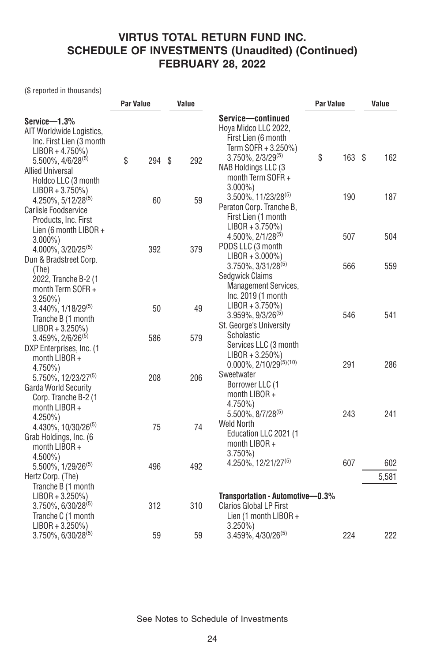(\$ reported in thousands)

|                                                         | <b>Par Value</b> |     | Value |     |                                                  | <b>Par Value</b> | Value |       |
|---------------------------------------------------------|------------------|-----|-------|-----|--------------------------------------------------|------------------|-------|-------|
| Service-1.3%                                            |                  |     |       |     | Service-continued                                |                  |       |       |
| AIT Worldwide Logistics,                                |                  |     |       |     | Hoya Midco LLC 2022,                             |                  |       |       |
| Inc. First Lien (3 month                                |                  |     |       |     | First Lien (6 month                              |                  |       |       |
| $LIBOR + 4.750\%)$                                      |                  |     |       |     | Term SOFR + 3.250%)                              |                  |       |       |
| $5.500\%$ , $4/6/28^{(5)}$                              | \$               | 294 | Ŝ.    | 292 | \$<br>3.750%, 2/3/29(5)                          | $163$ \$         |       | 162   |
| <b>Allied Universal</b>                                 |                  |     |       |     | NAB Holdings LLC (3                              |                  |       |       |
| Holdco LLC (3 month                                     |                  |     |       |     | month Term SOFR+                                 |                  |       |       |
| $LIBOR + 3.750\%)$                                      |                  |     |       |     | $3.000\%$<br>$3.500\%$ , 11/23/28 <sup>(5)</sup> | 190              |       | 187   |
| $4.250\%$ , 5/12/28 <sup>(5)</sup>                      |                  | 60  |       | 59  | Peraton Corp. Tranche B,                         |                  |       |       |
| Carlisle Foodservice                                    |                  |     |       |     | First Lien (1 month                              |                  |       |       |
| Products, Inc. First                                    |                  |     |       |     | $LIBOR + 3.750\%)$                               |                  |       |       |
| Lien (6 month LIBOR $+$                                 |                  |     |       |     | 4.500%, 2/1/28(5)                                | 507              |       | 504   |
| $3.000\%$                                               |                  |     |       |     | PODS LLC (3 month                                |                  |       |       |
| 4.000%, 3/20/25 <sup>(5)</sup>                          |                  | 392 |       | 379 | $LIBOR + 3.000\%)$                               |                  |       |       |
| Dun & Bradstreet Corp.                                  |                  |     |       |     | $3.750\%$ , $3/31/28^{(5)}$                      | 566              |       | 559   |
| (The)                                                   |                  |     |       |     | Sedgwick Claims                                  |                  |       |       |
| 2022, Tranche B-2 (1                                    |                  |     |       |     | <b>Management Services,</b>                      |                  |       |       |
| month Term SOFR+                                        |                  |     |       |     | Inc. 2019 (1 month                               |                  |       |       |
| $3.250\%$                                               |                  |     |       |     | $LIBOR + 3.750\%)$                               |                  |       |       |
| $3.440\%$ , $1/18/29^{(5)}$                             |                  | 50  |       | 49  | $3.959\%$ , $9/3/26^{(5)}$                       | 546              |       | 541   |
| Tranche B (1 month                                      |                  |     |       |     | St. George's University                          |                  |       |       |
| $LIBOR + 3.250\%)$<br>$3.459\%$ , 2/6/26 <sup>(5)</sup> |                  | 586 |       | 579 | Scholastic                                       |                  |       |       |
| DXP Enterprises, Inc. (1                                |                  |     |       |     | Services LLC (3 month                            |                  |       |       |
| month $LIBOR +$                                         |                  |     |       |     | $LIBOR + 3.250\%)$                               |                  |       |       |
| $4.750\%$                                               |                  |     |       |     | $0.000\%$ , 2/10/29 <sup>(5)(10)</sup>           | 291              |       | 286   |
| 5.750%, 12/23/27 <sup>(5)</sup>                         |                  | 208 |       | 206 | Sweetwater                                       |                  |       |       |
| <b>Garda World Security</b>                             |                  |     |       |     | Borrower LLC (1                                  |                  |       |       |
| Corp. Tranche B-2 (1                                    |                  |     |       |     | month LIBOR +                                    |                  |       |       |
| month $LIBOR +$                                         |                  |     |       |     | 4.750%)                                          |                  |       |       |
| $4.250\%$                                               |                  |     |       |     | $5.500\%$ , $8/7/28^{(5)}$                       | 243              |       | 241   |
| 4.430%, 10/30/26 <sup>(5)</sup>                         |                  | 75  |       | 74  | <b>Weld North</b>                                |                  |       |       |
| Grab Holdings, Inc. (6                                  |                  |     |       |     | Education LLC 2021 (1                            |                  |       |       |
| month LIBOR +                                           |                  |     |       |     | month LIBOR +                                    |                  |       |       |
| $4.500\%$                                               |                  |     |       |     | $3.750\%$                                        |                  |       |       |
| 5.500%, 1/29/26 <sup>(5)</sup>                          |                  | 496 |       | 492 | 4.250%, 12/21/27 <sup>(5)</sup>                  | 607              |       | 602   |
| Hertz Corp. (The)                                       |                  |     |       |     |                                                  |                  |       | 5,581 |
| Tranche B (1 month                                      |                  |     |       |     |                                                  |                  |       |       |
| $LIBOR + 3.250\%)$                                      |                  |     |       |     | Transportation - Automotive-0.3%                 |                  |       |       |
| 3.750%, 6/30/28(5)                                      |                  | 312 |       | 310 | <b>Clarios Global LP First</b>                   |                  |       |       |
| Tranche C (1 month                                      |                  |     |       |     | Lien (1 month $LIBOR +$                          |                  |       |       |
| $LIBOR + 3.250\%)$                                      |                  |     |       |     | $3.250\%$                                        |                  |       |       |
| 3.750%, 6/30/28 <sup>(5)</sup>                          |                  | 59  |       | 59  | $3.459\%$ , $4/30/26^{(5)}$                      | 224              |       | 222   |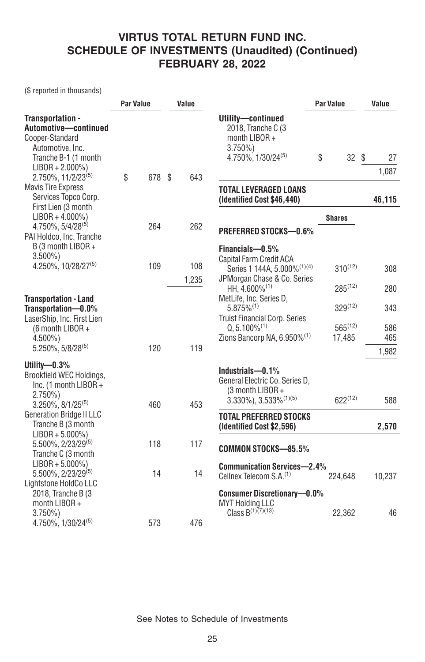(\$ reported in thousands)

|                                                                                                                                                                 | <b>Par Value</b> |     | Value |       |                                                                                                                   | Par Value              | Value             |  |
|-----------------------------------------------------------------------------------------------------------------------------------------------------------------|------------------|-----|-------|-------|-------------------------------------------------------------------------------------------------------------------|------------------------|-------------------|--|
| Transportation -<br>Automotive-continued<br>Cooper-Standard<br>Automotive, Inc.<br>Tranche B-1 (1 month<br>$LIBOR + 2.000\%)$<br>2.750%, 11/2/23 <sup>(5)</sup> | \$               | 678 | Ŝ.    | 643   | Utility-continued<br>2018, Tranche C (3<br>month LIBOR +<br>$3.750\%$<br>$4.750\%$ , $1/30/24^{(5)}$              | \$<br>32               | Ŝ.<br>27<br>1,087 |  |
| <b>Mavis Tire Express</b><br>Services Topco Corp.<br>First Lien (3 month                                                                                        |                  |     |       |       | <b>TOTAL LEVERAGED LOANS</b><br>(Identified Cost \$46,440)                                                        |                        | 46,115            |  |
| $LIBOR + 4.000\%)$                                                                                                                                              |                  |     |       |       |                                                                                                                   | <b>Shares</b>          |                   |  |
| 4.750%, 5/4/28(5)<br>PAI Holdco, Inc. Tranche                                                                                                                   |                  | 264 |       | 262   | <b>PREFERRED STOCKS-0.6%</b>                                                                                      |                        |                   |  |
| B (3 month LIBOR +<br>$3.500\%$<br>4.250%, 10/28/27 <sup>(5)</sup>                                                                                              |                  | 109 |       | 108   | Financials-0.5%<br>Capital Farm Credit ACA<br>Series 1 144A, 5.000% <sup>(1)(4)</sup>                             | $310^{(12)}$           | 308               |  |
|                                                                                                                                                                 |                  |     |       | 1.235 | JPMorgan Chase & Co. Series<br>HH, 4.600% <sup>(1)</sup>                                                          | $285^{(12)}$           | 280               |  |
| <b>Transportation - Land</b><br>Transportation-0.0%<br>LaserShip, Inc. First Lien                                                                               |                  |     |       |       | MetLife, Inc. Series D.<br>$5.875\%^{(1)}$<br><b>Truist Financial Corp. Series</b>                                | $329^{(12)}$           | 343               |  |
| (6 month LIBOR +<br>$4.500\%$ )                                                                                                                                 |                  |     |       |       | $Q, 5.100\%$ <sup>(1)</sup><br>Zions Bancorp NA, 6.950% <sup>(1)</sup>                                            | $565^{(12)}$<br>17,485 | 586<br>465        |  |
| 5.250%, 5/8/28(5)                                                                                                                                               |                  | 120 |       | 119   |                                                                                                                   |                        | 1,982             |  |
| Utility- $0.3\%$<br>Brookfield WEC Holdings,<br>Inc. (1 month LIBOR +<br>$2.750\%)$<br>$3.250\%$ , $8/1/25^{(5)}$                                               |                  | 460 |       | 453   | Industrials-0.1%<br>General Electric Co. Series D.<br>(3 month LIBOR +<br>$3.330\%$ , $3.533\%$ <sup>(1)(5)</sup> | $622^{(12)}$           | 588               |  |
| <b>Generation Bridge II LLC</b><br>Tranche B (3 month                                                                                                           |                  |     |       |       | <b>TOTAL PREFERRED STOCKS</b><br>(Identified Cost \$2,596)                                                        |                        | 2,570             |  |
| $LIBOR + 5.000\%)$<br>5.500%, 2/23/29(5)<br>Tranche C (3 month                                                                                                  |                  | 118 |       | 117   | <b>COMMON STOCKS-85.5%</b>                                                                                        |                        |                   |  |
| $LIBOR + 5.000\%)$<br>$5.500\%$ , 2/23/29 <sup>(5)</sup><br>Lightstone HoldCo LLC                                                                               |                  | 14  |       | 14    | <b>Communication Services-2.4%</b><br>Cellnex Telecom S.A. <sup>(1)</sup>                                         | 224,648                | 10,237            |  |
| 2018, Tranche B (3<br>month $LIBOR +$<br>$3.750\%$<br>4.750%, 1/30/24 <sup>(5)</sup>                                                                            |                  | 573 |       | 476   | <b>Consumer Discretionary-0.0%</b><br><b>MYT Holding LLC</b><br>Class $B^{(1)(7)(13)}$                            | 22,362                 | 46                |  |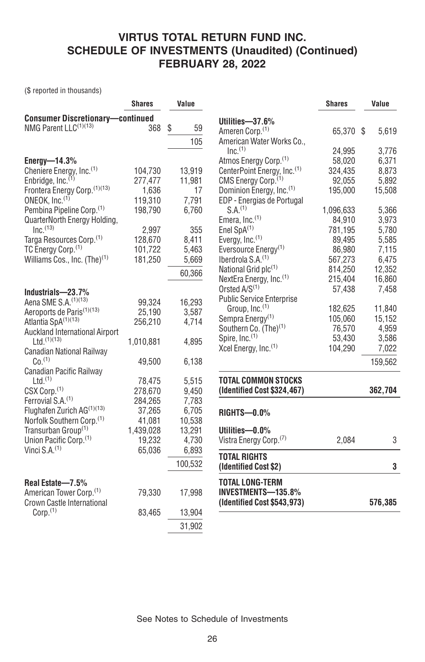(\$ reported in thousands)

|                                         | <b>Shares</b> | Value    |                                         | <b>Shares</b> | Value   |
|-----------------------------------------|---------------|----------|-----------------------------------------|---------------|---------|
| <b>Consumer Discretionary-continued</b> |               |          | Utilities-37.6%                         |               |         |
| NMG Parent LLC <sup>(1)(13)</sup>       | 368           | \$<br>59 | Ameren Corp. <sup>(1)</sup>             | 65,370 \$     | 5,619   |
|                                         |               | 105      | American Water Works Co.,               |               |         |
|                                         |               |          | Inc <sup>(1)</sup>                      | 24,995        | 3,776   |
| Energy- $14.3\%$                        |               |          | Atmos Energy Corp. <sup>(1)</sup>       | 58,020        | 6,371   |
| Cheniere Energy, Inc. <sup>(1)</sup>    | 104,730       | 13,919   | CenterPoint Energy, Inc. <sup>(1)</sup> | 324,435       | 8.873   |
| Enbridge, Inc. <sup>(1)</sup>           | 277,477       | 11,981   | CMS Energy Corp. <sup>(1)</sup>         | 92,055        | 5,892   |
| Frontera Energy Corp. (1)(13)           | 1,636         | 17       | Dominion Energy, Inc. <sup>(1)</sup>    | 195.000       | 15,508  |
| ONEOK, Inc. <sup>(1)</sup>              | 119,310       | 7,791    | EDP - Energias de Portugal              |               |         |
| Pembina Pipeline Corp. <sup>(1)</sup>   | 198,790       | 6,760    | S.A <sup>(1)</sup>                      | 1,096,633     | 5,366   |
| QuarterNorth Energy Holding,            |               |          | Emera, Inc. <sup>(1)</sup>              | 84,910        | 3,973   |
| $Inc^{(13)}$                            | 2.997         | 355      | Enel $SpA^{(1)}$                        | 781.195       | 5,780   |
| Targa Resources Corp. <sup>(1)</sup>    | 128,670       | 8,411    | Evergy, Inc. <sup>(1)</sup>             | 89,495        | 5,585   |
| TC Energy Corp. <sup>(1)</sup>          | 101,722       | 5,463    | Eversource Energy <sup>(1)</sup>        | 86,980        | 7,115   |
| Williams Cos., Inc. $(The)^{(1)}$       | 181,250       | 5,669    | Iberdrola S.A. <sup>(1)</sup>           | 567,273       | 6,475   |
|                                         |               | 60,366   | National Grid plc <sup>(1)</sup>        | 814,250       | 12,352  |
|                                         |               |          | NextEra Energy, Inc. <sup>(1)</sup>     | 215,404       | 16,860  |
| Industrials-23.7%                       |               |          | Orsted $A/S(1)$                         | 57,438        | 7,458   |
| Aena SME S.A. <sup>(1)(13)</sup>        | 99,324        | 16,293   | <b>Public Service Enterprise</b>        |               |         |
| Aeroports de Paris <sup>(1)(13)</sup>   | 25,190        | 3,587    | Group, Inc. <sup>(1)</sup>              | 182,625       | 11,840  |
| Atlantia SpA(1)(13)                     | 256,210       | 4.714    | Sempra Energy <sup>(1)</sup>            | 105,060       | 15,152  |
| Auckland International Airport          |               |          | Southern Co. (The) <sup>(1)</sup>       | 76,570        | 4,959   |
| $Ltd.$ <sup>(1)(13)</sup>               | 1,010,881     | 4.895    | Spire, Inc. <sup>(1)</sup>              | 53,430        | 3,586   |
| Canadian National Railway               |               |          | Xcel Energy, Inc. <sup>(1)</sup>        | 104,290       | 7,022   |
| Co. <sup>(1)</sup>                      | 49.500        | 6.138    |                                         |               | 159,562 |
| Canadian Pacific Railway                |               |          |                                         |               |         |
| Ltd.(1)                                 | 78,475        | 5,515    | <b>TOTAL COMMON STOCKS</b>              |               |         |
| CSX Corp. <sup>(1)</sup>                | 278,670       | 9,450    | (Identified Cost \$324,467)             |               | 362,704 |
| Ferrovial S.A. <sup>(1)</sup>           | 284,265       | 7,783    |                                         |               |         |
| Flughafen Zurich AG(1)(13)              | 37,265        | 6,705    | <b>RIGHTS-0.0%</b>                      |               |         |
| Norfolk Southern Corp. <sup>(1)</sup>   | 41,081        | 10.538   |                                         |               |         |
| Transurban Group <sup>(1)</sup>         | 1,439,028     | 13,291   | Utilities-0.0%                          |               |         |
| Union Pacific Corp. <sup>(1)</sup>      | 19,232        | 4,730    | Vistra Energy Corp. <sup>(7)</sup>      | 2,084         | 3       |
| Vinci $S.A.(1)$                         | 65,036        | 6,893    |                                         |               |         |
|                                         |               | 100,532  | <b>TOTAL RIGHTS</b>                     |               |         |
|                                         |               |          | (Identified Cost \$2)                   |               | 3       |
| Real Estate-7.5%                        |               |          | <b>TOTAL LONG-TERM</b>                  |               |         |
| American Tower Corp. <sup>(1)</sup>     | 79,330        | 17,998   | INVESTMENTS-135.8%                      |               |         |
| Crown Castle International              |               |          | (Identified Cost \$543,973)             |               | 576,385 |
| Corp. <sup>(1)</sup>                    | 83,465        | 13,904   |                                         |               |         |
|                                         |               | 31,902   |                                         |               |         |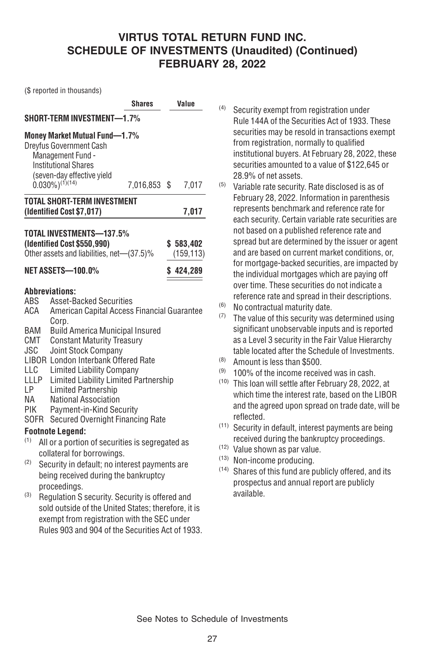(\$ reported in thousands)

|                                                                            |                                                                                                                                                                                                                                                                                                                                                                                                                                                                        | Shares       |           | Value                 |  |  |  |
|----------------------------------------------------------------------------|------------------------------------------------------------------------------------------------------------------------------------------------------------------------------------------------------------------------------------------------------------------------------------------------------------------------------------------------------------------------------------------------------------------------------------------------------------------------|--------------|-----------|-----------------------|--|--|--|
| SHORT-TERM INVESTMENT-1.7%                                                 |                                                                                                                                                                                                                                                                                                                                                                                                                                                                        |              |           |                       |  |  |  |
|                                                                            | <b>Money Market Mutual Fund-1.7%</b><br><b>Dreyfus Government Cash</b><br>Management Fund -<br><b>Institutional Shares</b><br>(seven-day effective yield<br>$0.030\%$ ) <sup>(1)</sup> (14)                                                                                                                                                                                                                                                                            | 7,016,853 \$ |           | 7,017                 |  |  |  |
|                                                                            | <b>TOTAL SHORT-TERM INVESTMENT</b><br>(Identified Cost \$7,017)                                                                                                                                                                                                                                                                                                                                                                                                        |              |           | 7,017                 |  |  |  |
|                                                                            | TOTAL INVESTMENTS-137.5%<br>(Identified Cost \$550,990)<br>Other assets and liabilities, net-(37.5)%<br>NET ASSETS-100.0%                                                                                                                                                                                                                                                                                                                                              |              | \$583,402 | (159, 113)<br>424,289 |  |  |  |
| ABS<br>ACA<br>BAM<br>CMT<br>JSC<br>LLC<br>LLLP<br>LP.<br>NA<br>PIK<br>SOFR | <b>Abbreviations:</b><br><b>Asset-Backed Securities</b><br>American Capital Access Financial Guarantee<br>Corp.<br><b>Build America Municipal Insured</b><br><b>Constant Maturity Treasury</b><br>Joint Stock Company<br><b>LIBOR London Interbank Offered Rate</b><br><b>Limited Liability Company</b><br>Limited Liability Limited Partnership<br><b>Limited Partnership</b><br>National Association<br>Payment-in-Kind Security<br>Secured Overnight Financing Rate |              |           |                       |  |  |  |
|                                                                            | <b>Footnote Legend:</b>                                                                                                                                                                                                                                                                                                                                                                                                                                                |              |           |                       |  |  |  |
| (1)<br>(2)<br>(3)                                                          | All or a portion of securities is segregated as<br>collateral for borrowings.<br>Security in default; no interest payments are<br>being received during the bankruptcy<br>proceedings.                                                                                                                                                                                                                                                                                 |              |           |                       |  |  |  |
|                                                                            | Regulation S security. Security is offered and                                                                                                                                                                                                                                                                                                                                                                                                                         |              |           |                       |  |  |  |

sold outside of the United States; therefore, it is exempt from registration with the SEC under Rules 903 and 904 of the Securities Act of 1933.

- (4) Security exempt from registration under Rule 144A of the Securities Act of 1933. These securities may be resold in transactions exempt from registration, normally to qualified institutional buyers. At February 28, 2022, these securities amounted to a value of \$122,645 or 28.9% of net assets.
- (5) Variable rate security. Rate disclosed is as of February 28, 2022. Information in parenthesis represents benchmark and reference rate for each security. Certain variable rate securities are not based on a published reference rate and spread but are determined by the issuer or agent and are based on current market conditions, or, for mortgage-backed securities, are impacted by the individual mortgages which are paying off over time. These securities do not indicate a reference rate and spread in their descriptions.
- (6) No contractual maturity date.
- (7) The value of this security was determined using significant unobservable inputs and is reported as a Level 3 security in the Fair Value Hierarchy table located after the Schedule of Investments.
- (8) Amount is less than \$500.
- $(9)$  100% of the income received was in cash.
- (10) This loan will settle after February 28, 2022, at which time the interest rate, based on the LIBOR and the agreed upon spread on trade date, will be reflected.
- (11) Security in default, interest payments are being received during the bankruptcy proceedings.
- (12) Value shown as par value.
- (13) Non-income producing.
- (14) Shares of this fund are publicly offered, and its prospectus and annual report are publicly available.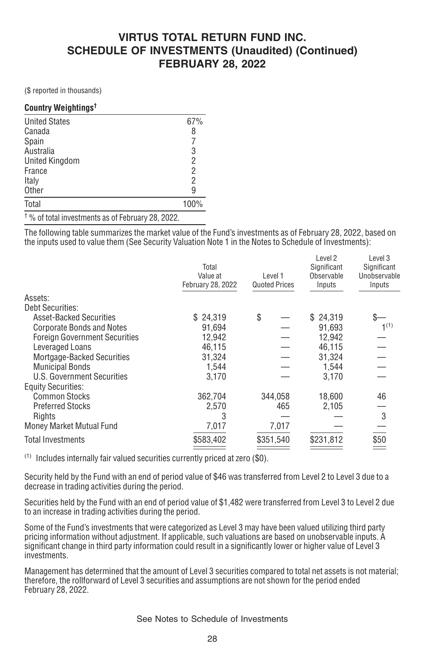(\$ reported in thousands)

#### **Country Weightings†**

| <b>United States</b>                                                               | 67%            |
|------------------------------------------------------------------------------------|----------------|
| Canada                                                                             | 8              |
| Spain                                                                              | 7              |
| Australia                                                                          | $\frac{3}{2}$  |
| <b>United Kingdom</b>                                                              |                |
| France                                                                             | $\overline{2}$ |
| Italy                                                                              | $\overline{2}$ |
| Other                                                                              | 9              |
| Total                                                                              | 100%           |
| $\pm$ 0/ $\pm$ 1.12 $\pm$ 1.12 $\pm$ 1.12 $\pm$ 1.12 $\pm$ 1.12 $\pm$ 0.0<br>0.000 |                |

† % of total investments as of February 28, 2022.

The following table summarizes the market value of the Fund's investments as of February 28, 2022, based on the inputs used to value them (See Security Valuation Note 1 in the Notes to Schedule of Investments):

|                                      | Total<br>Value at<br>February 28, 2022 | Level 1<br><b>Quoted Prices</b> | Level 2<br>Significant<br>Observable<br>Inputs | Level 3<br>Significant<br>Unobservable<br>Inputs |  |
|--------------------------------------|----------------------------------------|---------------------------------|------------------------------------------------|--------------------------------------------------|--|
| Assets:                              |                                        |                                 |                                                |                                                  |  |
| <b>Debt Securities:</b>              |                                        |                                 |                                                |                                                  |  |
| <b>Asset-Backed Securities</b>       | \$24,319                               | \$                              | \$24,319                                       |                                                  |  |
| <b>Corporate Bonds and Notes</b>     | 91.694                                 |                                 | 91.693                                         | 1 <sup>(1)</sup>                                 |  |
| <b>Foreign Government Securities</b> | 12,942                                 |                                 | 12,942                                         |                                                  |  |
| Leveraged Loans                      | 46.115                                 |                                 | 46.115                                         |                                                  |  |
| Mortgage-Backed Securities           | 31,324                                 |                                 | 31,324                                         |                                                  |  |
| <b>Municipal Bonds</b>               | 1.544                                  |                                 | 1.544                                          |                                                  |  |
| U.S. Government Securities           | 3,170                                  |                                 | 3,170                                          |                                                  |  |
| <b>Equity Securities:</b>            |                                        |                                 |                                                |                                                  |  |
| <b>Common Stocks</b>                 | 362,704                                | 344,058                         | 18,600                                         | 46                                               |  |
| <b>Preferred Stocks</b>              | 2,570                                  | 465                             | 2,105                                          |                                                  |  |
| Rights                               | 3                                      |                                 |                                                | 3                                                |  |
| Money Market Mutual Fund             | 7,017                                  | 7,017                           |                                                |                                                  |  |
| Total Investments                    | \$583,402                              | \$351,540                       | \$231,812                                      | \$50                                             |  |
|                                      |                                        |                                 |                                                |                                                  |  |

(1) Includes internally fair valued securities currently priced at zero (\$0).

Security held by the Fund with an end of period value of \$46 was transferred from Level 2 to Level 3 due to a decrease in trading activities during the period.

Securities held by the Fund with an end of period value of \$1,482 were transferred from Level 3 to Level 2 due to an increase in trading activities during the period.

Some of the Fund's investments that were categorized as Level 3 may have been valued utilizing third party pricing information without adjustment. If applicable, such valuations are based on unobservable inputs. A significant change in third party information could result in a significantly lower or higher value of Level 3 investments.

Management has determined that the amount of Level 3 securities compared to total net assets is not material; therefore, the rollforward of Level 3 securities and assumptions are not shown for the period ended February 28, 2022.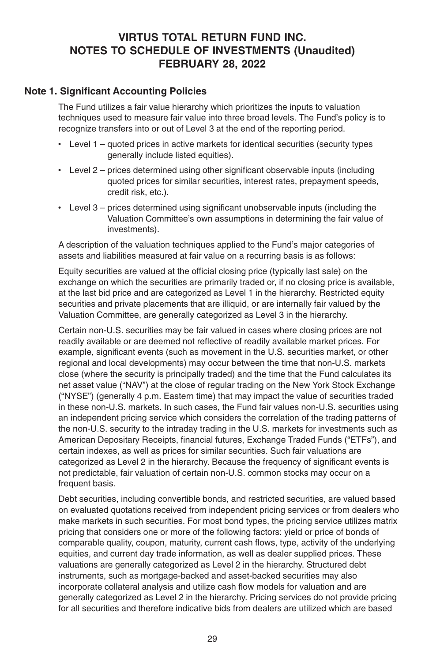#### **VIRTUS TOTAL RETURN FUND INC. NOTES TO SCHEDULE OF INVESTMENTS (Unaudited) FEBRUARY 28, 2022**

#### **Note 1. Significant Accounting Policies**

The Fund utilizes a fair value hierarchy which prioritizes the inputs to valuation techniques used to measure fair value into three broad levels. The Fund's policy is to recognize transfers into or out of Level 3 at the end of the reporting period.

- Level 1 quoted prices in active markets for identical securities (security types generally include listed equities).
- Level 2 prices determined using other significant observable inputs (including quoted prices for similar securities, interest rates, prepayment speeds, credit risk, etc.).
- Level 3 prices determined using significant unobservable inputs (including the Valuation Committee's own assumptions in determining the fair value of investments).

A description of the valuation techniques applied to the Fund's major categories of assets and liabilities measured at fair value on a recurring basis is as follows:

Equity securities are valued at the official closing price (typically last sale) on the exchange on which the securities are primarily traded or, if no closing price is available, at the last bid price and are categorized as Level 1 in the hierarchy. Restricted equity securities and private placements that are illiquid, or are internally fair valued by the Valuation Committee, are generally categorized as Level 3 in the hierarchy.

Certain non-U.S. securities may be fair valued in cases where closing prices are not readily available or are deemed not reflective of readily available market prices. For example, significant events (such as movement in the U.S. securities market, or other regional and local developments) may occur between the time that non-U.S. markets close (where the security is principally traded) and the time that the Fund calculates its net asset value ("NAV") at the close of regular trading on the New York Stock Exchange ("NYSE") (generally 4 p.m. Eastern time) that may impact the value of securities traded in these non-U.S. markets. In such cases, the Fund fair values non-U.S. securities using an independent pricing service which considers the correlation of the trading patterns of the non-U.S. security to the intraday trading in the U.S. markets for investments such as American Depositary Receipts, financial futures, Exchange Traded Funds ("ETFs"), and certain indexes, as well as prices for similar securities. Such fair valuations are categorized as Level 2 in the hierarchy. Because the frequency of significant events is not predictable, fair valuation of certain non-U.S. common stocks may occur on a frequent basis.

Debt securities, including convertible bonds, and restricted securities, are valued based on evaluated quotations received from independent pricing services or from dealers who make markets in such securities. For most bond types, the pricing service utilizes matrix pricing that considers one or more of the following factors: yield or price of bonds of comparable quality, coupon, maturity, current cash flows, type, activity of the underlying equities, and current day trade information, as well as dealer supplied prices. These valuations are generally categorized as Level 2 in the hierarchy. Structured debt instruments, such as mortgage-backed and asset-backed securities may also incorporate collateral analysis and utilize cash flow models for valuation and are generally categorized as Level 2 in the hierarchy. Pricing services do not provide pricing for all securities and therefore indicative bids from dealers are utilized which are based